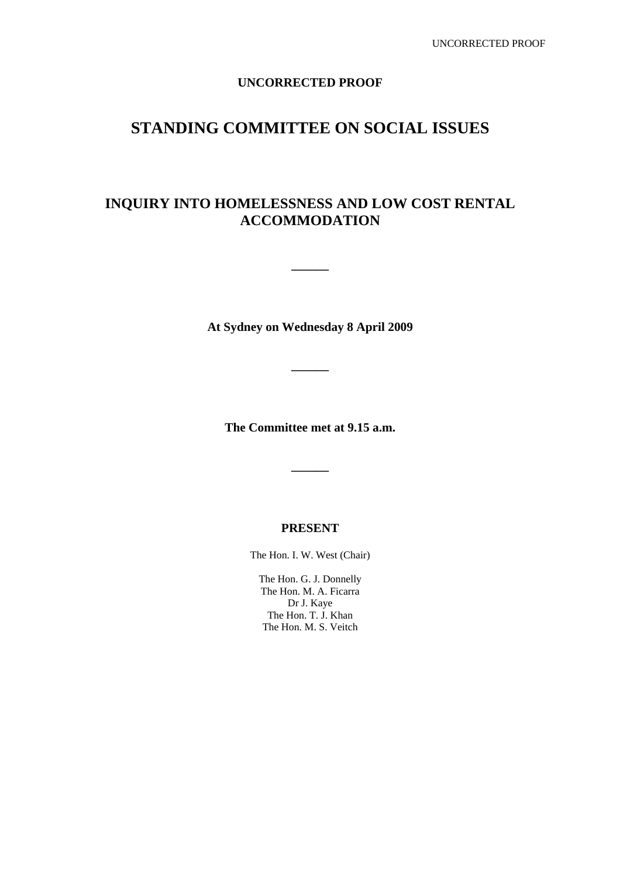# **UNCORRECTED PROOF**

# **STANDING COMMITTEE ON SOCIAL ISSUES**

# **INQUIRY INTO HOMELESSNESS AND LOW COST RENTAL ACCOMMODATION**

**At Sydney on Wednesday 8 April 2009** 

**———** 

**———** 

**The Committee met at 9.15 a.m.** 

**———** 

# **PRESENT**

The Hon. I. W. West (Chair)

The Hon. G. J. Donnelly The Hon. M. A. Ficarra Dr J. Kaye The Hon. T. J. Khan The Hon. M. S. Veitch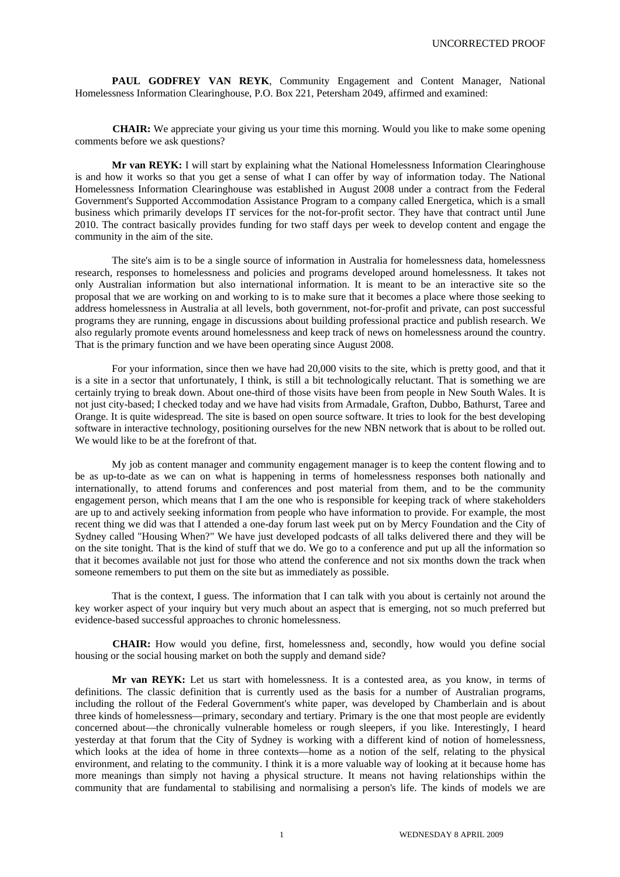PAUL GODFREY VAN REYK, Community Engagement and Content Manager, National Homelessness Information Clearinghouse, P.O. Box 221, Petersham 2049, affirmed and examined:

**CHAIR:** We appreciate your giving us your time this morning. Would you like to make some opening comments before we ask questions?

**Mr van REYK:** I will start by explaining what the National Homelessness Information Clearinghouse is and how it works so that you get a sense of what I can offer by way of information today. The National Homelessness Information Clearinghouse was established in August 2008 under a contract from the Federal Government's Supported Accommodation Assistance Program to a company called Energetica, which is a small business which primarily develops IT services for the not-for-profit sector. They have that contract until June 2010. The contract basically provides funding for two staff days per week to develop content and engage the community in the aim of the site.

The site's aim is to be a single source of information in Australia for homelessness data, homelessness research, responses to homelessness and policies and programs developed around homelessness. It takes not only Australian information but also international information. It is meant to be an interactive site so the proposal that we are working on and working to is to make sure that it becomes a place where those seeking to address homelessness in Australia at all levels, both government, not-for-profit and private, can post successful programs they are running, engage in discussions about building professional practice and publish research. We also regularly promote events around homelessness and keep track of news on homelessness around the country. That is the primary function and we have been operating since August 2008.

For your information, since then we have had 20,000 visits to the site, which is pretty good, and that it is a site in a sector that unfortunately, I think, is still a bit technologically reluctant. That is something we are certainly trying to break down. About one-third of those visits have been from people in New South Wales. It is not just city-based; I checked today and we have had visits from Armadale, Grafton, Dubbo, Bathurst, Taree and Orange. It is quite widespread. The site is based on open source software. It tries to look for the best developing software in interactive technology, positioning ourselves for the new NBN network that is about to be rolled out. We would like to be at the forefront of that.

My job as content manager and community engagement manager is to keep the content flowing and to be as up-to-date as we can on what is happening in terms of homelessness responses both nationally and internationally, to attend forums and conferences and post material from them, and to be the community engagement person, which means that I am the one who is responsible for keeping track of where stakeholders are up to and actively seeking information from people who have information to provide. For example, the most recent thing we did was that I attended a one-day forum last week put on by Mercy Foundation and the City of Sydney called "Housing When?" We have just developed podcasts of all talks delivered there and they will be on the site tonight. That is the kind of stuff that we do. We go to a conference and put up all the information so that it becomes available not just for those who attend the conference and not six months down the track when someone remembers to put them on the site but as immediately as possible.

That is the context, I guess. The information that I can talk with you about is certainly not around the key worker aspect of your inquiry but very much about an aspect that is emerging, not so much preferred but evidence-based successful approaches to chronic homelessness.

**CHAIR:** How would you define, first, homelessness and, secondly, how would you define social housing or the social housing market on both the supply and demand side?

**Mr van REYK:** Let us start with homelessness. It is a contested area, as you know, in terms of definitions. The classic definition that is currently used as the basis for a number of Australian programs, including the rollout of the Federal Government's white paper, was developed by Chamberlain and is about three kinds of homelessness—primary, secondary and tertiary. Primary is the one that most people are evidently concerned about—the chronically vulnerable homeless or rough sleepers, if you like. Interestingly, I heard yesterday at that forum that the City of Sydney is working with a different kind of notion of homelessness, which looks at the idea of home in three contexts—home as a notion of the self, relating to the physical environment, and relating to the community. I think it is a more valuable way of looking at it because home has more meanings than simply not having a physical structure. It means not having relationships within the community that are fundamental to stabilising and normalising a person's life. The kinds of models we are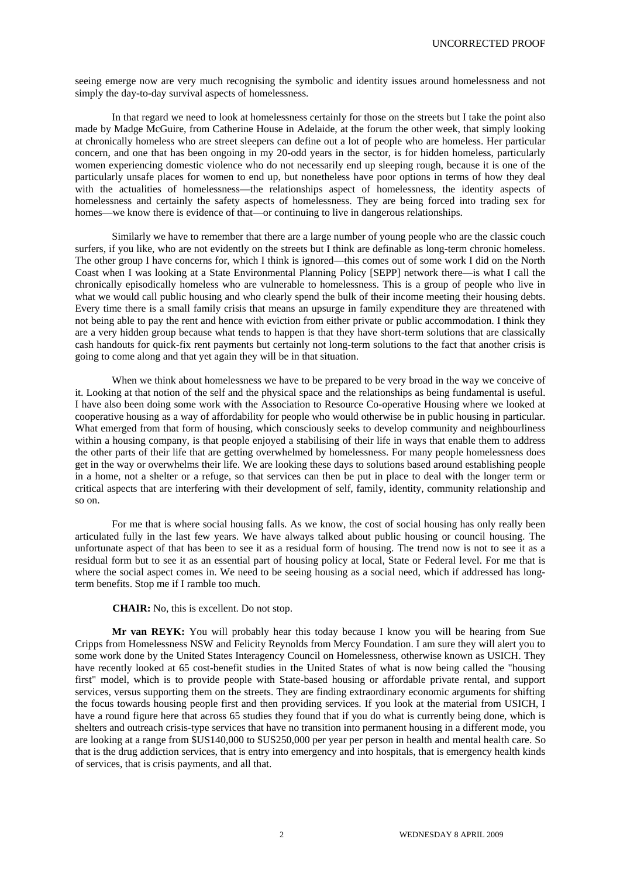seeing emerge now are very much recognising the symbolic and identity issues around homelessness and not simply the day-to-day survival aspects of homelessness.

In that regard we need to look at homelessness certainly for those on the streets but I take the point also made by Madge McGuire, from Catherine House in Adelaide, at the forum the other week, that simply looking at chronically homeless who are street sleepers can define out a lot of people who are homeless. Her particular concern, and one that has been ongoing in my 20-odd years in the sector, is for hidden homeless, particularly women experiencing domestic violence who do not necessarily end up sleeping rough, because it is one of the particularly unsafe places for women to end up, but nonetheless have poor options in terms of how they deal with the actualities of homelessness—the relationships aspect of homelessness, the identity aspects of homelessness and certainly the safety aspects of homelessness. They are being forced into trading sex for homes—we know there is evidence of that—or continuing to live in dangerous relationships.

Similarly we have to remember that there are a large number of young people who are the classic couch surfers, if you like, who are not evidently on the streets but I think are definable as long-term chronic homeless. The other group I have concerns for, which I think is ignored—this comes out of some work I did on the North Coast when I was looking at a State Environmental Planning Policy [SEPP] network there—is what I call the chronically episodically homeless who are vulnerable to homelessness. This is a group of people who live in what we would call public housing and who clearly spend the bulk of their income meeting their housing debts. Every time there is a small family crisis that means an upsurge in family expenditure they are threatened with not being able to pay the rent and hence with eviction from either private or public accommodation. I think they are a very hidden group because what tends to happen is that they have short-term solutions that are classically cash handouts for quick-fix rent payments but certainly not long-term solutions to the fact that another crisis is going to come along and that yet again they will be in that situation.

When we think about homelessness we have to be prepared to be very broad in the way we conceive of it. Looking at that notion of the self and the physical space and the relationships as being fundamental is useful. I have also been doing some work with the Association to Resource Co-operative Housing where we looked at cooperative housing as a way of affordability for people who would otherwise be in public housing in particular. What emerged from that form of housing, which consciously seeks to develop community and neighbourliness within a housing company, is that people enjoyed a stabilising of their life in ways that enable them to address the other parts of their life that are getting overwhelmed by homelessness. For many people homelessness does get in the way or overwhelms their life. We are looking these days to solutions based around establishing people in a home, not a shelter or a refuge, so that services can then be put in place to deal with the longer term or critical aspects that are interfering with their development of self, family, identity, community relationship and so on.

For me that is where social housing falls. As we know, the cost of social housing has only really been articulated fully in the last few years. We have always talked about public housing or council housing. The unfortunate aspect of that has been to see it as a residual form of housing. The trend now is not to see it as a residual form but to see it as an essential part of housing policy at local, State or Federal level. For me that is where the social aspect comes in. We need to be seeing housing as a social need, which if addressed has longterm benefits. Stop me if I ramble too much.

**CHAIR:** No, this is excellent. Do not stop.

**Mr van REYK:** You will probably hear this today because I know you will be hearing from Sue Cripps from Homelessness NSW and Felicity Reynolds from Mercy Foundation. I am sure they will alert you to some work done by the United States Interagency Council on Homelessness, otherwise known as USICH. They have recently looked at 65 cost-benefit studies in the United States of what is now being called the "housing first" model, which is to provide people with State-based housing or affordable private rental, and support services, versus supporting them on the streets. They are finding extraordinary economic arguments for shifting the focus towards housing people first and then providing services. If you look at the material from USICH, I have a round figure here that across 65 studies they found that if you do what is currently being done, which is shelters and outreach crisis-type services that have no transition into permanent housing in a different mode, you are looking at a range from \$US140,000 to \$US250,000 per year per person in health and mental health care. So that is the drug addiction services, that is entry into emergency and into hospitals, that is emergency health kinds of services, that is crisis payments, and all that.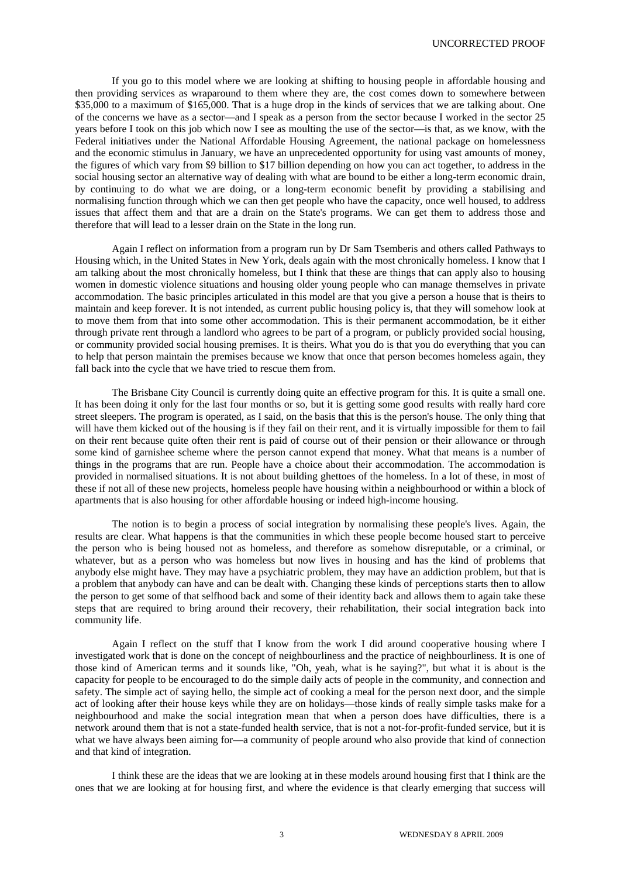If you go to this model where we are looking at shifting to housing people in affordable housing and then providing services as wraparound to them where they are, the cost comes down to somewhere between \$35,000 to a maximum of \$165,000. That is a huge drop in the kinds of services that we are talking about. One of the concerns we have as a sector—and I speak as a person from the sector because I worked in the sector 25 years before I took on this job which now I see as moulting the use of the sector—is that, as we know, with the Federal initiatives under the National Affordable Housing Agreement, the national package on homelessness and the economic stimulus in January, we have an unprecedented opportunity for using vast amounts of money, the figures of which vary from \$9 billion to \$17 billion depending on how you can act together, to address in the social housing sector an alternative way of dealing with what are bound to be either a long-term economic drain, by continuing to do what we are doing, or a long-term economic benefit by providing a stabilising and normalising function through which we can then get people who have the capacity, once well housed, to address issues that affect them and that are a drain on the State's programs. We can get them to address those and therefore that will lead to a lesser drain on the State in the long run.

Again I reflect on information from a program run by Dr Sam Tsemberis and others called Pathways to Housing which, in the United States in New York, deals again with the most chronically homeless. I know that I am talking about the most chronically homeless, but I think that these are things that can apply also to housing women in domestic violence situations and housing older young people who can manage themselves in private accommodation. The basic principles articulated in this model are that you give a person a house that is theirs to maintain and keep forever. It is not intended, as current public housing policy is, that they will somehow look at to move them from that into some other accommodation. This is their permanent accommodation, be it either through private rent through a landlord who agrees to be part of a program, or publicly provided social housing, or community provided social housing premises. It is theirs. What you do is that you do everything that you can to help that person maintain the premises because we know that once that person becomes homeless again, they fall back into the cycle that we have tried to rescue them from.

The Brisbane City Council is currently doing quite an effective program for this. It is quite a small one. It has been doing it only for the last four months or so, but it is getting some good results with really hard core street sleepers. The program is operated, as I said, on the basis that this is the person's house. The only thing that will have them kicked out of the housing is if they fail on their rent, and it is virtually impossible for them to fail on their rent because quite often their rent is paid of course out of their pension or their allowance or through some kind of garnishee scheme where the person cannot expend that money. What that means is a number of things in the programs that are run. People have a choice about their accommodation. The accommodation is provided in normalised situations. It is not about building ghettoes of the homeless. In a lot of these, in most of these if not all of these new projects, homeless people have housing within a neighbourhood or within a block of apartments that is also housing for other affordable housing or indeed high-income housing.

The notion is to begin a process of social integration by normalising these people's lives. Again, the results are clear. What happens is that the communities in which these people become housed start to perceive the person who is being housed not as homeless, and therefore as somehow disreputable, or a criminal, or whatever, but as a person who was homeless but now lives in housing and has the kind of problems that anybody else might have. They may have a psychiatric problem, they may have an addiction problem, but that is a problem that anybody can have and can be dealt with. Changing these kinds of perceptions starts then to allow the person to get some of that selfhood back and some of their identity back and allows them to again take these steps that are required to bring around their recovery, their rehabilitation, their social integration back into community life.

Again I reflect on the stuff that I know from the work I did around cooperative housing where I investigated work that is done on the concept of neighbourliness and the practice of neighbourliness. It is one of those kind of American terms and it sounds like, "Oh, yeah, what is he saying?", but what it is about is the capacity for people to be encouraged to do the simple daily acts of people in the community, and connection and safety. The simple act of saying hello, the simple act of cooking a meal for the person next door, and the simple act of looking after their house keys while they are on holidays—those kinds of really simple tasks make for a neighbourhood and make the social integration mean that when a person does have difficulties, there is a network around them that is not a state-funded health service, that is not a not-for-profit-funded service, but it is what we have always been aiming for—a community of people around who also provide that kind of connection and that kind of integration.

I think these are the ideas that we are looking at in these models around housing first that I think are the ones that we are looking at for housing first, and where the evidence is that clearly emerging that success will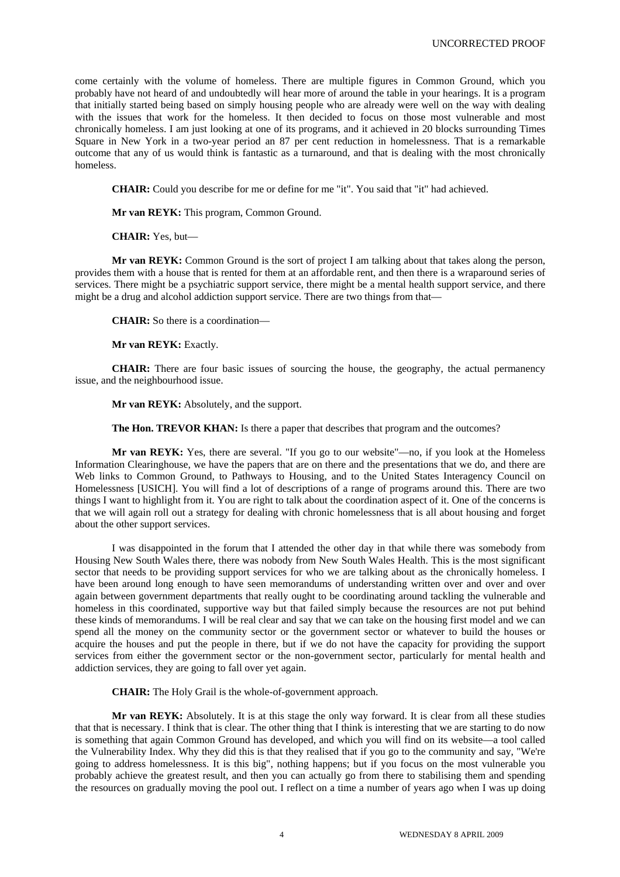come certainly with the volume of homeless. There are multiple figures in Common Ground, which you probably have not heard of and undoubtedly will hear more of around the table in your hearings. It is a program that initially started being based on simply housing people who are already were well on the way with dealing with the issues that work for the homeless. It then decided to focus on those most vulnerable and most chronically homeless. I am just looking at one of its programs, and it achieved in 20 blocks surrounding Times Square in New York in a two-year period an 87 per cent reduction in homelessness. That is a remarkable outcome that any of us would think is fantastic as a turnaround, and that is dealing with the most chronically homeless.

**CHAIR:** Could you describe for me or define for me "it". You said that "it" had achieved.

**Mr van REYK:** This program, Common Ground.

**CHAIR:** Yes, but—

**Mr van REYK:** Common Ground is the sort of project I am talking about that takes along the person, provides them with a house that is rented for them at an affordable rent, and then there is a wraparound series of services. There might be a psychiatric support service, there might be a mental health support service, and there might be a drug and alcohol addiction support service. There are two things from that—

**CHAIR:** So there is a coordination—

**Mr van REYK:** Exactly.

**CHAIR:** There are four basic issues of sourcing the house, the geography, the actual permanency issue, and the neighbourhood issue.

**Mr van REYK:** Absolutely, and the support.

**The Hon. TREVOR KHAN:** Is there a paper that describes that program and the outcomes?

**Mr van REYK:** Yes, there are several. "If you go to our website"—no, if you look at the Homeless Information Clearinghouse, we have the papers that are on there and the presentations that we do, and there are Web links to Common Ground, to Pathways to Housing, and to the United States Interagency Council on Homelessness [USICH]. You will find a lot of descriptions of a range of programs around this. There are two things I want to highlight from it. You are right to talk about the coordination aspect of it. One of the concerns is that we will again roll out a strategy for dealing with chronic homelessness that is all about housing and forget about the other support services.

I was disappointed in the forum that I attended the other day in that while there was somebody from Housing New South Wales there, there was nobody from New South Wales Health. This is the most significant sector that needs to be providing support services for who we are talking about as the chronically homeless. I have been around long enough to have seen memorandums of understanding written over and over and over again between government departments that really ought to be coordinating around tackling the vulnerable and homeless in this coordinated, supportive way but that failed simply because the resources are not put behind these kinds of memorandums. I will be real clear and say that we can take on the housing first model and we can spend all the money on the community sector or the government sector or whatever to build the houses or acquire the houses and put the people in there, but if we do not have the capacity for providing the support services from either the government sector or the non-government sector, particularly for mental health and addiction services, they are going to fall over yet again.

**CHAIR:** The Holy Grail is the whole-of-government approach.

**Mr van REYK:** Absolutely. It is at this stage the only way forward. It is clear from all these studies that that is necessary. I think that is clear. The other thing that I think is interesting that we are starting to do now is something that again Common Ground has developed, and which you will find on its website—a tool called the Vulnerability Index. Why they did this is that they realised that if you go to the community and say, "We're going to address homelessness. It is this big", nothing happens; but if you focus on the most vulnerable you probably achieve the greatest result, and then you can actually go from there to stabilising them and spending the resources on gradually moving the pool out. I reflect on a time a number of years ago when I was up doing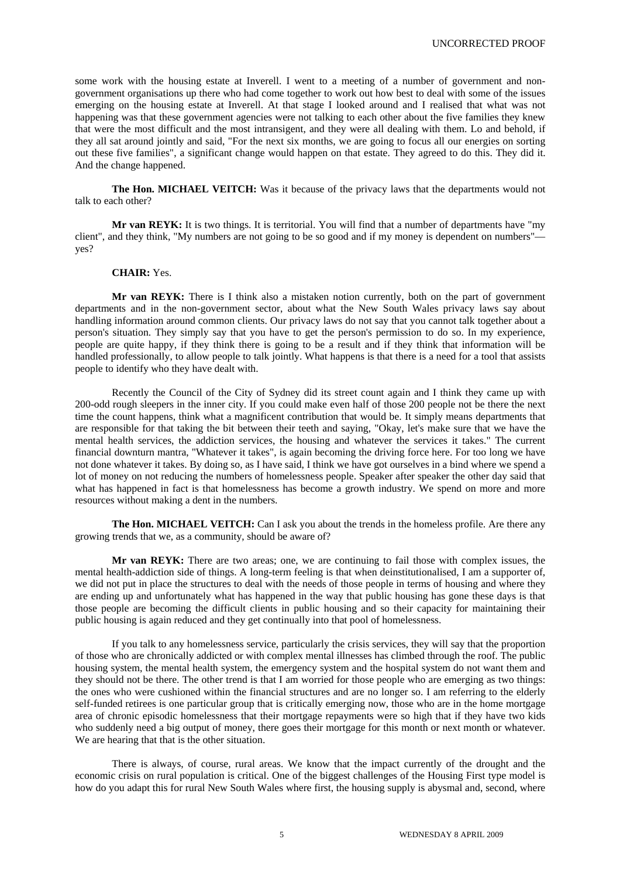some work with the housing estate at Inverell. I went to a meeting of a number of government and nongovernment organisations up there who had come together to work out how best to deal with some of the issues emerging on the housing estate at Inverell. At that stage I looked around and I realised that what was not happening was that these government agencies were not talking to each other about the five families they knew that were the most difficult and the most intransigent, and they were all dealing with them. Lo and behold, if they all sat around jointly and said, "For the next six months, we are going to focus all our energies on sorting out these five families", a significant change would happen on that estate. They agreed to do this. They did it. And the change happened.

**The Hon. MICHAEL VEITCH:** Was it because of the privacy laws that the departments would not talk to each other?

**Mr van REYK:** It is two things. It is territorial. You will find that a number of departments have "my client", and they think, "My numbers are not going to be so good and if my money is dependent on numbers" yes?

# **CHAIR:** Yes.

**Mr van REYK:** There is I think also a mistaken notion currently, both on the part of government departments and in the non-government sector, about what the New South Wales privacy laws say about handling information around common clients. Our privacy laws do not say that you cannot talk together about a person's situation. They simply say that you have to get the person's permission to do so. In my experience, people are quite happy, if they think there is going to be a result and if they think that information will be handled professionally, to allow people to talk jointly. What happens is that there is a need for a tool that assists people to identify who they have dealt with.

Recently the Council of the City of Sydney did its street count again and I think they came up with 200-odd rough sleepers in the inner city. If you could make even half of those 200 people not be there the next time the count happens, think what a magnificent contribution that would be. It simply means departments that are responsible for that taking the bit between their teeth and saying, "Okay, let's make sure that we have the mental health services, the addiction services, the housing and whatever the services it takes." The current financial downturn mantra, "Whatever it takes", is again becoming the driving force here. For too long we have not done whatever it takes. By doing so, as I have said, I think we have got ourselves in a bind where we spend a lot of money on not reducing the numbers of homelessness people. Speaker after speaker the other day said that what has happened in fact is that homelessness has become a growth industry. We spend on more and more resources without making a dent in the numbers.

**The Hon. MICHAEL VEITCH:** Can I ask you about the trends in the homeless profile. Are there any growing trends that we, as a community, should be aware of?

**Mr van REYK:** There are two areas; one, we are continuing to fail those with complex issues, the mental health-addiction side of things. A long-term feeling is that when deinstitutionalised, I am a supporter of, we did not put in place the structures to deal with the needs of those people in terms of housing and where they are ending up and unfortunately what has happened in the way that public housing has gone these days is that those people are becoming the difficult clients in public housing and so their capacity for maintaining their public housing is again reduced and they get continually into that pool of homelessness.

If you talk to any homelessness service, particularly the crisis services, they will say that the proportion of those who are chronically addicted or with complex mental illnesses has climbed through the roof. The public housing system, the mental health system, the emergency system and the hospital system do not want them and they should not be there. The other trend is that I am worried for those people who are emerging as two things: the ones who were cushioned within the financial structures and are no longer so. I am referring to the elderly self-funded retirees is one particular group that is critically emerging now, those who are in the home mortgage area of chronic episodic homelessness that their mortgage repayments were so high that if they have two kids who suddenly need a big output of money, there goes their mortgage for this month or next month or whatever. We are hearing that that is the other situation.

There is always, of course, rural areas. We know that the impact currently of the drought and the economic crisis on rural population is critical. One of the biggest challenges of the Housing First type model is how do you adapt this for rural New South Wales where first, the housing supply is abysmal and, second, where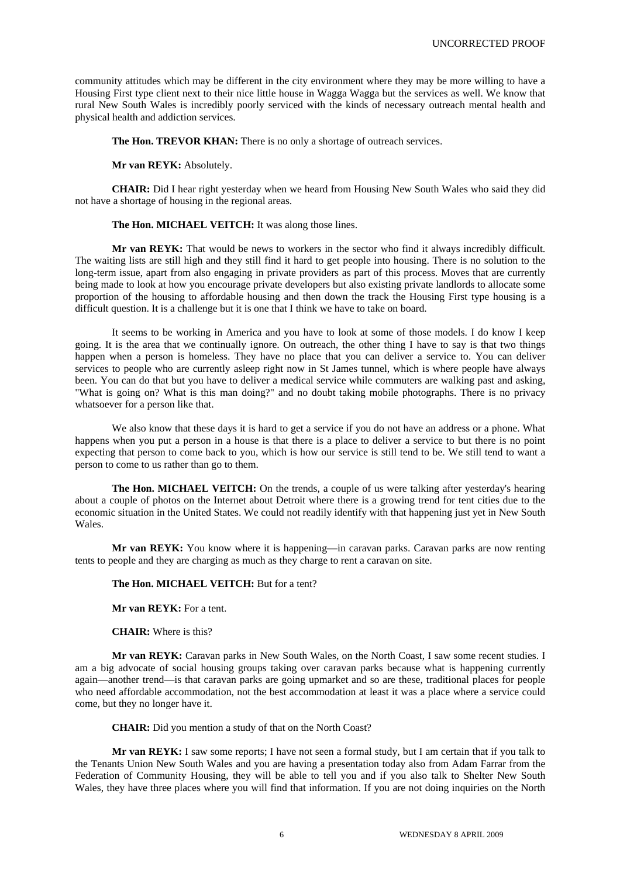community attitudes which may be different in the city environment where they may be more willing to have a Housing First type client next to their nice little house in Wagga Wagga but the services as well. We know that rural New South Wales is incredibly poorly serviced with the kinds of necessary outreach mental health and physical health and addiction services.

**The Hon. TREVOR KHAN:** There is no only a shortage of outreach services.

**Mr van REYK:** Absolutely.

**CHAIR:** Did I hear right yesterday when we heard from Housing New South Wales who said they did not have a shortage of housing in the regional areas.

## **The Hon. MICHAEL VEITCH:** It was along those lines.

**Mr van REYK:** That would be news to workers in the sector who find it always incredibly difficult. The waiting lists are still high and they still find it hard to get people into housing. There is no solution to the long-term issue, apart from also engaging in private providers as part of this process. Moves that are currently being made to look at how you encourage private developers but also existing private landlords to allocate some proportion of the housing to affordable housing and then down the track the Housing First type housing is a difficult question. It is a challenge but it is one that I think we have to take on board.

It seems to be working in America and you have to look at some of those models. I do know I keep going. It is the area that we continually ignore. On outreach, the other thing I have to say is that two things happen when a person is homeless. They have no place that you can deliver a service to. You can deliver services to people who are currently asleep right now in St James tunnel, which is where people have always been. You can do that but you have to deliver a medical service while commuters are walking past and asking, "What is going on? What is this man doing?" and no doubt taking mobile photographs. There is no privacy whatsoever for a person like that.

We also know that these days it is hard to get a service if you do not have an address or a phone. What happens when you put a person in a house is that there is a place to deliver a service to but there is no point expecting that person to come back to you, which is how our service is still tend to be. We still tend to want a person to come to us rather than go to them.

**The Hon. MICHAEL VEITCH:** On the trends, a couple of us were talking after yesterday's hearing about a couple of photos on the Internet about Detroit where there is a growing trend for tent cities due to the economic situation in the United States. We could not readily identify with that happening just yet in New South Wales.

**Mr van REYK:** You know where it is happening—in caravan parks. Caravan parks are now renting tents to people and they are charging as much as they charge to rent a caravan on site.

#### **The Hon. MICHAEL VEITCH:** But for a tent?

**Mr van REYK:** For a tent.

**CHAIR:** Where is this?

**Mr van REYK:** Caravan parks in New South Wales, on the North Coast, I saw some recent studies. I am a big advocate of social housing groups taking over caravan parks because what is happening currently again—another trend—is that caravan parks are going upmarket and so are these, traditional places for people who need affordable accommodation, not the best accommodation at least it was a place where a service could come, but they no longer have it.

**CHAIR:** Did you mention a study of that on the North Coast?

**Mr van REYK:** I saw some reports; I have not seen a formal study, but I am certain that if you talk to the Tenants Union New South Wales and you are having a presentation today also from Adam Farrar from the Federation of Community Housing, they will be able to tell you and if you also talk to Shelter New South Wales, they have three places where you will find that information. If you are not doing inquiries on the North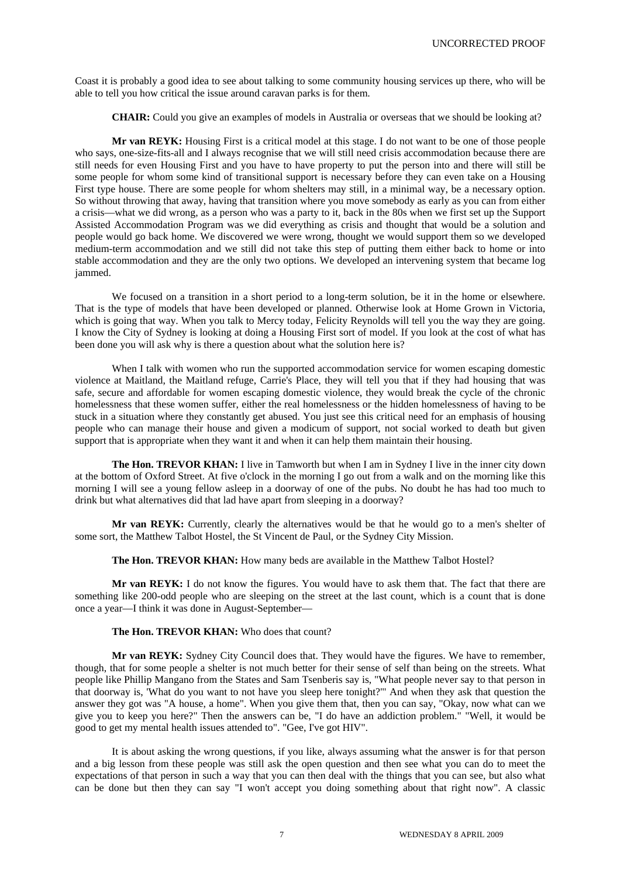Coast it is probably a good idea to see about talking to some community housing services up there, who will be able to tell you how critical the issue around caravan parks is for them.

**CHAIR:** Could you give an examples of models in Australia or overseas that we should be looking at?

**Mr van REYK:** Housing First is a critical model at this stage. I do not want to be one of those people who says, one-size-fits-all and I always recognise that we will still need crisis accommodation because there are still needs for even Housing First and you have to have property to put the person into and there will still be some people for whom some kind of transitional support is necessary before they can even take on a Housing First type house. There are some people for whom shelters may still, in a minimal way, be a necessary option. So without throwing that away, having that transition where you move somebody as early as you can from either a crisis—what we did wrong, as a person who was a party to it, back in the 80s when we first set up the Support Assisted Accommodation Program was we did everything as crisis and thought that would be a solution and people would go back home. We discovered we were wrong, thought we would support them so we developed medium-term accommodation and we still did not take this step of putting them either back to home or into stable accommodation and they are the only two options. We developed an intervening system that became log jammed.

We focused on a transition in a short period to a long-term solution, be it in the home or elsewhere. That is the type of models that have been developed or planned. Otherwise look at Home Grown in Victoria, which is going that way. When you talk to Mercy today, Felicity Reynolds will tell you the way they are going. I know the City of Sydney is looking at doing a Housing First sort of model. If you look at the cost of what has been done you will ask why is there a question about what the solution here is?

When I talk with women who run the supported accommodation service for women escaping domestic violence at Maitland, the Maitland refuge, Carrie's Place, they will tell you that if they had housing that was safe, secure and affordable for women escaping domestic violence, they would break the cycle of the chronic homelessness that these women suffer, either the real homelessness or the hidden homelessness of having to be stuck in a situation where they constantly get abused. You just see this critical need for an emphasis of housing people who can manage their house and given a modicum of support, not social worked to death but given support that is appropriate when they want it and when it can help them maintain their housing.

**The Hon. TREVOR KHAN:** I live in Tamworth but when I am in Sydney I live in the inner city down at the bottom of Oxford Street. At five o'clock in the morning I go out from a walk and on the morning like this morning I will see a young fellow asleep in a doorway of one of the pubs. No doubt he has had too much to drink but what alternatives did that lad have apart from sleeping in a doorway?

**Mr van REYK:** Currently, clearly the alternatives would be that he would go to a men's shelter of some sort, the Matthew Talbot Hostel, the St Vincent de Paul, or the Sydney City Mission.

**The Hon. TREVOR KHAN:** How many beds are available in the Matthew Talbot Hostel?

**Mr van REYK:** I do not know the figures. You would have to ask them that. The fact that there are something like 200-odd people who are sleeping on the street at the last count, which is a count that is done once a year—I think it was done in August-September—

# **The Hon. TREVOR KHAN:** Who does that count?

**Mr van REYK:** Sydney City Council does that. They would have the figures. We have to remember, though, that for some people a shelter is not much better for their sense of self than being on the streets. What people like Phillip Mangano from the States and Sam Tsenberis say is, "What people never say to that person in that doorway is, 'What do you want to not have you sleep here tonight?'" And when they ask that question the answer they got was "A house, a home". When you give them that, then you can say, "Okay, now what can we give you to keep you here?" Then the answers can be, "I do have an addiction problem." "Well, it would be good to get my mental health issues attended to". "Gee, I've got HIV".

It is about asking the wrong questions, if you like, always assuming what the answer is for that person and a big lesson from these people was still ask the open question and then see what you can do to meet the expectations of that person in such a way that you can then deal with the things that you can see, but also what can be done but then they can say "I won't accept you doing something about that right now". A classic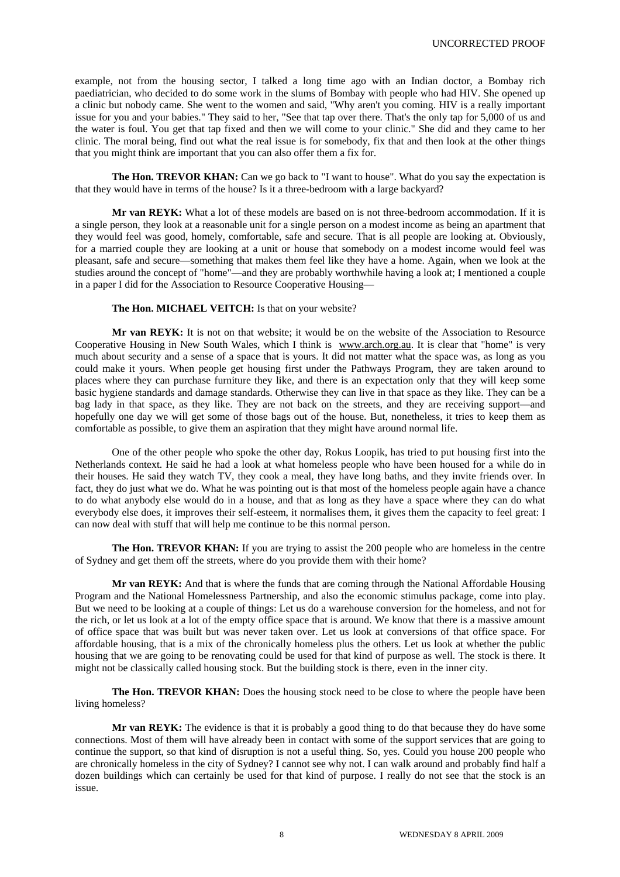example, not from the housing sector, I talked a long time ago with an Indian doctor, a Bombay rich paediatrician, who decided to do some work in the slums of Bombay with people who had HIV. She opened up a clinic but nobody came. She went to the women and said, "Why aren't you coming. HIV is a really important issue for you and your babies." They said to her, "See that tap over there. That's the only tap for 5,000 of us and the water is foul. You get that tap fixed and then we will come to your clinic." She did and they came to her clinic. The moral being, find out what the real issue is for somebody, fix that and then look at the other things that you might think are important that you can also offer them a fix for.

**The Hon. TREVOR KHAN:** Can we go back to "I want to house". What do you say the expectation is that they would have in terms of the house? Is it a three-bedroom with a large backyard?

**Mr van REYK:** What a lot of these models are based on is not three-bedroom accommodation. If it is a single person, they look at a reasonable unit for a single person on a modest income as being an apartment that they would feel was good, homely, comfortable, safe and secure. That is all people are looking at. Obviously, for a married couple they are looking at a unit or house that somebody on a modest income would feel was pleasant, safe and secure—something that makes them feel like they have a home. Again, when we look at the studies around the concept of "home"—and they are probably worthwhile having a look at; I mentioned a couple in a paper I did for the Association to Resource Cooperative Housing—

## **The Hon. MICHAEL VEITCH:** Is that on your website?

**Mr van REYK:** It is not on that website; it would be on the website of the Association to Resource Cooperative Housing in New South Wales, which I think is www.arch.org.au. It is clear that "home" is very much about security and a sense of a space that is yours. It did not matter what the space was, as long as you could make it yours. When people get housing first under the Pathways Program, they are taken around to places where they can purchase furniture they like, and there is an expectation only that they will keep some basic hygiene standards and damage standards. Otherwise they can live in that space as they like. They can be a bag lady in that space, as they like. They are not back on the streets, and they are receiving support—and hopefully one day we will get some of those bags out of the house. But, nonetheless, it tries to keep them as comfortable as possible, to give them an aspiration that they might have around normal life.

One of the other people who spoke the other day, Rokus Loopik, has tried to put housing first into the Netherlands context. He said he had a look at what homeless people who have been housed for a while do in their houses. He said they watch TV, they cook a meal, they have long baths, and they invite friends over. In fact, they do just what we do. What he was pointing out is that most of the homeless people again have a chance to do what anybody else would do in a house, and that as long as they have a space where they can do what everybody else does, it improves their self-esteem, it normalises them, it gives them the capacity to feel great: I can now deal with stuff that will help me continue to be this normal person.

**The Hon. TREVOR KHAN:** If you are trying to assist the 200 people who are homeless in the centre of Sydney and get them off the streets, where do you provide them with their home?

**Mr van REYK:** And that is where the funds that are coming through the National Affordable Housing Program and the National Homelessness Partnership, and also the economic stimulus package, come into play. But we need to be looking at a couple of things: Let us do a warehouse conversion for the homeless, and not for the rich, or let us look at a lot of the empty office space that is around. We know that there is a massive amount of office space that was built but was never taken over. Let us look at conversions of that office space. For affordable housing, that is a mix of the chronically homeless plus the others. Let us look at whether the public housing that we are going to be renovating could be used for that kind of purpose as well. The stock is there. It might not be classically called housing stock. But the building stock is there, even in the inner city.

**The Hon. TREVOR KHAN:** Does the housing stock need to be close to where the people have been living homeless?

**Mr van REYK:** The evidence is that it is probably a good thing to do that because they do have some connections. Most of them will have already been in contact with some of the support services that are going to continue the support, so that kind of disruption is not a useful thing. So, yes. Could you house 200 people who are chronically homeless in the city of Sydney? I cannot see why not. I can walk around and probably find half a dozen buildings which can certainly be used for that kind of purpose. I really do not see that the stock is an issue.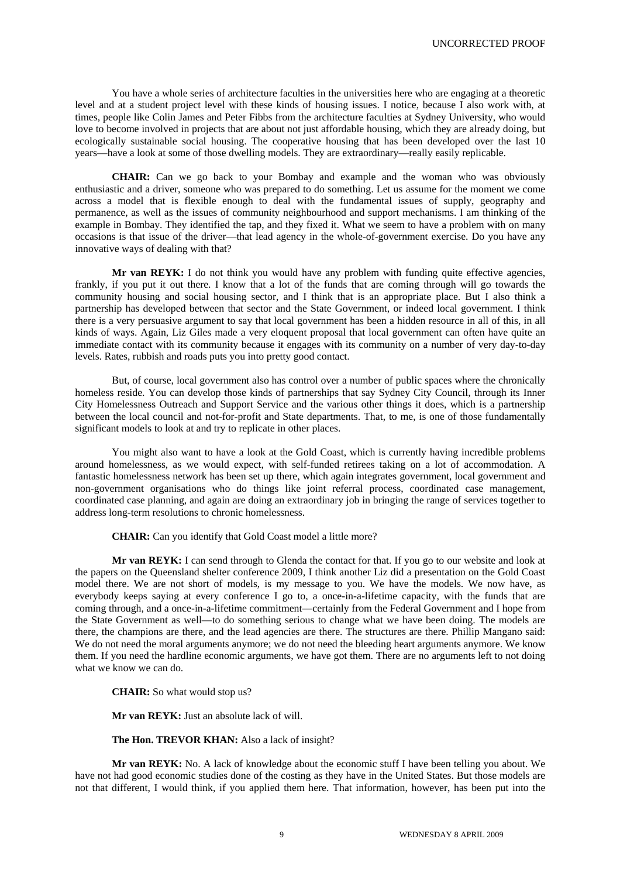You have a whole series of architecture faculties in the universities here who are engaging at a theoretic level and at a student project level with these kinds of housing issues. I notice, because I also work with, at times, people like Colin James and Peter Fibbs from the architecture faculties at Sydney University, who would love to become involved in projects that are about not just affordable housing, which they are already doing, but ecologically sustainable social housing. The cooperative housing that has been developed over the last 10 years—have a look at some of those dwelling models. They are extraordinary—really easily replicable.

**CHAIR:** Can we go back to your Bombay and example and the woman who was obviously enthusiastic and a driver, someone who was prepared to do something. Let us assume for the moment we come across a model that is flexible enough to deal with the fundamental issues of supply, geography and permanence, as well as the issues of community neighbourhood and support mechanisms. I am thinking of the example in Bombay. They identified the tap, and they fixed it. What we seem to have a problem with on many occasions is that issue of the driver—that lead agency in the whole-of-government exercise. Do you have any innovative ways of dealing with that?

**Mr van REYK:** I do not think you would have any problem with funding quite effective agencies, frankly, if you put it out there. I know that a lot of the funds that are coming through will go towards the community housing and social housing sector, and I think that is an appropriate place. But I also think a partnership has developed between that sector and the State Government, or indeed local government. I think there is a very persuasive argument to say that local government has been a hidden resource in all of this, in all kinds of ways. Again, Liz Giles made a very eloquent proposal that local government can often have quite an immediate contact with its community because it engages with its community on a number of very day-to-day levels. Rates, rubbish and roads puts you into pretty good contact.

But, of course, local government also has control over a number of public spaces where the chronically homeless reside. You can develop those kinds of partnerships that say Sydney City Council, through its Inner City Homelessness Outreach and Support Service and the various other things it does, which is a partnership between the local council and not-for-profit and State departments. That, to me, is one of those fundamentally significant models to look at and try to replicate in other places.

You might also want to have a look at the Gold Coast, which is currently having incredible problems around homelessness, as we would expect, with self-funded retirees taking on a lot of accommodation. A fantastic homelessness network has been set up there, which again integrates government, local government and non-government organisations who do things like joint referral process, coordinated case management, coordinated case planning, and again are doing an extraordinary job in bringing the range of services together to address long-term resolutions to chronic homelessness.

**CHAIR:** Can you identify that Gold Coast model a little more?

**Mr van REYK:** I can send through to Glenda the contact for that. If you go to our website and look at the papers on the Queensland shelter conference 2009, I think another Liz did a presentation on the Gold Coast model there. We are not short of models, is my message to you. We have the models. We now have, as everybody keeps saying at every conference I go to, a once-in-a-lifetime capacity, with the funds that are coming through, and a once-in-a-lifetime commitment—certainly from the Federal Government and I hope from the State Government as well—to do something serious to change what we have been doing. The models are there, the champions are there, and the lead agencies are there. The structures are there. Phillip Mangano said: We do not need the moral arguments anymore; we do not need the bleeding heart arguments anymore. We know them. If you need the hardline economic arguments, we have got them. There are no arguments left to not doing what we know we can do.

**CHAIR:** So what would stop us?

**Mr van REYK:** Just an absolute lack of will.

**The Hon. TREVOR KHAN:** Also a lack of insight?

**Mr van REYK:** No. A lack of knowledge about the economic stuff I have been telling you about. We have not had good economic studies done of the costing as they have in the United States. But those models are not that different, I would think, if you applied them here. That information, however, has been put into the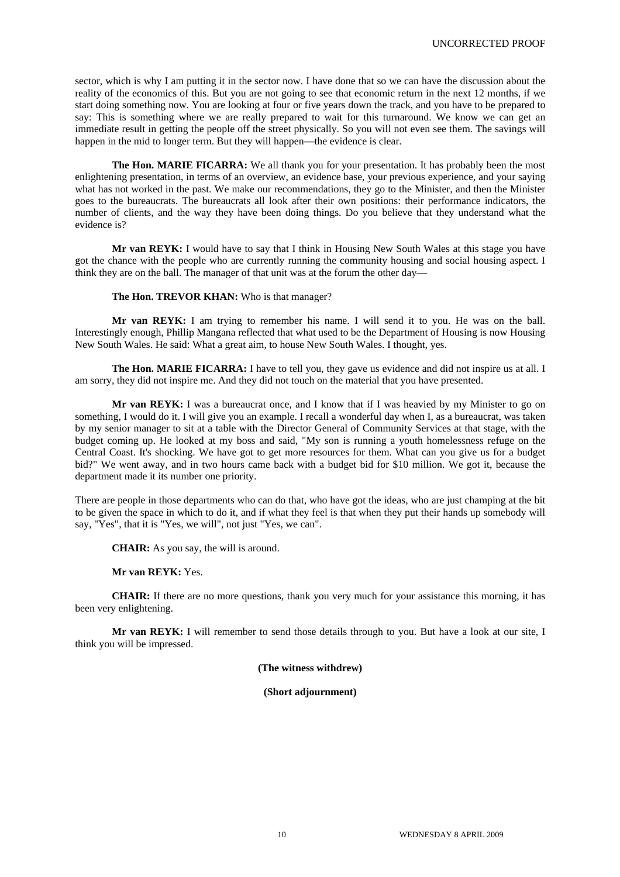sector, which is why I am putting it in the sector now. I have done that so we can have the discussion about the reality of the economics of this. But you are not going to see that economic return in the next 12 months, if we start doing something now. You are looking at four or five years down the track, and you have to be prepared to say: This is something where we are really prepared to wait for this turnaround. We know we can get an immediate result in getting the people off the street physically. So you will not even see them. The savings will happen in the mid to longer term. But they will happen—the evidence is clear.

**The Hon. MARIE FICARRA:** We all thank you for your presentation. It has probably been the most enlightening presentation, in terms of an overview, an evidence base, your previous experience, and your saying what has not worked in the past. We make our recommendations, they go to the Minister, and then the Minister goes to the bureaucrats. The bureaucrats all look after their own positions: their performance indicators, the number of clients, and the way they have been doing things. Do you believe that they understand what the evidence is?

**Mr van REYK:** I would have to say that I think in Housing New South Wales at this stage you have got the chance with the people who are currently running the community housing and social housing aspect. I think they are on the ball. The manager of that unit was at the forum the other day—

**The Hon. TREVOR KHAN:** Who is that manager?

**Mr van REYK:** I am trying to remember his name. I will send it to you. He was on the ball. Interestingly enough, Phillip Mangana reflected that what used to be the Department of Housing is now Housing New South Wales. He said: What a great aim, to house New South Wales. I thought, yes.

**The Hon. MARIE FICARRA:** I have to tell you, they gave us evidence and did not inspire us at all. I am sorry, they did not inspire me. And they did not touch on the material that you have presented.

**Mr van REYK:** I was a bureaucrat once, and I know that if I was heavied by my Minister to go on something, I would do it. I will give you an example. I recall a wonderful day when I, as a bureaucrat, was taken by my senior manager to sit at a table with the Director General of Community Services at that stage, with the budget coming up. He looked at my boss and said, "My son is running a youth homelessness refuge on the Central Coast. It's shocking. We have got to get more resources for them. What can you give us for a budget bid?" We went away, and in two hours came back with a budget bid for \$10 million. We got it, because the department made it its number one priority.

There are people in those departments who can do that, who have got the ideas, who are just champing at the bit to be given the space in which to do it, and if what they feel is that when they put their hands up somebody will say, "Yes", that it is "Yes, we will", not just "Yes, we can".

**CHAIR:** As you say, the will is around.

**Mr van REYK:** Yes.

**CHAIR:** If there are no more questions, thank you very much for your assistance this morning, it has been very enlightening.

**Mr van REYK:** I will remember to send those details through to you. But have a look at our site, I think you will be impressed.

**(The witness withdrew)** 

**(Short adjournment)**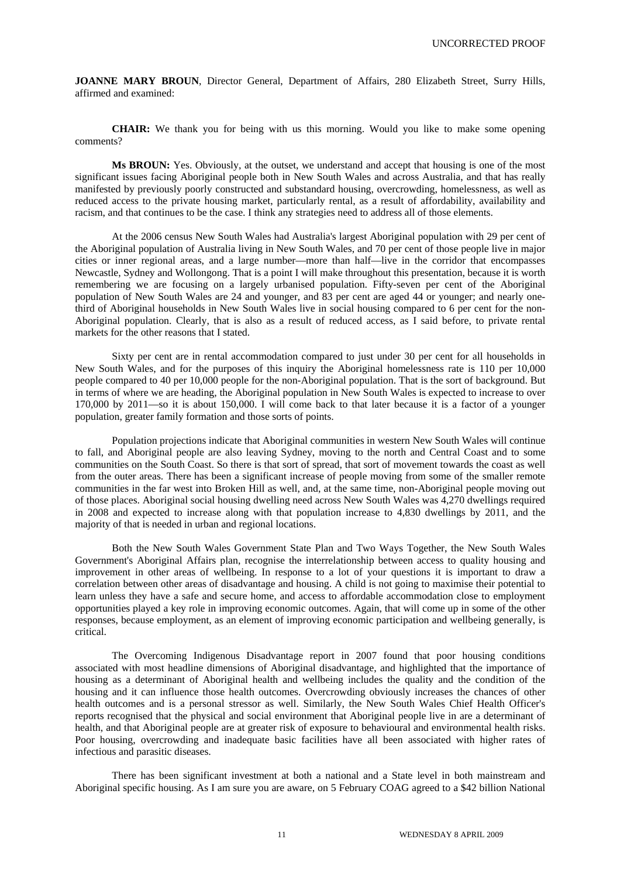**JOANNE MARY BROUN**, Director General, Department of Affairs, 280 Elizabeth Street, Surry Hills, affirmed and examined:

**CHAIR:** We thank you for being with us this morning. Would you like to make some opening comments?

**Ms BROUN:** Yes. Obviously, at the outset, we understand and accept that housing is one of the most significant issues facing Aboriginal people both in New South Wales and across Australia, and that has really manifested by previously poorly constructed and substandard housing, overcrowding, homelessness, as well as reduced access to the private housing market, particularly rental, as a result of affordability, availability and racism, and that continues to be the case. I think any strategies need to address all of those elements.

At the 2006 census New South Wales had Australia's largest Aboriginal population with 29 per cent of the Aboriginal population of Australia living in New South Wales, and 70 per cent of those people live in major cities or inner regional areas, and a large number—more than half—live in the corridor that encompasses Newcastle, Sydney and Wollongong. That is a point I will make throughout this presentation, because it is worth remembering we are focusing on a largely urbanised population. Fifty-seven per cent of the Aboriginal population of New South Wales are 24 and younger, and 83 per cent are aged 44 or younger; and nearly onethird of Aboriginal households in New South Wales live in social housing compared to 6 per cent for the non-Aboriginal population. Clearly, that is also as a result of reduced access, as I said before, to private rental markets for the other reasons that I stated.

Sixty per cent are in rental accommodation compared to just under 30 per cent for all households in New South Wales, and for the purposes of this inquiry the Aboriginal homelessness rate is 110 per 10,000 people compared to 40 per 10,000 people for the non-Aboriginal population. That is the sort of background. But in terms of where we are heading, the Aboriginal population in New South Wales is expected to increase to over 170,000 by 2011—so it is about 150,000. I will come back to that later because it is a factor of a younger population, greater family formation and those sorts of points.

Population projections indicate that Aboriginal communities in western New South Wales will continue to fall, and Aboriginal people are also leaving Sydney, moving to the north and Central Coast and to some communities on the South Coast. So there is that sort of spread, that sort of movement towards the coast as well from the outer areas. There has been a significant increase of people moving from some of the smaller remote communities in the far west into Broken Hill as well, and, at the same time, non-Aboriginal people moving out of those places. Aboriginal social housing dwelling need across New South Wales was 4,270 dwellings required in 2008 and expected to increase along with that population increase to 4,830 dwellings by 2011, and the majority of that is needed in urban and regional locations.

Both the New South Wales Government State Plan and Two Ways Together, the New South Wales Government's Aboriginal Affairs plan, recognise the interrelationship between access to quality housing and improvement in other areas of wellbeing. In response to a lot of your questions it is important to draw a correlation between other areas of disadvantage and housing. A child is not going to maximise their potential to learn unless they have a safe and secure home, and access to affordable accommodation close to employment opportunities played a key role in improving economic outcomes. Again, that will come up in some of the other responses, because employment, as an element of improving economic participation and wellbeing generally, is critical.

The Overcoming Indigenous Disadvantage report in 2007 found that poor housing conditions associated with most headline dimensions of Aboriginal disadvantage, and highlighted that the importance of housing as a determinant of Aboriginal health and wellbeing includes the quality and the condition of the housing and it can influence those health outcomes. Overcrowding obviously increases the chances of other health outcomes and is a personal stressor as well. Similarly, the New South Wales Chief Health Officer's reports recognised that the physical and social environment that Aboriginal people live in are a determinant of health, and that Aboriginal people are at greater risk of exposure to behavioural and environmental health risks. Poor housing, overcrowding and inadequate basic facilities have all been associated with higher rates of infectious and parasitic diseases.

There has been significant investment at both a national and a State level in both mainstream and Aboriginal specific housing. As I am sure you are aware, on 5 February COAG agreed to a \$42 billion National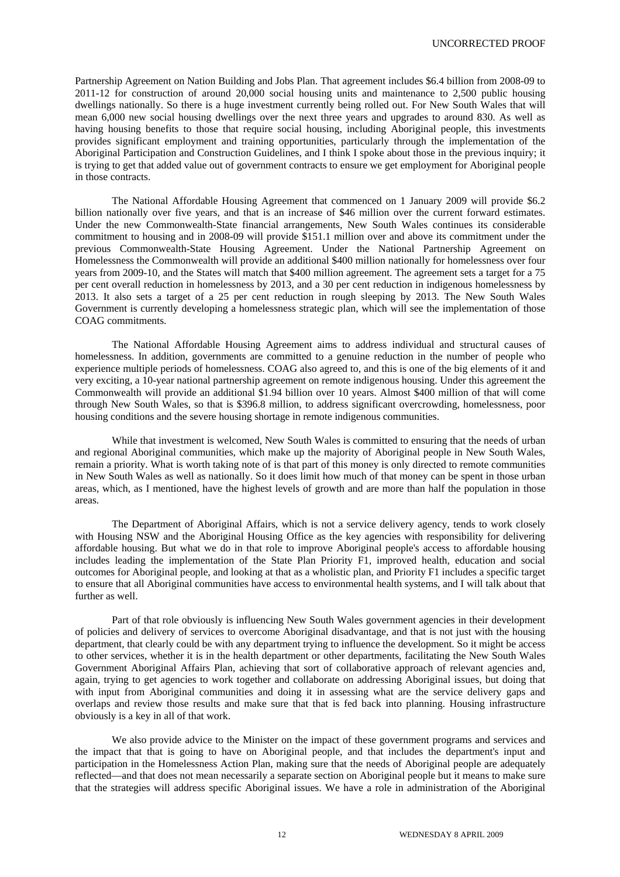Partnership Agreement on Nation Building and Jobs Plan. That agreement includes \$6.4 billion from 2008-09 to 2011-12 for construction of around 20,000 social housing units and maintenance to 2,500 public housing dwellings nationally. So there is a huge investment currently being rolled out. For New South Wales that will mean 6,000 new social housing dwellings over the next three years and upgrades to around 830. As well as having housing benefits to those that require social housing, including Aboriginal people, this investments provides significant employment and training opportunities, particularly through the implementation of the Aboriginal Participation and Construction Guidelines, and I think I spoke about those in the previous inquiry; it is trying to get that added value out of government contracts to ensure we get employment for Aboriginal people in those contracts.

The National Affordable Housing Agreement that commenced on 1 January 2009 will provide \$6.2 billion nationally over five years, and that is an increase of \$46 million over the current forward estimates. Under the new Commonwealth-State financial arrangements, New South Wales continues its considerable commitment to housing and in 2008-09 will provide \$151.1 million over and above its commitment under the previous Commonwealth-State Housing Agreement. Under the National Partnership Agreement on Homelessness the Commonwealth will provide an additional \$400 million nationally for homelessness over four years from 2009-10, and the States will match that \$400 million agreement. The agreement sets a target for a 75 per cent overall reduction in homelessness by 2013, and a 30 per cent reduction in indigenous homelessness by 2013. It also sets a target of a 25 per cent reduction in rough sleeping by 2013. The New South Wales Government is currently developing a homelessness strategic plan, which will see the implementation of those COAG commitments.

The National Affordable Housing Agreement aims to address individual and structural causes of homelessness. In addition, governments are committed to a genuine reduction in the number of people who experience multiple periods of homelessness. COAG also agreed to, and this is one of the big elements of it and very exciting, a 10-year national partnership agreement on remote indigenous housing. Under this agreement the Commonwealth will provide an additional \$1.94 billion over 10 years. Almost \$400 million of that will come through New South Wales, so that is \$396.8 million, to address significant overcrowding, homelessness, poor housing conditions and the severe housing shortage in remote indigenous communities.

While that investment is welcomed, New South Wales is committed to ensuring that the needs of urban and regional Aboriginal communities, which make up the majority of Aboriginal people in New South Wales, remain a priority. What is worth taking note of is that part of this money is only directed to remote communities in New South Wales as well as nationally. So it does limit how much of that money can be spent in those urban areas, which, as I mentioned, have the highest levels of growth and are more than half the population in those areas.

The Department of Aboriginal Affairs, which is not a service delivery agency, tends to work closely with Housing NSW and the Aboriginal Housing Office as the key agencies with responsibility for delivering affordable housing. But what we do in that role to improve Aboriginal people's access to affordable housing includes leading the implementation of the State Plan Priority F1, improved health, education and social outcomes for Aboriginal people, and looking at that as a wholistic plan, and Priority F1 includes a specific target to ensure that all Aboriginal communities have access to environmental health systems, and I will talk about that further as well.

Part of that role obviously is influencing New South Wales government agencies in their development of policies and delivery of services to overcome Aboriginal disadvantage, and that is not just with the housing department, that clearly could be with any department trying to influence the development. So it might be access to other services, whether it is in the health department or other departments, facilitating the New South Wales Government Aboriginal Affairs Plan, achieving that sort of collaborative approach of relevant agencies and, again, trying to get agencies to work together and collaborate on addressing Aboriginal issues, but doing that with input from Aboriginal communities and doing it in assessing what are the service delivery gaps and overlaps and review those results and make sure that that is fed back into planning. Housing infrastructure obviously is a key in all of that work.

We also provide advice to the Minister on the impact of these government programs and services and the impact that that is going to have on Aboriginal people, and that includes the department's input and participation in the Homelessness Action Plan, making sure that the needs of Aboriginal people are adequately reflected—and that does not mean necessarily a separate section on Aboriginal people but it means to make sure that the strategies will address specific Aboriginal issues. We have a role in administration of the Aboriginal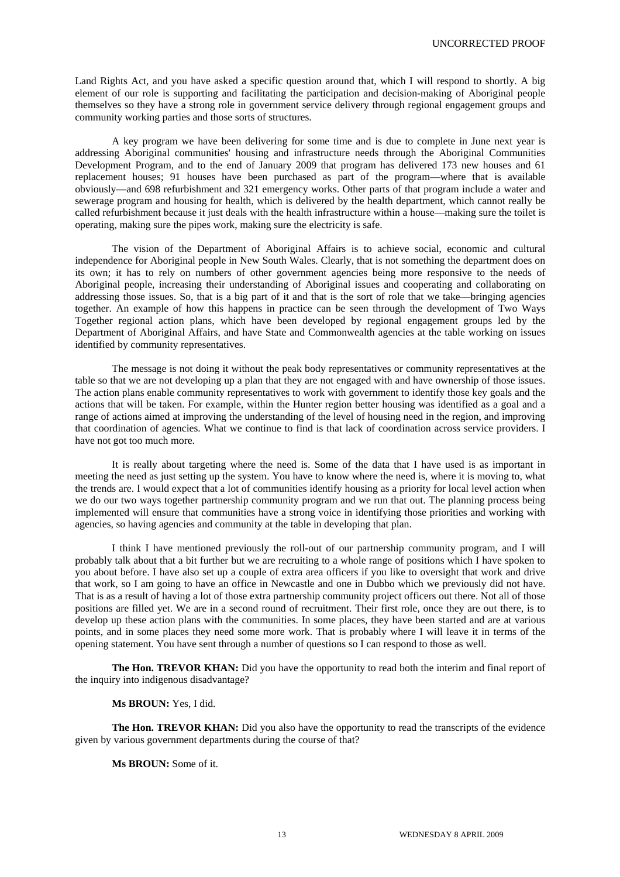Land Rights Act, and you have asked a specific question around that, which I will respond to shortly. A big element of our role is supporting and facilitating the participation and decision-making of Aboriginal people themselves so they have a strong role in government service delivery through regional engagement groups and community working parties and those sorts of structures.

A key program we have been delivering for some time and is due to complete in June next year is addressing Aboriginal communities' housing and infrastructure needs through the Aboriginal Communities Development Program, and to the end of January 2009 that program has delivered 173 new houses and 61 replacement houses; 91 houses have been purchased as part of the program—where that is available obviously—and 698 refurbishment and 321 emergency works. Other parts of that program include a water and sewerage program and housing for health, which is delivered by the health department, which cannot really be called refurbishment because it just deals with the health infrastructure within a house—making sure the toilet is operating, making sure the pipes work, making sure the electricity is safe.

The vision of the Department of Aboriginal Affairs is to achieve social, economic and cultural independence for Aboriginal people in New South Wales. Clearly, that is not something the department does on its own; it has to rely on numbers of other government agencies being more responsive to the needs of Aboriginal people, increasing their understanding of Aboriginal issues and cooperating and collaborating on addressing those issues. So, that is a big part of it and that is the sort of role that we take—bringing agencies together. An example of how this happens in practice can be seen through the development of Two Ways Together regional action plans, which have been developed by regional engagement groups led by the Department of Aboriginal Affairs, and have State and Commonwealth agencies at the table working on issues identified by community representatives.

The message is not doing it without the peak body representatives or community representatives at the table so that we are not developing up a plan that they are not engaged with and have ownership of those issues. The action plans enable community representatives to work with government to identify those key goals and the actions that will be taken. For example, within the Hunter region better housing was identified as a goal and a range of actions aimed at improving the understanding of the level of housing need in the region, and improving that coordination of agencies. What we continue to find is that lack of coordination across service providers. I have not got too much more.

It is really about targeting where the need is. Some of the data that I have used is as important in meeting the need as just setting up the system. You have to know where the need is, where it is moving to, what the trends are. I would expect that a lot of communities identify housing as a priority for local level action when we do our two ways together partnership community program and we run that out. The planning process being implemented will ensure that communities have a strong voice in identifying those priorities and working with agencies, so having agencies and community at the table in developing that plan.

I think I have mentioned previously the roll-out of our partnership community program, and I will probably talk about that a bit further but we are recruiting to a whole range of positions which I have spoken to you about before. I have also set up a couple of extra area officers if you like to oversight that work and drive that work, so I am going to have an office in Newcastle and one in Dubbo which we previously did not have. That is as a result of having a lot of those extra partnership community project officers out there. Not all of those positions are filled yet. We are in a second round of recruitment. Their first role, once they are out there, is to develop up these action plans with the communities. In some places, they have been started and are at various points, and in some places they need some more work. That is probably where I will leave it in terms of the opening statement. You have sent through a number of questions so I can respond to those as well.

**The Hon. TREVOR KHAN:** Did you have the opportunity to read both the interim and final report of the inquiry into indigenous disadvantage?

## **Ms BROUN:** Yes, I did.

**The Hon. TREVOR KHAN:** Did you also have the opportunity to read the transcripts of the evidence given by various government departments during the course of that?

# **Ms BROUN:** Some of it.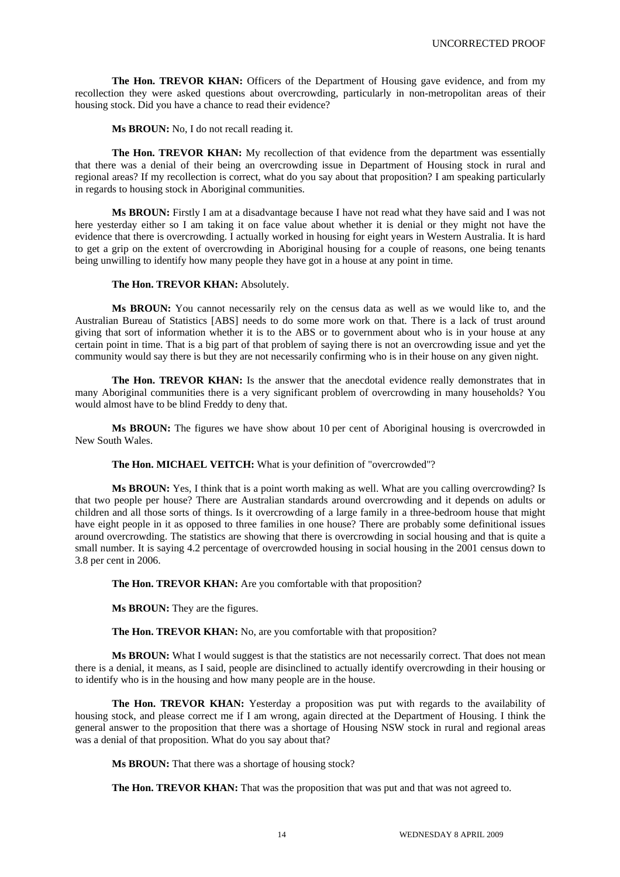**The Hon. TREVOR KHAN:** Officers of the Department of Housing gave evidence, and from my recollection they were asked questions about overcrowding, particularly in non-metropolitan areas of their housing stock. Did you have a chance to read their evidence?

Ms BROUN: No, I do not recall reading it.

**The Hon. TREVOR KHAN:** My recollection of that evidence from the department was essentially that there was a denial of their being an overcrowding issue in Department of Housing stock in rural and regional areas? If my recollection is correct, what do you say about that proposition? I am speaking particularly in regards to housing stock in Aboriginal communities.

**Ms BROUN:** Firstly I am at a disadvantage because I have not read what they have said and I was not here yesterday either so I am taking it on face value about whether it is denial or they might not have the evidence that there is overcrowding. I actually worked in housing for eight years in Western Australia. It is hard to get a grip on the extent of overcrowding in Aboriginal housing for a couple of reasons, one being tenants being unwilling to identify how many people they have got in a house at any point in time.

## **The Hon. TREVOR KHAN:** Absolutely.

**Ms BROUN:** You cannot necessarily rely on the census data as well as we would like to, and the Australian Bureau of Statistics [ABS] needs to do some more work on that. There is a lack of trust around giving that sort of information whether it is to the ABS or to government about who is in your house at any certain point in time. That is a big part of that problem of saying there is not an overcrowding issue and yet the community would say there is but they are not necessarily confirming who is in their house on any given night.

The Hon. TREVOR KHAN: Is the answer that the anecdotal evidence really demonstrates that in many Aboriginal communities there is a very significant problem of overcrowding in many households? You would almost have to be blind Freddy to deny that.

**Ms BROUN:** The figures we have show about 10 per cent of Aboriginal housing is overcrowded in New South Wales.

**The Hon. MICHAEL VEITCH:** What is your definition of "overcrowded"?

**Ms BROUN:** Yes, I think that is a point worth making as well. What are you calling overcrowding? Is that two people per house? There are Australian standards around overcrowding and it depends on adults or children and all those sorts of things. Is it overcrowding of a large family in a three-bedroom house that might have eight people in it as opposed to three families in one house? There are probably some definitional issues around overcrowding. The statistics are showing that there is overcrowding in social housing and that is quite a small number. It is saying 4.2 percentage of overcrowded housing in social housing in the 2001 census down to 3.8 per cent in 2006.

**The Hon. TREVOR KHAN:** Are you comfortable with that proposition?

**Ms BROUN:** They are the figures.

The Hon. TREVOR KHAN: No, are you comfortable with that proposition?

**Ms BROUN:** What I would suggest is that the statistics are not necessarily correct. That does not mean there is a denial, it means, as I said, people are disinclined to actually identify overcrowding in their housing or to identify who is in the housing and how many people are in the house.

**The Hon. TREVOR KHAN:** Yesterday a proposition was put with regards to the availability of housing stock, and please correct me if I am wrong, again directed at the Department of Housing. I think the general answer to the proposition that there was a shortage of Housing NSW stock in rural and regional areas was a denial of that proposition. What do you say about that?

**Ms BROUN:** That there was a shortage of housing stock?

The Hon. TREVOR KHAN: That was the proposition that was put and that was not agreed to.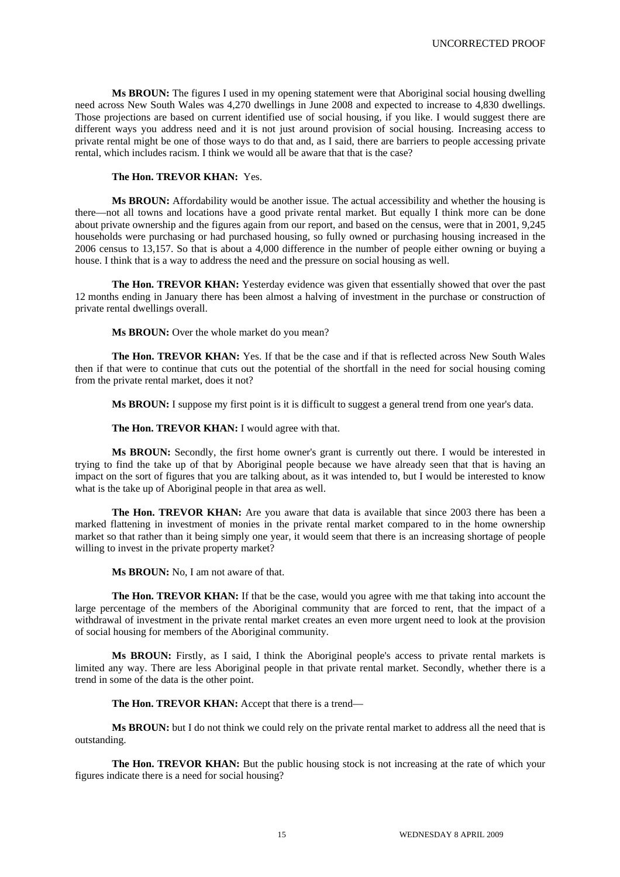**Ms BROUN:** The figures I used in my opening statement were that Aboriginal social housing dwelling need across New South Wales was 4,270 dwellings in June 2008 and expected to increase to 4,830 dwellings. Those projections are based on current identified use of social housing, if you like. I would suggest there are different ways you address need and it is not just around provision of social housing. Increasing access to private rental might be one of those ways to do that and, as I said, there are barriers to people accessing private rental, which includes racism. I think we would all be aware that that is the case?

# **The Hon. TREVOR KHAN:** Yes.

**Ms BROUN:** Affordability would be another issue. The actual accessibility and whether the housing is there—not all towns and locations have a good private rental market. But equally I think more can be done about private ownership and the figures again from our report, and based on the census, were that in 2001, 9,245 households were purchasing or had purchased housing, so fully owned or purchasing housing increased in the 2006 census to 13,157. So that is about a 4,000 difference in the number of people either owning or buying a house. I think that is a way to address the need and the pressure on social housing as well.

**The Hon. TREVOR KHAN:** Yesterday evidence was given that essentially showed that over the past 12 months ending in January there has been almost a halving of investment in the purchase or construction of private rental dwellings overall.

**Ms BROUN:** Over the whole market do you mean?

**The Hon. TREVOR KHAN:** Yes. If that be the case and if that is reflected across New South Wales then if that were to continue that cuts out the potential of the shortfall in the need for social housing coming from the private rental market, does it not?

**Ms BROUN:** I suppose my first point is it is difficult to suggest a general trend from one year's data.

The Hon. TREVOR KHAN: I would agree with that.

**Ms BROUN:** Secondly, the first home owner's grant is currently out there. I would be interested in trying to find the take up of that by Aboriginal people because we have already seen that that is having an impact on the sort of figures that you are talking about, as it was intended to, but I would be interested to know what is the take up of Aboriginal people in that area as well.

**The Hon. TREVOR KHAN:** Are you aware that data is available that since 2003 there has been a marked flattening in investment of monies in the private rental market compared to in the home ownership market so that rather than it being simply one year, it would seem that there is an increasing shortage of people willing to invest in the private property market?

**Ms BROUN:** No, I am not aware of that.

**The Hon. TREVOR KHAN:** If that be the case, would you agree with me that taking into account the large percentage of the members of the Aboriginal community that are forced to rent, that the impact of a withdrawal of investment in the private rental market creates an even more urgent need to look at the provision of social housing for members of the Aboriginal community.

**Ms BROUN:** Firstly, as I said, I think the Aboriginal people's access to private rental markets is limited any way. There are less Aboriginal people in that private rental market. Secondly, whether there is a trend in some of the data is the other point.

**The Hon. TREVOR KHAN:** Accept that there is a trend—

**Ms BROUN:** but I do not think we could rely on the private rental market to address all the need that is outstanding.

The Hon. TREVOR KHAN: But the public housing stock is not increasing at the rate of which your figures indicate there is a need for social housing?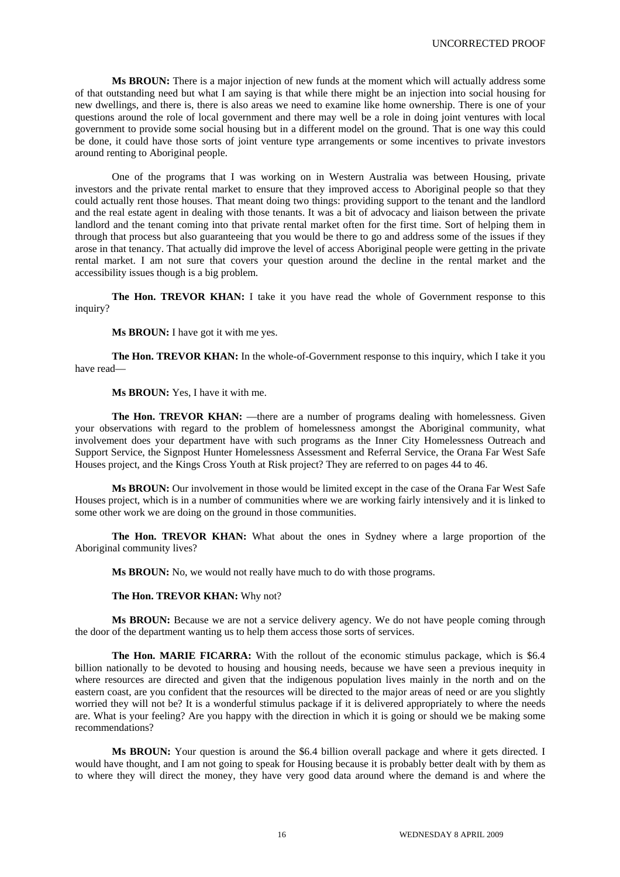**Ms BROUN:** There is a major injection of new funds at the moment which will actually address some of that outstanding need but what I am saying is that while there might be an injection into social housing for new dwellings, and there is, there is also areas we need to examine like home ownership. There is one of your questions around the role of local government and there may well be a role in doing joint ventures with local government to provide some social housing but in a different model on the ground. That is one way this could be done, it could have those sorts of joint venture type arrangements or some incentives to private investors around renting to Aboriginal people.

One of the programs that I was working on in Western Australia was between Housing, private investors and the private rental market to ensure that they improved access to Aboriginal people so that they could actually rent those houses. That meant doing two things: providing support to the tenant and the landlord and the real estate agent in dealing with those tenants. It was a bit of advocacy and liaison between the private landlord and the tenant coming into that private rental market often for the first time. Sort of helping them in through that process but also guaranteeing that you would be there to go and address some of the issues if they arose in that tenancy. That actually did improve the level of access Aboriginal people were getting in the private rental market. I am not sure that covers your question around the decline in the rental market and the accessibility issues though is a big problem.

**The Hon. TREVOR KHAN:** I take it you have read the whole of Government response to this inquiry?

**Ms BROUN:** I have got it with me yes.

**The Hon. TREVOR KHAN:** In the whole-of-Government response to this inquiry, which I take it you have read—

**Ms BROUN:** Yes, I have it with me.

**The Hon. TREVOR KHAN:** —there are a number of programs dealing with homelessness. Given your observations with regard to the problem of homelessness amongst the Aboriginal community, what involvement does your department have with such programs as the Inner City Homelessness Outreach and Support Service, the Signpost Hunter Homelessness Assessment and Referral Service, the Orana Far West Safe Houses project, and the Kings Cross Youth at Risk project? They are referred to on pages 44 to 46.

**Ms BROUN:** Our involvement in those would be limited except in the case of the Orana Far West Safe Houses project, which is in a number of communities where we are working fairly intensively and it is linked to some other work we are doing on the ground in those communities.

**The Hon. TREVOR KHAN:** What about the ones in Sydney where a large proportion of the Aboriginal community lives?

**Ms BROUN:** No, we would not really have much to do with those programs.

#### **The Hon. TREVOR KHAN:** Why not?

**Ms BROUN:** Because we are not a service delivery agency. We do not have people coming through the door of the department wanting us to help them access those sorts of services.

**The Hon. MARIE FICARRA:** With the rollout of the economic stimulus package, which is \$6.4 billion nationally to be devoted to housing and housing needs, because we have seen a previous inequity in where resources are directed and given that the indigenous population lives mainly in the north and on the eastern coast, are you confident that the resources will be directed to the major areas of need or are you slightly worried they will not be? It is a wonderful stimulus package if it is delivered appropriately to where the needs are. What is your feeling? Are you happy with the direction in which it is going or should we be making some recommendations?

**Ms BROUN:** Your question is around the \$6.4 billion overall package and where it gets directed. I would have thought, and I am not going to speak for Housing because it is probably better dealt with by them as to where they will direct the money, they have very good data around where the demand is and where the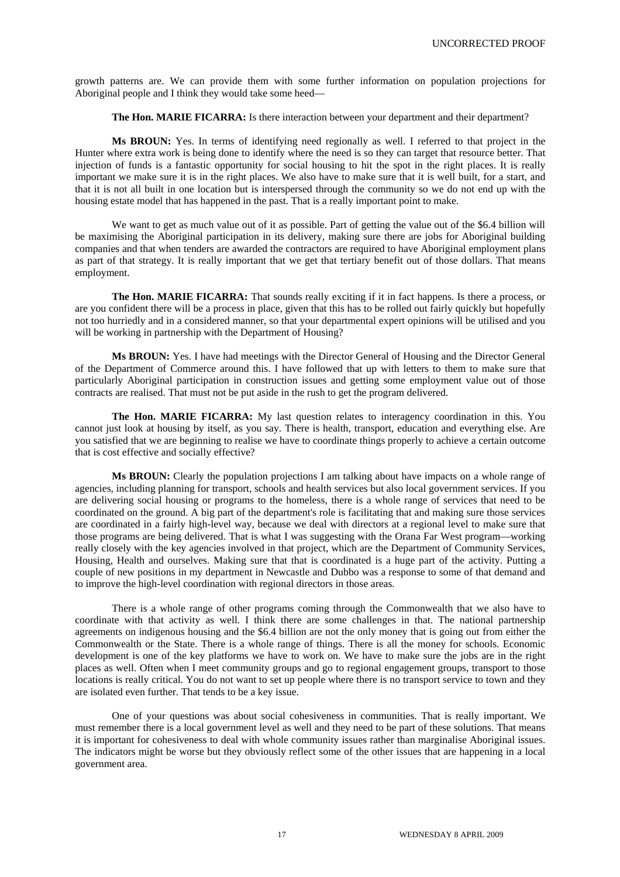growth patterns are. We can provide them with some further information on population projections for Aboriginal people and I think they would take some heed—

**The Hon. MARIE FICARRA:** Is there interaction between your department and their department?

**Ms BROUN:** Yes. In terms of identifying need regionally as well. I referred to that project in the Hunter where extra work is being done to identify where the need is so they can target that resource better. That injection of funds is a fantastic opportunity for social housing to hit the spot in the right places. It is really important we make sure it is in the right places. We also have to make sure that it is well built, for a start, and that it is not all built in one location but is interspersed through the community so we do not end up with the housing estate model that has happened in the past. That is a really important point to make.

We want to get as much value out of it as possible. Part of getting the value out of the \$6.4 billion will be maximising the Aboriginal participation in its delivery, making sure there are jobs for Aboriginal building companies and that when tenders are awarded the contractors are required to have Aboriginal employment plans as part of that strategy. It is really important that we get that tertiary benefit out of those dollars. That means employment.

**The Hon. MARIE FICARRA:** That sounds really exciting if it in fact happens. Is there a process, or are you confident there will be a process in place, given that this has to be rolled out fairly quickly but hopefully not too hurriedly and in a considered manner, so that your departmental expert opinions will be utilised and you will be working in partnership with the Department of Housing?

**Ms BROUN:** Yes. I have had meetings with the Director General of Housing and the Director General of the Department of Commerce around this. I have followed that up with letters to them to make sure that particularly Aboriginal participation in construction issues and getting some employment value out of those contracts are realised. That must not be put aside in the rush to get the program delivered.

**The Hon. MARIE FICARRA:** My last question relates to interagency coordination in this. You cannot just look at housing by itself, as you say. There is health, transport, education and everything else. Are you satisfied that we are beginning to realise we have to coordinate things properly to achieve a certain outcome that is cost effective and socially effective?

**Ms BROUN:** Clearly the population projections I am talking about have impacts on a whole range of agencies, including planning for transport, schools and health services but also local government services. If you are delivering social housing or programs to the homeless, there is a whole range of services that need to be coordinated on the ground. A big part of the department's role is facilitating that and making sure those services are coordinated in a fairly high-level way, because we deal with directors at a regional level to make sure that those programs are being delivered. That is what I was suggesting with the Orana Far West program—working really closely with the key agencies involved in that project, which are the Department of Community Services, Housing, Health and ourselves. Making sure that that is coordinated is a huge part of the activity. Putting a couple of new positions in my department in Newcastle and Dubbo was a response to some of that demand and to improve the high-level coordination with regional directors in those areas.

There is a whole range of other programs coming through the Commonwealth that we also have to coordinate with that activity as well. I think there are some challenges in that. The national partnership agreements on indigenous housing and the \$6.4 billion are not the only money that is going out from either the Commonwealth or the State. There is a whole range of things. There is all the money for schools. Economic development is one of the key platforms we have to work on. We have to make sure the jobs are in the right places as well. Often when I meet community groups and go to regional engagement groups, transport to those locations is really critical. You do not want to set up people where there is no transport service to town and they are isolated even further. That tends to be a key issue.

One of your questions was about social cohesiveness in communities. That is really important. We must remember there is a local government level as well and they need to be part of these solutions. That means it is important for cohesiveness to deal with whole community issues rather than marginalise Aboriginal issues. The indicators might be worse but they obviously reflect some of the other issues that are happening in a local government area.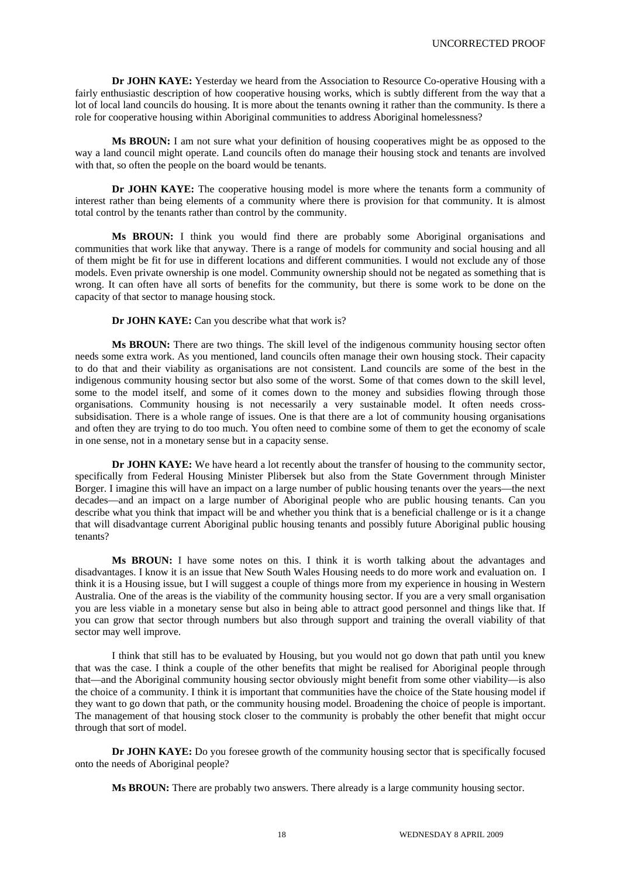**Dr JOHN KAYE:** Yesterday we heard from the Association to Resource Co-operative Housing with a fairly enthusiastic description of how cooperative housing works, which is subtly different from the way that a lot of local land councils do housing. It is more about the tenants owning it rather than the community. Is there a role for cooperative housing within Aboriginal communities to address Aboriginal homelessness?

**Ms BROUN:** I am not sure what your definition of housing cooperatives might be as opposed to the way a land council might operate. Land councils often do manage their housing stock and tenants are involved with that, so often the people on the board would be tenants.

**Dr JOHN KAYE:** The cooperative housing model is more where the tenants form a community of interest rather than being elements of a community where there is provision for that community. It is almost total control by the tenants rather than control by the community.

**Ms BROUN:** I think you would find there are probably some Aboriginal organisations and communities that work like that anyway. There is a range of models for community and social housing and all of them might be fit for use in different locations and different communities. I would not exclude any of those models. Even private ownership is one model. Community ownership should not be negated as something that is wrong. It can often have all sorts of benefits for the community, but there is some work to be done on the capacity of that sector to manage housing stock.

**Dr JOHN KAYE:** Can you describe what that work is?

**Ms BROUN:** There are two things. The skill level of the indigenous community housing sector often needs some extra work. As you mentioned, land councils often manage their own housing stock. Their capacity to do that and their viability as organisations are not consistent. Land councils are some of the best in the indigenous community housing sector but also some of the worst. Some of that comes down to the skill level, some to the model itself, and some of it comes down to the money and subsidies flowing through those organisations. Community housing is not necessarily a very sustainable model. It often needs crosssubsidisation. There is a whole range of issues. One is that there are a lot of community housing organisations and often they are trying to do too much. You often need to combine some of them to get the economy of scale in one sense, not in a monetary sense but in a capacity sense.

**Dr JOHN KAYE:** We have heard a lot recently about the transfer of housing to the community sector, specifically from Federal Housing Minister Plibersek but also from the State Government through Minister Borger. I imagine this will have an impact on a large number of public housing tenants over the years—the next decades—and an impact on a large number of Aboriginal people who are public housing tenants. Can you describe what you think that impact will be and whether you think that is a beneficial challenge or is it a change that will disadvantage current Aboriginal public housing tenants and possibly future Aboriginal public housing tenants?

**Ms BROUN:** I have some notes on this. I think it is worth talking about the advantages and disadvantages. I know it is an issue that New South Wales Housing needs to do more work and evaluation on. I think it is a Housing issue, but I will suggest a couple of things more from my experience in housing in Western Australia. One of the areas is the viability of the community housing sector. If you are a very small organisation you are less viable in a monetary sense but also in being able to attract good personnel and things like that. If you can grow that sector through numbers but also through support and training the overall viability of that sector may well improve.

I think that still has to be evaluated by Housing, but you would not go down that path until you knew that was the case. I think a couple of the other benefits that might be realised for Aboriginal people through that—and the Aboriginal community housing sector obviously might benefit from some other viability—is also the choice of a community. I think it is important that communities have the choice of the State housing model if they want to go down that path, or the community housing model. Broadening the choice of people is important. The management of that housing stock closer to the community is probably the other benefit that might occur through that sort of model.

**Dr JOHN KAYE:** Do you foresee growth of the community housing sector that is specifically focused onto the needs of Aboriginal people?

**Ms BROUN:** There are probably two answers. There already is a large community housing sector.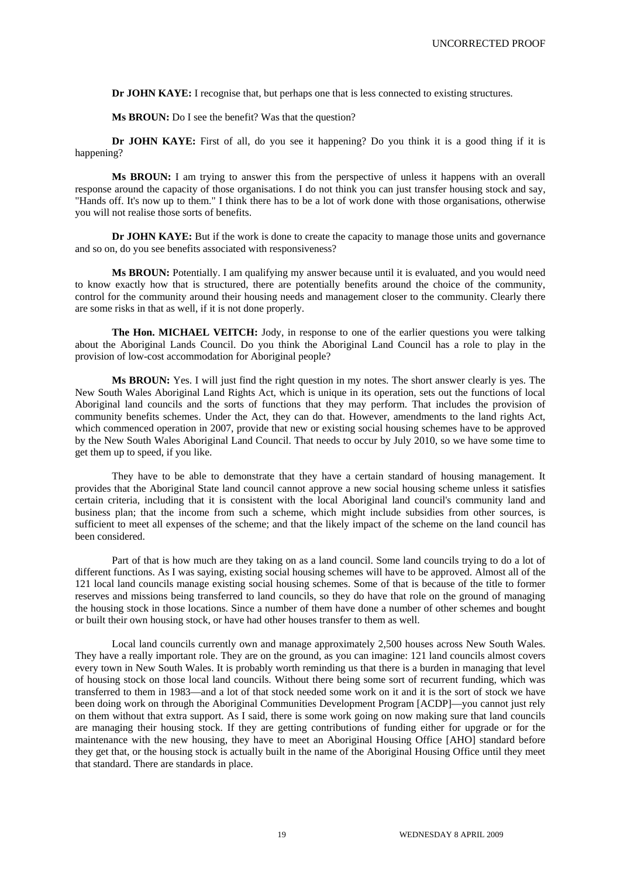**Dr JOHN KAYE:** I recognise that, but perhaps one that is less connected to existing structures.

**Ms BROUN:** Do I see the benefit? Was that the question?

**Dr JOHN KAYE:** First of all, do you see it happening? Do you think it is a good thing if it is happening?

**Ms BROUN:** I am trying to answer this from the perspective of unless it happens with an overall response around the capacity of those organisations. I do not think you can just transfer housing stock and say, "Hands off. It's now up to them." I think there has to be a lot of work done with those organisations, otherwise you will not realise those sorts of benefits.

**Dr JOHN KAYE:** But if the work is done to create the capacity to manage those units and governance and so on, do you see benefits associated with responsiveness?

**Ms BROUN:** Potentially. I am qualifying my answer because until it is evaluated, and you would need to know exactly how that is structured, there are potentially benefits around the choice of the community, control for the community around their housing needs and management closer to the community. Clearly there are some risks in that as well, if it is not done properly.

**The Hon. MICHAEL VEITCH:** Jody, in response to one of the earlier questions you were talking about the Aboriginal Lands Council. Do you think the Aboriginal Land Council has a role to play in the provision of low-cost accommodation for Aboriginal people?

**Ms BROUN:** Yes. I will just find the right question in my notes. The short answer clearly is yes. The New South Wales Aboriginal Land Rights Act, which is unique in its operation, sets out the functions of local Aboriginal land councils and the sorts of functions that they may perform. That includes the provision of community benefits schemes. Under the Act, they can do that. However, amendments to the land rights Act, which commenced operation in 2007, provide that new or existing social housing schemes have to be approved by the New South Wales Aboriginal Land Council. That needs to occur by July 2010, so we have some time to get them up to speed, if you like.

They have to be able to demonstrate that they have a certain standard of housing management. It provides that the Aboriginal State land council cannot approve a new social housing scheme unless it satisfies certain criteria, including that it is consistent with the local Aboriginal land council's community land and business plan; that the income from such a scheme, which might include subsidies from other sources, is sufficient to meet all expenses of the scheme; and that the likely impact of the scheme on the land council has been considered.

Part of that is how much are they taking on as a land council. Some land councils trying to do a lot of different functions. As I was saying, existing social housing schemes will have to be approved. Almost all of the 121 local land councils manage existing social housing schemes. Some of that is because of the title to former reserves and missions being transferred to land councils, so they do have that role on the ground of managing the housing stock in those locations. Since a number of them have done a number of other schemes and bought or built their own housing stock, or have had other houses transfer to them as well.

Local land councils currently own and manage approximately 2,500 houses across New South Wales. They have a really important role. They are on the ground, as you can imagine: 121 land councils almost covers every town in New South Wales. It is probably worth reminding us that there is a burden in managing that level of housing stock on those local land councils. Without there being some sort of recurrent funding, which was transferred to them in 1983—and a lot of that stock needed some work on it and it is the sort of stock we have been doing work on through the Aboriginal Communities Development Program [ACDP]—you cannot just rely on them without that extra support. As I said, there is some work going on now making sure that land councils are managing their housing stock. If they are getting contributions of funding either for upgrade or for the maintenance with the new housing, they have to meet an Aboriginal Housing Office [AHO] standard before they get that, or the housing stock is actually built in the name of the Aboriginal Housing Office until they meet that standard. There are standards in place.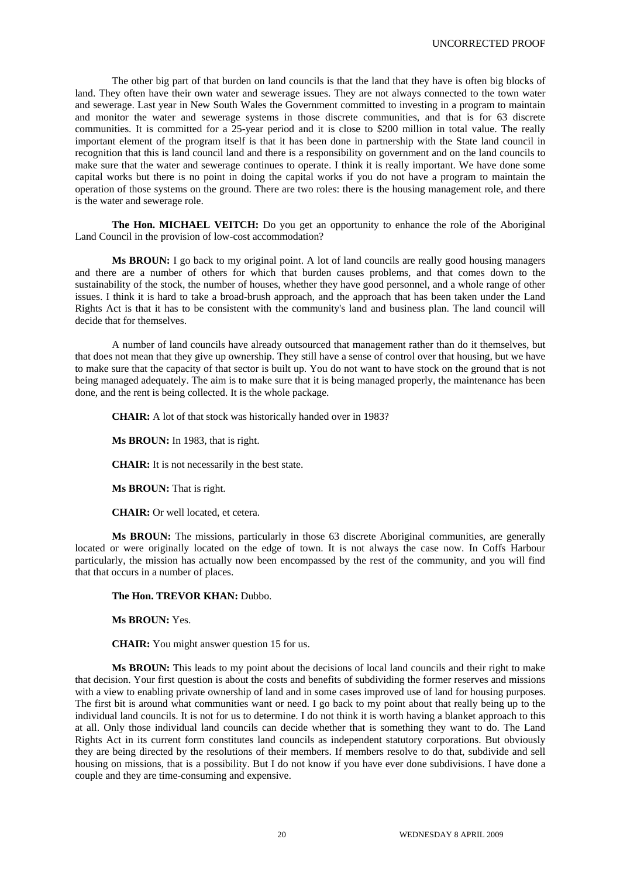The other big part of that burden on land councils is that the land that they have is often big blocks of land. They often have their own water and sewerage issues. They are not always connected to the town water and sewerage. Last year in New South Wales the Government committed to investing in a program to maintain and monitor the water and sewerage systems in those discrete communities, and that is for 63 discrete communities. It is committed for a 25-year period and it is close to \$200 million in total value. The really important element of the program itself is that it has been done in partnership with the State land council in recognition that this is land council land and there is a responsibility on government and on the land councils to make sure that the water and sewerage continues to operate. I think it is really important. We have done some capital works but there is no point in doing the capital works if you do not have a program to maintain the operation of those systems on the ground. There are two roles: there is the housing management role, and there is the water and sewerage role.

**The Hon. MICHAEL VEITCH:** Do you get an opportunity to enhance the role of the Aboriginal Land Council in the provision of low-cost accommodation?

**Ms BROUN:** I go back to my original point. A lot of land councils are really good housing managers and there are a number of others for which that burden causes problems, and that comes down to the sustainability of the stock, the number of houses, whether they have good personnel, and a whole range of other issues. I think it is hard to take a broad-brush approach, and the approach that has been taken under the Land Rights Act is that it has to be consistent with the community's land and business plan. The land council will decide that for themselves.

A number of land councils have already outsourced that management rather than do it themselves, but that does not mean that they give up ownership. They still have a sense of control over that housing, but we have to make sure that the capacity of that sector is built up. You do not want to have stock on the ground that is not being managed adequately. The aim is to make sure that it is being managed properly, the maintenance has been done, and the rent is being collected. It is the whole package.

**CHAIR:** A lot of that stock was historically handed over in 1983?

**Ms BROUN:** In 1983, that is right.

**CHAIR:** It is not necessarily in the best state.

**Ms BROUN:** That is right.

**CHAIR:** Or well located, et cetera.

**Ms BROUN:** The missions, particularly in those 63 discrete Aboriginal communities, are generally located or were originally located on the edge of town. It is not always the case now. In Coffs Harbour particularly, the mission has actually now been encompassed by the rest of the community, and you will find that that occurs in a number of places.

#### **The Hon. TREVOR KHAN:** Dubbo.

**Ms BROUN:** Yes.

**CHAIR:** You might answer question 15 for us.

**Ms BROUN:** This leads to my point about the decisions of local land councils and their right to make that decision. Your first question is about the costs and benefits of subdividing the former reserves and missions with a view to enabling private ownership of land and in some cases improved use of land for housing purposes. The first bit is around what communities want or need. I go back to my point about that really being up to the individual land councils. It is not for us to determine. I do not think it is worth having a blanket approach to this at all. Only those individual land councils can decide whether that is something they want to do. The Land Rights Act in its current form constitutes land councils as independent statutory corporations. But obviously they are being directed by the resolutions of their members. If members resolve to do that, subdivide and sell housing on missions, that is a possibility. But I do not know if you have ever done subdivisions. I have done a couple and they are time-consuming and expensive.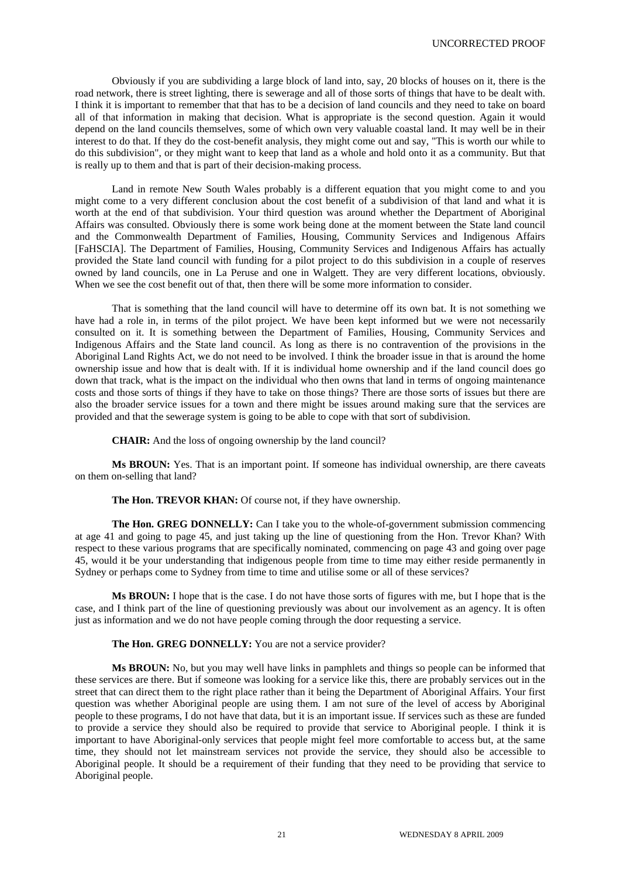Obviously if you are subdividing a large block of land into, say, 20 blocks of houses on it, there is the road network, there is street lighting, there is sewerage and all of those sorts of things that have to be dealt with. I think it is important to remember that that has to be a decision of land councils and they need to take on board all of that information in making that decision. What is appropriate is the second question. Again it would depend on the land councils themselves, some of which own very valuable coastal land. It may well be in their interest to do that. If they do the cost-benefit analysis, they might come out and say, "This is worth our while to do this subdivision", or they might want to keep that land as a whole and hold onto it as a community. But that is really up to them and that is part of their decision-making process.

Land in remote New South Wales probably is a different equation that you might come to and you might come to a very different conclusion about the cost benefit of a subdivision of that land and what it is worth at the end of that subdivision. Your third question was around whether the Department of Aboriginal Affairs was consulted. Obviously there is some work being done at the moment between the State land council and the Commonwealth Department of Families, Housing, Community Services and Indigenous Affairs [FaHSCIA]. The Department of Families, Housing, Community Services and Indigenous Affairs has actually provided the State land council with funding for a pilot project to do this subdivision in a couple of reserves owned by land councils, one in La Peruse and one in Walgett. They are very different locations, obviously. When we see the cost benefit out of that, then there will be some more information to consider.

That is something that the land council will have to determine off its own bat. It is not something we have had a role in, in terms of the pilot project. We have been kept informed but we were not necessarily consulted on it. It is something between the Department of Families, Housing, Community Services and Indigenous Affairs and the State land council. As long as there is no contravention of the provisions in the Aboriginal Land Rights Act, we do not need to be involved. I think the broader issue in that is around the home ownership issue and how that is dealt with. If it is individual home ownership and if the land council does go down that track, what is the impact on the individual who then owns that land in terms of ongoing maintenance costs and those sorts of things if they have to take on those things? There are those sorts of issues but there are also the broader service issues for a town and there might be issues around making sure that the services are provided and that the sewerage system is going to be able to cope with that sort of subdivision.

**CHAIR:** And the loss of ongoing ownership by the land council?

**Ms BROUN:** Yes. That is an important point. If someone has individual ownership, are there caveats on them on-selling that land?

# **The Hon. TREVOR KHAN:** Of course not, if they have ownership.

**The Hon. GREG DONNELLY:** Can I take you to the whole-of-government submission commencing at age 41 and going to page 45, and just taking up the line of questioning from the Hon. Trevor Khan? With respect to these various programs that are specifically nominated, commencing on page 43 and going over page 45, would it be your understanding that indigenous people from time to time may either reside permanently in Sydney or perhaps come to Sydney from time to time and utilise some or all of these services?

**Ms BROUN:** I hope that is the case. I do not have those sorts of figures with me, but I hope that is the case, and I think part of the line of questioning previously was about our involvement as an agency. It is often just as information and we do not have people coming through the door requesting a service.

# **The Hon. GREG DONNELLY:** You are not a service provider?

**Ms BROUN:** No, but you may well have links in pamphlets and things so people can be informed that these services are there. But if someone was looking for a service like this, there are probably services out in the street that can direct them to the right place rather than it being the Department of Aboriginal Affairs. Your first question was whether Aboriginal people are using them. I am not sure of the level of access by Aboriginal people to these programs, I do not have that data, but it is an important issue. If services such as these are funded to provide a service they should also be required to provide that service to Aboriginal people. I think it is important to have Aboriginal-only services that people might feel more comfortable to access but, at the same time, they should not let mainstream services not provide the service, they should also be accessible to Aboriginal people. It should be a requirement of their funding that they need to be providing that service to Aboriginal people.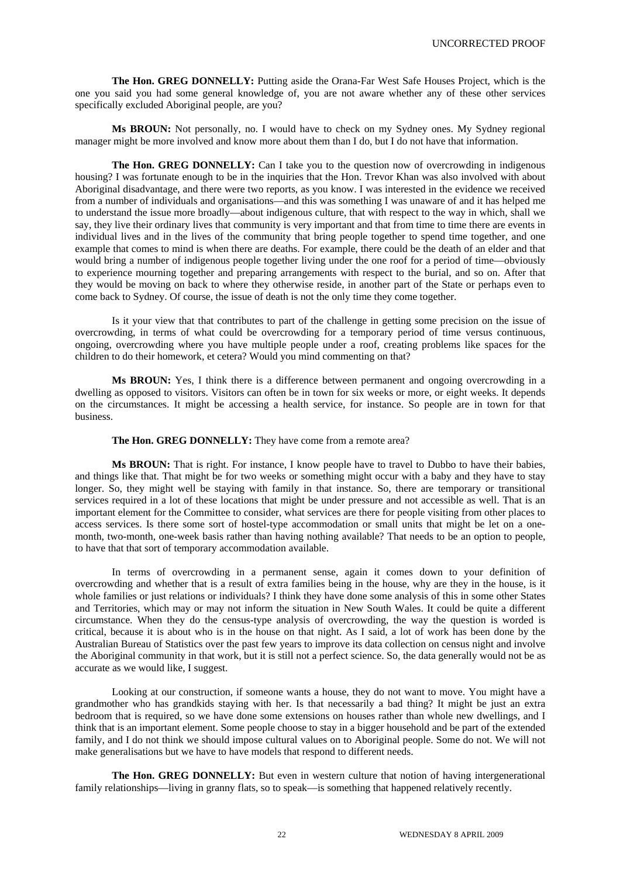**The Hon. GREG DONNELLY:** Putting aside the Orana-Far West Safe Houses Project, which is the one you said you had some general knowledge of, you are not aware whether any of these other services specifically excluded Aboriginal people, are you?

**Ms BROUN:** Not personally, no. I would have to check on my Sydney ones. My Sydney regional manager might be more involved and know more about them than I do, but I do not have that information.

The Hon. GREG DONNELLY: Can I take you to the question now of overcrowding in indigenous housing? I was fortunate enough to be in the inquiries that the Hon. Trevor Khan was also involved with about Aboriginal disadvantage, and there were two reports, as you know. I was interested in the evidence we received from a number of individuals and organisations—and this was something I was unaware of and it has helped me to understand the issue more broadly—about indigenous culture, that with respect to the way in which, shall we say, they live their ordinary lives that community is very important and that from time to time there are events in individual lives and in the lives of the community that bring people together to spend time together, and one example that comes to mind is when there are deaths. For example, there could be the death of an elder and that would bring a number of indigenous people together living under the one roof for a period of time—obviously to experience mourning together and preparing arrangements with respect to the burial, and so on. After that they would be moving on back to where they otherwise reside, in another part of the State or perhaps even to come back to Sydney. Of course, the issue of death is not the only time they come together.

Is it your view that that contributes to part of the challenge in getting some precision on the issue of overcrowding, in terms of what could be overcrowding for a temporary period of time versus continuous, ongoing, overcrowding where you have multiple people under a roof, creating problems like spaces for the children to do their homework, et cetera? Would you mind commenting on that?

**Ms BROUN:** Yes, I think there is a difference between permanent and ongoing overcrowding in a dwelling as opposed to visitors. Visitors can often be in town for six weeks or more, or eight weeks. It depends on the circumstances. It might be accessing a health service, for instance. So people are in town for that business.

**The Hon. GREG DONNELLY:** They have come from a remote area?

**Ms BROUN:** That is right. For instance, I know people have to travel to Dubbo to have their babies, and things like that. That might be for two weeks or something might occur with a baby and they have to stay longer. So, they might well be staying with family in that instance. So, there are temporary or transitional services required in a lot of these locations that might be under pressure and not accessible as well. That is an important element for the Committee to consider, what services are there for people visiting from other places to access services. Is there some sort of hostel-type accommodation or small units that might be let on a onemonth, two-month, one-week basis rather than having nothing available? That needs to be an option to people, to have that that sort of temporary accommodation available.

In terms of overcrowding in a permanent sense, again it comes down to your definition of overcrowding and whether that is a result of extra families being in the house, why are they in the house, is it whole families or just relations or individuals? I think they have done some analysis of this in some other States and Territories, which may or may not inform the situation in New South Wales. It could be quite a different circumstance. When they do the census-type analysis of overcrowding, the way the question is worded is critical, because it is about who is in the house on that night. As I said, a lot of work has been done by the Australian Bureau of Statistics over the past few years to improve its data collection on census night and involve the Aboriginal community in that work, but it is still not a perfect science. So, the data generally would not be as accurate as we would like, I suggest.

Looking at our construction, if someone wants a house, they do not want to move. You might have a grandmother who has grandkids staying with her. Is that necessarily a bad thing? It might be just an extra bedroom that is required, so we have done some extensions on houses rather than whole new dwellings, and I think that is an important element. Some people choose to stay in a bigger household and be part of the extended family, and I do not think we should impose cultural values on to Aboriginal people. Some do not. We will not make generalisations but we have to have models that respond to different needs.

**The Hon. GREG DONNELLY:** But even in western culture that notion of having intergenerational family relationships—living in granny flats, so to speak—is something that happened relatively recently.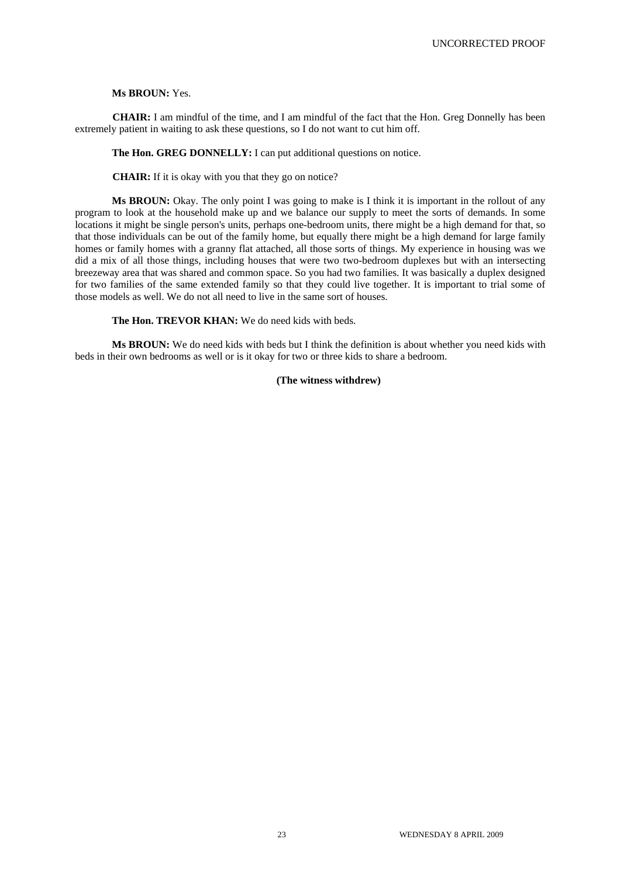## **Ms BROUN:** Yes.

**CHAIR:** I am mindful of the time, and I am mindful of the fact that the Hon. Greg Donnelly has been extremely patient in waiting to ask these questions, so I do not want to cut him off.

# **The Hon. GREG DONNELLY:** I can put additional questions on notice.

**CHAIR:** If it is okay with you that they go on notice?

**Ms BROUN:** Okay. The only point I was going to make is I think it is important in the rollout of any program to look at the household make up and we balance our supply to meet the sorts of demands. In some locations it might be single person's units, perhaps one-bedroom units, there might be a high demand for that, so that those individuals can be out of the family home, but equally there might be a high demand for large family homes or family homes with a granny flat attached, all those sorts of things. My experience in housing was we did a mix of all those things, including houses that were two two-bedroom duplexes but with an intersecting breezeway area that was shared and common space. So you had two families. It was basically a duplex designed for two families of the same extended family so that they could live together. It is important to trial some of those models as well. We do not all need to live in the same sort of houses.

**The Hon. TREVOR KHAN:** We do need kids with beds.

**Ms BROUN:** We do need kids with beds but I think the definition is about whether you need kids with beds in their own bedrooms as well or is it okay for two or three kids to share a bedroom.

# **(The witness withdrew)**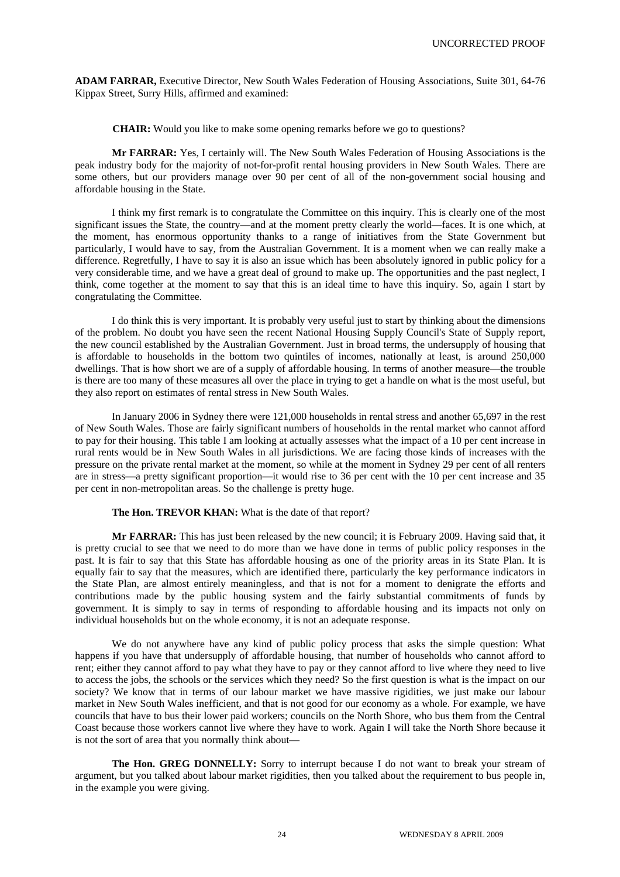**ADAM FARRAR,** Executive Director, New South Wales Federation of Housing Associations, Suite 301, 64-76 Kippax Street, Surry Hills, affirmed and examined:

**CHAIR:** Would you like to make some opening remarks before we go to questions?

**Mr FARRAR:** Yes, I certainly will. The New South Wales Federation of Housing Associations is the peak industry body for the majority of not-for-profit rental housing providers in New South Wales. There are some others, but our providers manage over 90 per cent of all of the non-government social housing and affordable housing in the State.

I think my first remark is to congratulate the Committee on this inquiry. This is clearly one of the most significant issues the State, the country—and at the moment pretty clearly the world—faces. It is one which, at the moment, has enormous opportunity thanks to a range of initiatives from the State Government but particularly, I would have to say, from the Australian Government. It is a moment when we can really make a difference. Regretfully, I have to say it is also an issue which has been absolutely ignored in public policy for a very considerable time, and we have a great deal of ground to make up. The opportunities and the past neglect, I think, come together at the moment to say that this is an ideal time to have this inquiry. So, again I start by congratulating the Committee.

I do think this is very important. It is probably very useful just to start by thinking about the dimensions of the problem. No doubt you have seen the recent National Housing Supply Council's State of Supply report, the new council established by the Australian Government. Just in broad terms, the undersupply of housing that is affordable to households in the bottom two quintiles of incomes, nationally at least, is around 250,000 dwellings. That is how short we are of a supply of affordable housing. In terms of another measure—the trouble is there are too many of these measures all over the place in trying to get a handle on what is the most useful, but they also report on estimates of rental stress in New South Wales.

In January 2006 in Sydney there were 121,000 households in rental stress and another 65,697 in the rest of New South Wales. Those are fairly significant numbers of households in the rental market who cannot afford to pay for their housing. This table I am looking at actually assesses what the impact of a 10 per cent increase in rural rents would be in New South Wales in all jurisdictions. We are facing those kinds of increases with the pressure on the private rental market at the moment, so while at the moment in Sydney 29 per cent of all renters are in stress—a pretty significant proportion—it would rise to 36 per cent with the 10 per cent increase and 35 per cent in non-metropolitan areas. So the challenge is pretty huge.

## **The Hon. TREVOR KHAN:** What is the date of that report?

**Mr FARRAR:** This has just been released by the new council; it is February 2009. Having said that, it is pretty crucial to see that we need to do more than we have done in terms of public policy responses in the past. It is fair to say that this State has affordable housing as one of the priority areas in its State Plan. It is equally fair to say that the measures, which are identified there, particularly the key performance indicators in the State Plan, are almost entirely meaningless, and that is not for a moment to denigrate the efforts and contributions made by the public housing system and the fairly substantial commitments of funds by government. It is simply to say in terms of responding to affordable housing and its impacts not only on individual households but on the whole economy, it is not an adequate response.

We do not anywhere have any kind of public policy process that asks the simple question: What happens if you have that undersupply of affordable housing, that number of households who cannot afford to rent; either they cannot afford to pay what they have to pay or they cannot afford to live where they need to live to access the jobs, the schools or the services which they need? So the first question is what is the impact on our society? We know that in terms of our labour market we have massive rigidities, we just make our labour market in New South Wales inefficient, and that is not good for our economy as a whole. For example, we have councils that have to bus their lower paid workers; councils on the North Shore, who bus them from the Central Coast because those workers cannot live where they have to work. Again I will take the North Shore because it is not the sort of area that you normally think about—

**The Hon. GREG DONNELLY:** Sorry to interrupt because I do not want to break your stream of argument, but you talked about labour market rigidities, then you talked about the requirement to bus people in, in the example you were giving.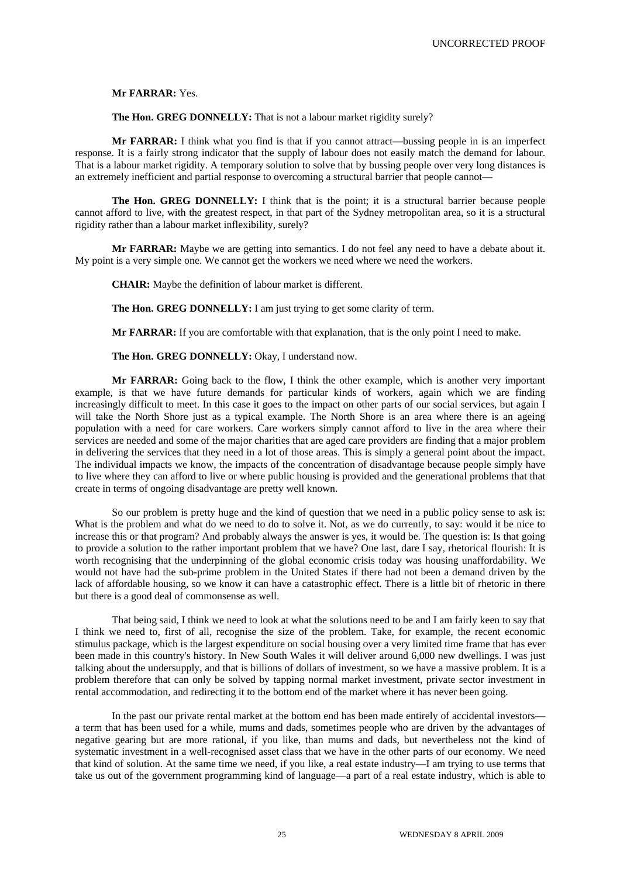**Mr FARRAR:** Yes.

**The Hon. GREG DONNELLY:** That is not a labour market rigidity surely?

**Mr FARRAR:** I think what you find is that if you cannot attract—bussing people in is an imperfect response. It is a fairly strong indicator that the supply of labour does not easily match the demand for labour. That is a labour market rigidity. A temporary solution to solve that by bussing people over very long distances is an extremely inefficient and partial response to overcoming a structural barrier that people cannot—

**The Hon. GREG DONNELLY:** I think that is the point; it is a structural barrier because people cannot afford to live, with the greatest respect, in that part of the Sydney metropolitan area, so it is a structural rigidity rather than a labour market inflexibility, surely?

**Mr FARRAR:** Maybe we are getting into semantics. I do not feel any need to have a debate about it. My point is a very simple one. We cannot get the workers we need where we need the workers.

**CHAIR:** Maybe the definition of labour market is different.

**The Hon. GREG DONNELLY:** I am just trying to get some clarity of term.

**Mr FARRAR:** If you are comfortable with that explanation, that is the only point I need to make.

**The Hon. GREG DONNELLY:** Okay, I understand now.

**Mr FARRAR:** Going back to the flow, I think the other example, which is another very important example, is that we have future demands for particular kinds of workers, again which we are finding increasingly difficult to meet. In this case it goes to the impact on other parts of our social services, but again I will take the North Shore just as a typical example. The North Shore is an area where there is an ageing population with a need for care workers. Care workers simply cannot afford to live in the area where their services are needed and some of the major charities that are aged care providers are finding that a major problem in delivering the services that they need in a lot of those areas. This is simply a general point about the impact. The individual impacts we know, the impacts of the concentration of disadvantage because people simply have to live where they can afford to live or where public housing is provided and the generational problems that that create in terms of ongoing disadvantage are pretty well known.

So our problem is pretty huge and the kind of question that we need in a public policy sense to ask is: What is the problem and what do we need to do to solve it. Not, as we do currently, to say: would it be nice to increase this or that program? And probably always the answer is yes, it would be. The question is: Is that going to provide a solution to the rather important problem that we have? One last, dare I say, rhetorical flourish: It is worth recognising that the underpinning of the global economic crisis today was housing unaffordability. We would not have had the sub-prime problem in the United States if there had not been a demand driven by the lack of affordable housing, so we know it can have a catastrophic effect. There is a little bit of rhetoric in there but there is a good deal of commonsense as well.

That being said, I think we need to look at what the solutions need to be and I am fairly keen to say that I think we need to, first of all, recognise the size of the problem. Take, for example, the recent economic stimulus package, which is the largest expenditure on social housing over a very limited time frame that has ever been made in this country's history. In New South Wales it will deliver around 6,000 new dwellings. I was just talking about the undersupply, and that is billions of dollars of investment, so we have a massive problem. It is a problem therefore that can only be solved by tapping normal market investment, private sector investment in rental accommodation, and redirecting it to the bottom end of the market where it has never been going.

In the past our private rental market at the bottom end has been made entirely of accidental investors a term that has been used for a while, mums and dads, sometimes people who are driven by the advantages of negative gearing but are more rational, if you like, than mums and dads, but nevertheless not the kind of systematic investment in a well-recognised asset class that we have in the other parts of our economy. We need that kind of solution. At the same time we need, if you like, a real estate industry—I am trying to use terms that take us out of the government programming kind of language—a part of a real estate industry, which is able to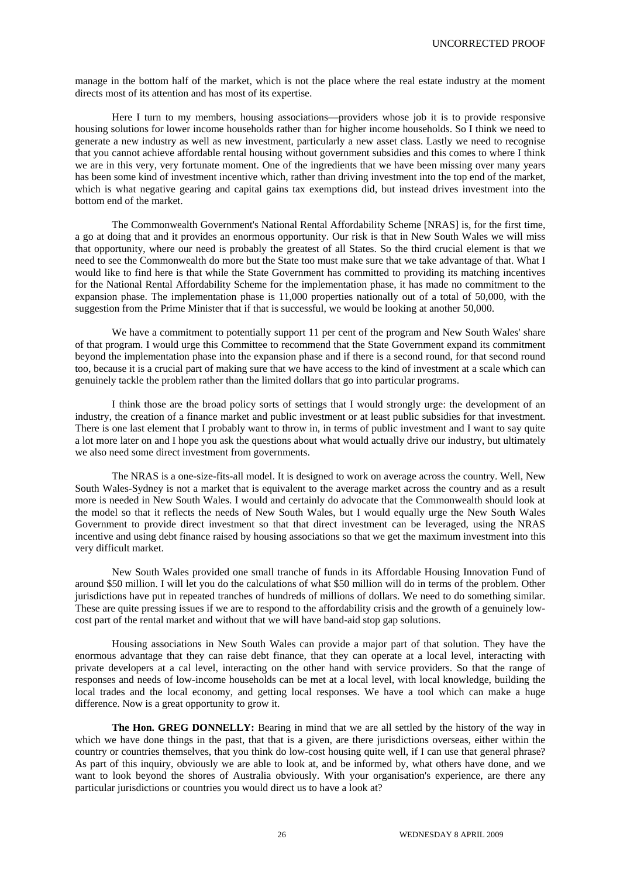manage in the bottom half of the market, which is not the place where the real estate industry at the moment directs most of its attention and has most of its expertise.

Here I turn to my members, housing associations—providers whose job it is to provide responsive housing solutions for lower income households rather than for higher income households. So I think we need to generate a new industry as well as new investment, particularly a new asset class. Lastly we need to recognise that you cannot achieve affordable rental housing without government subsidies and this comes to where I think we are in this very, very fortunate moment. One of the ingredients that we have been missing over many years has been some kind of investment incentive which, rather than driving investment into the top end of the market, which is what negative gearing and capital gains tax exemptions did, but instead drives investment into the bottom end of the market.

The Commonwealth Government's National Rental Affordability Scheme [NRAS] is, for the first time, a go at doing that and it provides an enormous opportunity. Our risk is that in New South Wales we will miss that opportunity, where our need is probably the greatest of all States. So the third crucial element is that we need to see the Commonwealth do more but the State too must make sure that we take advantage of that. What I would like to find here is that while the State Government has committed to providing its matching incentives for the National Rental Affordability Scheme for the implementation phase, it has made no commitment to the expansion phase. The implementation phase is 11,000 properties nationally out of a total of 50,000, with the suggestion from the Prime Minister that if that is successful, we would be looking at another 50,000.

We have a commitment to potentially support 11 per cent of the program and New South Wales' share of that program. I would urge this Committee to recommend that the State Government expand its commitment beyond the implementation phase into the expansion phase and if there is a second round, for that second round too, because it is a crucial part of making sure that we have access to the kind of investment at a scale which can genuinely tackle the problem rather than the limited dollars that go into particular programs.

I think those are the broad policy sorts of settings that I would strongly urge: the development of an industry, the creation of a finance market and public investment or at least public subsidies for that investment. There is one last element that I probably want to throw in, in terms of public investment and I want to say quite a lot more later on and I hope you ask the questions about what would actually drive our industry, but ultimately we also need some direct investment from governments.

The NRAS is a one-size-fits-all model. It is designed to work on average across the country. Well, New South Wales-Sydney is not a market that is equivalent to the average market across the country and as a result more is needed in New South Wales. I would and certainly do advocate that the Commonwealth should look at the model so that it reflects the needs of New South Wales, but I would equally urge the New South Wales Government to provide direct investment so that that direct investment can be leveraged, using the NRAS incentive and using debt finance raised by housing associations so that we get the maximum investment into this very difficult market.

New South Wales provided one small tranche of funds in its Affordable Housing Innovation Fund of around \$50 million. I will let you do the calculations of what \$50 million will do in terms of the problem. Other jurisdictions have put in repeated tranches of hundreds of millions of dollars. We need to do something similar. These are quite pressing issues if we are to respond to the affordability crisis and the growth of a genuinely lowcost part of the rental market and without that we will have band-aid stop gap solutions.

Housing associations in New South Wales can provide a major part of that solution. They have the enormous advantage that they can raise debt finance, that they can operate at a local level, interacting with private developers at a cal level, interacting on the other hand with service providers. So that the range of responses and needs of low-income households can be met at a local level, with local knowledge, building the local trades and the local economy, and getting local responses. We have a tool which can make a huge difference. Now is a great opportunity to grow it.

**The Hon. GREG DONNELLY:** Bearing in mind that we are all settled by the history of the way in which we have done things in the past, that that is a given, are there jurisdictions overseas, either within the country or countries themselves, that you think do low-cost housing quite well, if I can use that general phrase? As part of this inquiry, obviously we are able to look at, and be informed by, what others have done, and we want to look beyond the shores of Australia obviously. With your organisation's experience, are there any particular jurisdictions or countries you would direct us to have a look at?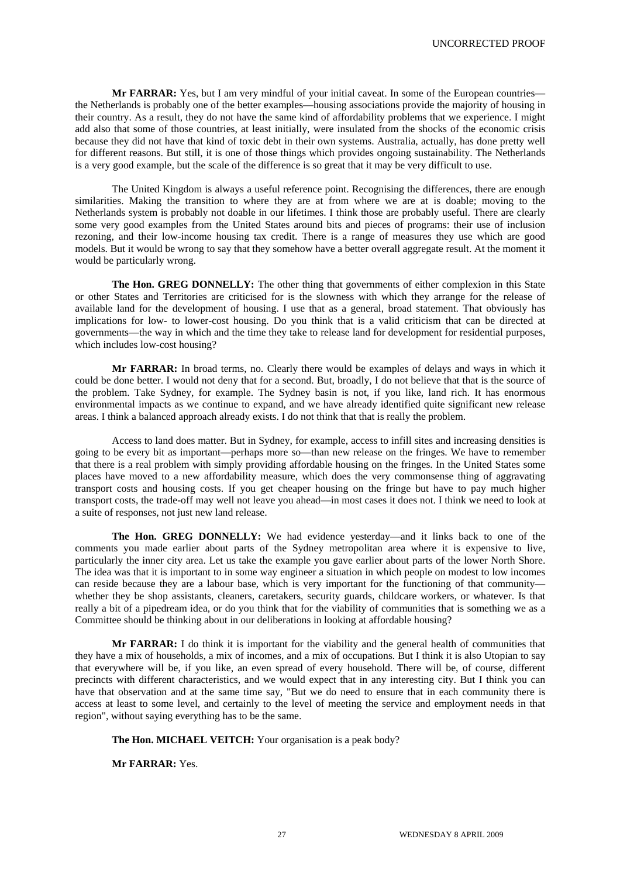**Mr FARRAR:** Yes, but I am very mindful of your initial caveat. In some of the European countries the Netherlands is probably one of the better examples—housing associations provide the majority of housing in their country. As a result, they do not have the same kind of affordability problems that we experience. I might add also that some of those countries, at least initially, were insulated from the shocks of the economic crisis because they did not have that kind of toxic debt in their own systems. Australia, actually, has done pretty well for different reasons. But still, it is one of those things which provides ongoing sustainability. The Netherlands is a very good example, but the scale of the difference is so great that it may be very difficult to use.

The United Kingdom is always a useful reference point. Recognising the differences, there are enough similarities. Making the transition to where they are at from where we are at is doable; moving to the Netherlands system is probably not doable in our lifetimes. I think those are probably useful. There are clearly some very good examples from the United States around bits and pieces of programs: their use of inclusion rezoning, and their low-income housing tax credit. There is a range of measures they use which are good models. But it would be wrong to say that they somehow have a better overall aggregate result. At the moment it would be particularly wrong.

The Hon. GREG DONNELLY: The other thing that governments of either complexion in this State or other States and Territories are criticised for is the slowness with which they arrange for the release of available land for the development of housing. I use that as a general, broad statement. That obviously has implications for low- to lower-cost housing. Do you think that is a valid criticism that can be directed at governments—the way in which and the time they take to release land for development for residential purposes, which includes low-cost housing?

**Mr FARRAR:** In broad terms, no. Clearly there would be examples of delays and ways in which it could be done better. I would not deny that for a second. But, broadly, I do not believe that that is the source of the problem. Take Sydney, for example. The Sydney basin is not, if you like, land rich. It has enormous environmental impacts as we continue to expand, and we have already identified quite significant new release areas. I think a balanced approach already exists. I do not think that that is really the problem.

Access to land does matter. But in Sydney, for example, access to infill sites and increasing densities is going to be every bit as important—perhaps more so—than new release on the fringes. We have to remember that there is a real problem with simply providing affordable housing on the fringes. In the United States some places have moved to a new affordability measure, which does the very commonsense thing of aggravating transport costs and housing costs. If you get cheaper housing on the fringe but have to pay much higher transport costs, the trade-off may well not leave you ahead—in most cases it does not. I think we need to look at a suite of responses, not just new land release.

**The Hon. GREG DONNELLY:** We had evidence yesterday—and it links back to one of the comments you made earlier about parts of the Sydney metropolitan area where it is expensive to live, particularly the inner city area. Let us take the example you gave earlier about parts of the lower North Shore. The idea was that it is important to in some way engineer a situation in which people on modest to low incomes can reside because they are a labour base, which is very important for the functioning of that community whether they be shop assistants, cleaners, caretakers, security guards, childcare workers, or whatever. Is that really a bit of a pipedream idea, or do you think that for the viability of communities that is something we as a Committee should be thinking about in our deliberations in looking at affordable housing?

**Mr FARRAR:** I do think it is important for the viability and the general health of communities that they have a mix of households, a mix of incomes, and a mix of occupations. But I think it is also Utopian to say that everywhere will be, if you like, an even spread of every household. There will be, of course, different precincts with different characteristics, and we would expect that in any interesting city. But I think you can have that observation and at the same time say, "But we do need to ensure that in each community there is access at least to some level, and certainly to the level of meeting the service and employment needs in that region", without saying everything has to be the same.

**The Hon. MICHAEL VEITCH:** Your organisation is a peak body?

**Mr FARRAR:** Yes.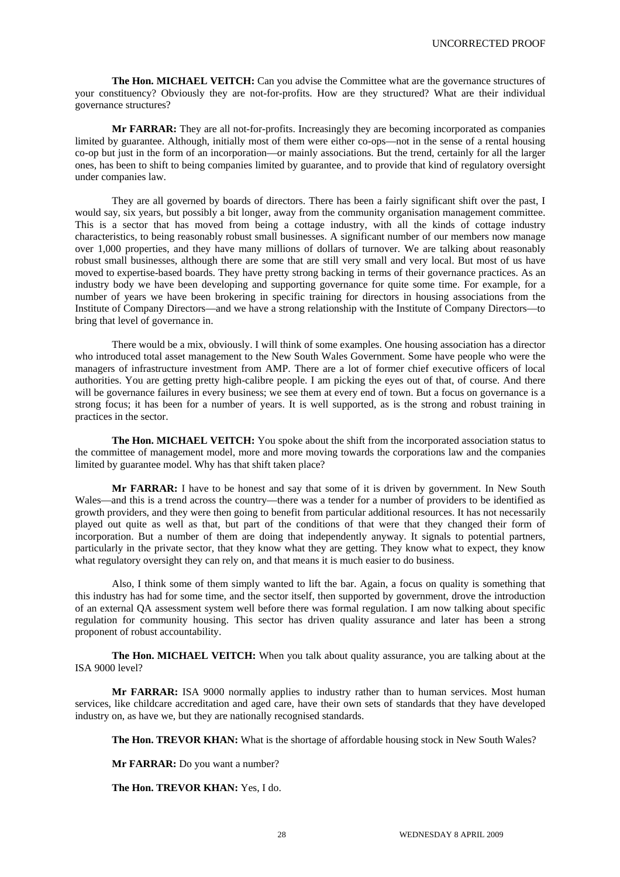**The Hon. MICHAEL VEITCH:** Can you advise the Committee what are the governance structures of your constituency? Obviously they are not-for-profits. How are they structured? What are their individual governance structures?

**Mr FARRAR:** They are all not-for-profits. Increasingly they are becoming incorporated as companies limited by guarantee. Although, initially most of them were either co-ops—not in the sense of a rental housing co-op but just in the form of an incorporation—or mainly associations. But the trend, certainly for all the larger ones, has been to shift to being companies limited by guarantee, and to provide that kind of regulatory oversight under companies law.

They are all governed by boards of directors. There has been a fairly significant shift over the past, I would say, six years, but possibly a bit longer, away from the community organisation management committee. This is a sector that has moved from being a cottage industry, with all the kinds of cottage industry characteristics, to being reasonably robust small businesses. A significant number of our members now manage over 1,000 properties, and they have many millions of dollars of turnover. We are talking about reasonably robust small businesses, although there are some that are still very small and very local. But most of us have moved to expertise-based boards. They have pretty strong backing in terms of their governance practices. As an industry body we have been developing and supporting governance for quite some time. For example, for a number of years we have been brokering in specific training for directors in housing associations from the Institute of Company Directors—and we have a strong relationship with the Institute of Company Directors—to bring that level of governance in.

There would be a mix, obviously. I will think of some examples. One housing association has a director who introduced total asset management to the New South Wales Government. Some have people who were the managers of infrastructure investment from AMP. There are a lot of former chief executive officers of local authorities. You are getting pretty high-calibre people. I am picking the eyes out of that, of course. And there will be governance failures in every business; we see them at every end of town. But a focus on governance is a strong focus; it has been for a number of years. It is well supported, as is the strong and robust training in practices in the sector.

**The Hon. MICHAEL VEITCH:** You spoke about the shift from the incorporated association status to the committee of management model, more and more moving towards the corporations law and the companies limited by guarantee model. Why has that shift taken place?

**Mr FARRAR:** I have to be honest and say that some of it is driven by government. In New South Wales—and this is a trend across the country—there was a tender for a number of providers to be identified as growth providers, and they were then going to benefit from particular additional resources. It has not necessarily played out quite as well as that, but part of the conditions of that were that they changed their form of incorporation. But a number of them are doing that independently anyway. It signals to potential partners, particularly in the private sector, that they know what they are getting. They know what to expect, they know what regulatory oversight they can rely on, and that means it is much easier to do business.

Also, I think some of them simply wanted to lift the bar. Again, a focus on quality is something that this industry has had for some time, and the sector itself, then supported by government, drove the introduction of an external QA assessment system well before there was formal regulation. I am now talking about specific regulation for community housing. This sector has driven quality assurance and later has been a strong proponent of robust accountability.

**The Hon. MICHAEL VEITCH:** When you talk about quality assurance, you are talking about at the ISA 9000 level?

**Mr FARRAR:** ISA 9000 normally applies to industry rather than to human services. Most human services, like childcare accreditation and aged care, have their own sets of standards that they have developed industry on, as have we, but they are nationally recognised standards.

**The Hon. TREVOR KHAN:** What is the shortage of affordable housing stock in New South Wales?

**Mr FARRAR:** Do you want a number?

**The Hon. TREVOR KHAN:** Yes, I do.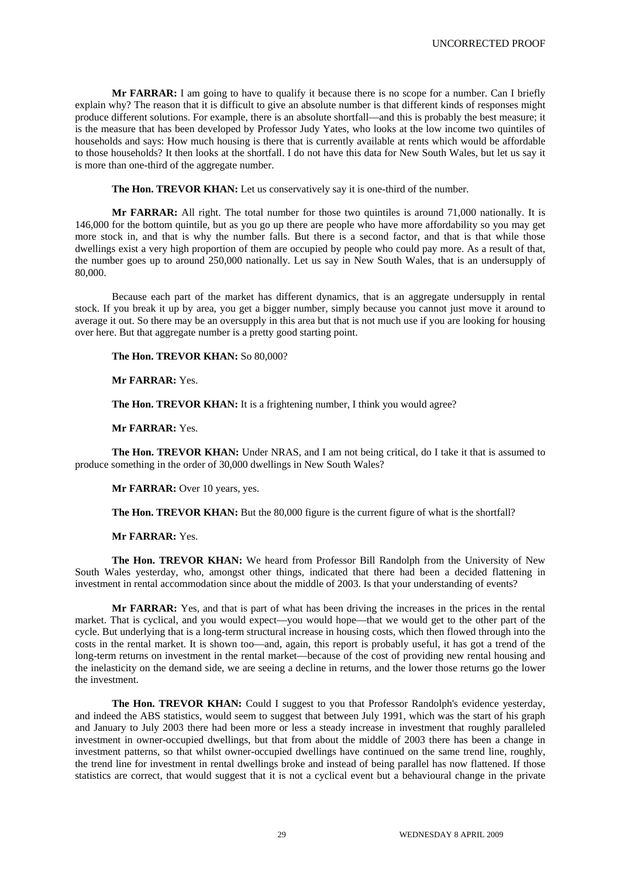**Mr FARRAR:** I am going to have to qualify it because there is no scope for a number. Can I briefly explain why? The reason that it is difficult to give an absolute number is that different kinds of responses might produce different solutions. For example, there is an absolute shortfall—and this is probably the best measure; it is the measure that has been developed by Professor Judy Yates, who looks at the low income two quintiles of households and says: How much housing is there that is currently available at rents which would be affordable to those households? It then looks at the shortfall. I do not have this data for New South Wales, but let us say it is more than one-third of the aggregate number.

**The Hon. TREVOR KHAN:** Let us conservatively say it is one-third of the number.

**Mr FARRAR:** All right. The total number for those two quintiles is around 71,000 nationally. It is 146,000 for the bottom quintile, but as you go up there are people who have more affordability so you may get more stock in, and that is why the number falls. But there is a second factor, and that is that while those dwellings exist a very high proportion of them are occupied by people who could pay more. As a result of that, the number goes up to around 250,000 nationally. Let us say in New South Wales, that is an undersupply of 80,000.

Because each part of the market has different dynamics, that is an aggregate undersupply in rental stock. If you break it up by area, you get a bigger number, simply because you cannot just move it around to average it out. So there may be an oversupply in this area but that is not much use if you are looking for housing over here. But that aggregate number is a pretty good starting point.

**The Hon. TREVOR KHAN:** So 80,000?

**Mr FARRAR:** Yes.

The Hon. TREVOR KHAN: It is a frightening number, I think you would agree?

**Mr FARRAR:** Yes.

**The Hon. TREVOR KHAN:** Under NRAS, and I am not being critical, do I take it that is assumed to produce something in the order of 30,000 dwellings in New South Wales?

**Mr FARRAR:** Over 10 years, yes.

**The Hon. TREVOR KHAN:** But the 80,000 figure is the current figure of what is the shortfall?

**Mr FARRAR:** Yes.

**The Hon. TREVOR KHAN:** We heard from Professor Bill Randolph from the University of New South Wales yesterday, who, amongst other things, indicated that there had been a decided flattening in investment in rental accommodation since about the middle of 2003. Is that your understanding of events?

**Mr FARRAR:** Yes, and that is part of what has been driving the increases in the prices in the rental market. That is cyclical, and you would expect—you would hope—that we would get to the other part of the cycle. But underlying that is a long-term structural increase in housing costs, which then flowed through into the costs in the rental market. It is shown too—and, again, this report is probably useful, it has got a trend of the long-term returns on investment in the rental market—because of the cost of providing new rental housing and the inelasticity on the demand side, we are seeing a decline in returns, and the lower those returns go the lower the investment.

**The Hon. TREVOR KHAN:** Could I suggest to you that Professor Randolph's evidence yesterday, and indeed the ABS statistics, would seem to suggest that between July 1991, which was the start of his graph and January to July 2003 there had been more or less a steady increase in investment that roughly paralleled investment in owner-occupied dwellings, but that from about the middle of 2003 there has been a change in investment patterns, so that whilst owner-occupied dwellings have continued on the same trend line, roughly, the trend line for investment in rental dwellings broke and instead of being parallel has now flattened. If those statistics are correct, that would suggest that it is not a cyclical event but a behavioural change in the private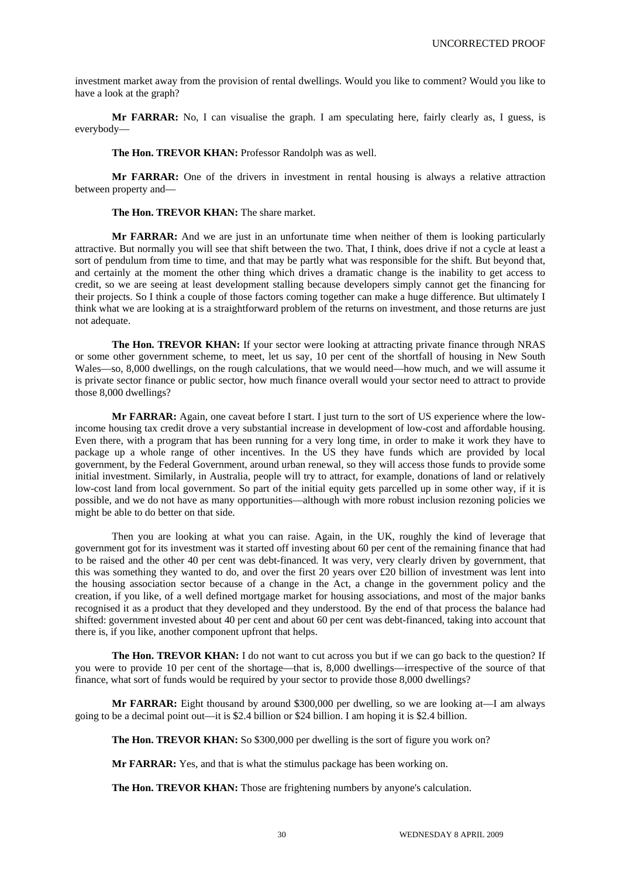investment market away from the provision of rental dwellings. Would you like to comment? Would you like to have a look at the graph?

**Mr FARRAR:** No, I can visualise the graph. I am speculating here, fairly clearly as, I guess, is everybody—

**The Hon. TREVOR KHAN:** Professor Randolph was as well.

**Mr FARRAR:** One of the drivers in investment in rental housing is always a relative attraction between property and—

**The Hon. TREVOR KHAN:** The share market.

**Mr FARRAR:** And we are just in an unfortunate time when neither of them is looking particularly attractive. But normally you will see that shift between the two. That, I think, does drive if not a cycle at least a sort of pendulum from time to time, and that may be partly what was responsible for the shift. But beyond that, and certainly at the moment the other thing which drives a dramatic change is the inability to get access to credit, so we are seeing at least development stalling because developers simply cannot get the financing for their projects. So I think a couple of those factors coming together can make a huge difference. But ultimately I think what we are looking at is a straightforward problem of the returns on investment, and those returns are just not adequate.

**The Hon. TREVOR KHAN:** If your sector were looking at attracting private finance through NRAS or some other government scheme, to meet, let us say, 10 per cent of the shortfall of housing in New South Wales—so, 8,000 dwellings, on the rough calculations, that we would need—how much, and we will assume it is private sector finance or public sector, how much finance overall would your sector need to attract to provide those 8,000 dwellings?

**Mr FARRAR:** Again, one caveat before I start. I just turn to the sort of US experience where the lowincome housing tax credit drove a very substantial increase in development of low-cost and affordable housing. Even there, with a program that has been running for a very long time, in order to make it work they have to package up a whole range of other incentives. In the US they have funds which are provided by local government, by the Federal Government, around urban renewal, so they will access those funds to provide some initial investment. Similarly, in Australia, people will try to attract, for example, donations of land or relatively low-cost land from local government. So part of the initial equity gets parcelled up in some other way, if it is possible, and we do not have as many opportunities—although with more robust inclusion rezoning policies we might be able to do better on that side.

Then you are looking at what you can raise. Again, in the UK, roughly the kind of leverage that government got for its investment was it started off investing about 60 per cent of the remaining finance that had to be raised and the other 40 per cent was debt-financed. It was very, very clearly driven by government, that this was something they wanted to do, and over the first 20 years over  $\pounds 20$  billion of investment was lent into the housing association sector because of a change in the Act, a change in the government policy and the creation, if you like, of a well defined mortgage market for housing associations, and most of the major banks recognised it as a product that they developed and they understood. By the end of that process the balance had shifted: government invested about 40 per cent and about 60 per cent was debt-financed, taking into account that there is, if you like, another component upfront that helps.

**The Hon. TREVOR KHAN:** I do not want to cut across you but if we can go back to the question? If you were to provide 10 per cent of the shortage—that is, 8,000 dwellings—irrespective of the source of that finance, what sort of funds would be required by your sector to provide those 8,000 dwellings?

**Mr FARRAR:** Eight thousand by around \$300,000 per dwelling, so we are looking at—I am always going to be a decimal point out—it is \$2.4 billion or \$24 billion. I am hoping it is \$2.4 billion.

**The Hon. TREVOR KHAN:** So \$300,000 per dwelling is the sort of figure you work on?

**Mr FARRAR:** Yes, and that is what the stimulus package has been working on.

**The Hon. TREVOR KHAN:** Those are frightening numbers by anyone's calculation.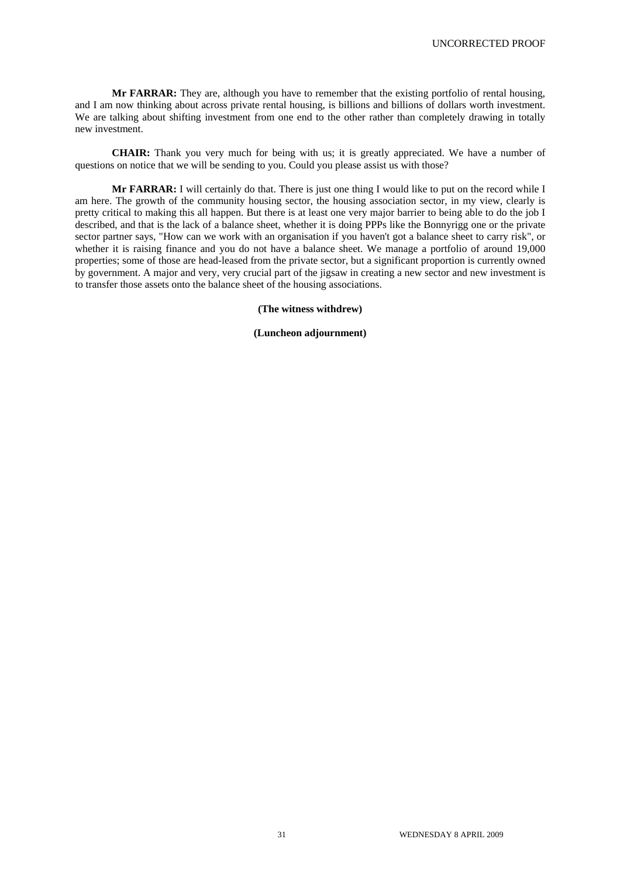**Mr FARRAR:** They are, although you have to remember that the existing portfolio of rental housing, and I am now thinking about across private rental housing, is billions and billions of dollars worth investment. We are talking about shifting investment from one end to the other rather than completely drawing in totally new investment.

**CHAIR:** Thank you very much for being with us; it is greatly appreciated. We have a number of questions on notice that we will be sending to you. Could you please assist us with those?

**Mr FARRAR:** I will certainly do that. There is just one thing I would like to put on the record while I am here. The growth of the community housing sector, the housing association sector, in my view, clearly is pretty critical to making this all happen. But there is at least one very major barrier to being able to do the job I described, and that is the lack of a balance sheet, whether it is doing PPPs like the Bonnyrigg one or the private sector partner says, "How can we work with an organisation if you haven't got a balance sheet to carry risk", or whether it is raising finance and you do not have a balance sheet. We manage a portfolio of around 19,000 properties; some of those are head-leased from the private sector, but a significant proportion is currently owned by government. A major and very, very crucial part of the jigsaw in creating a new sector and new investment is to transfer those assets onto the balance sheet of the housing associations.

**(The witness withdrew)** 

**(Luncheon adjournment)**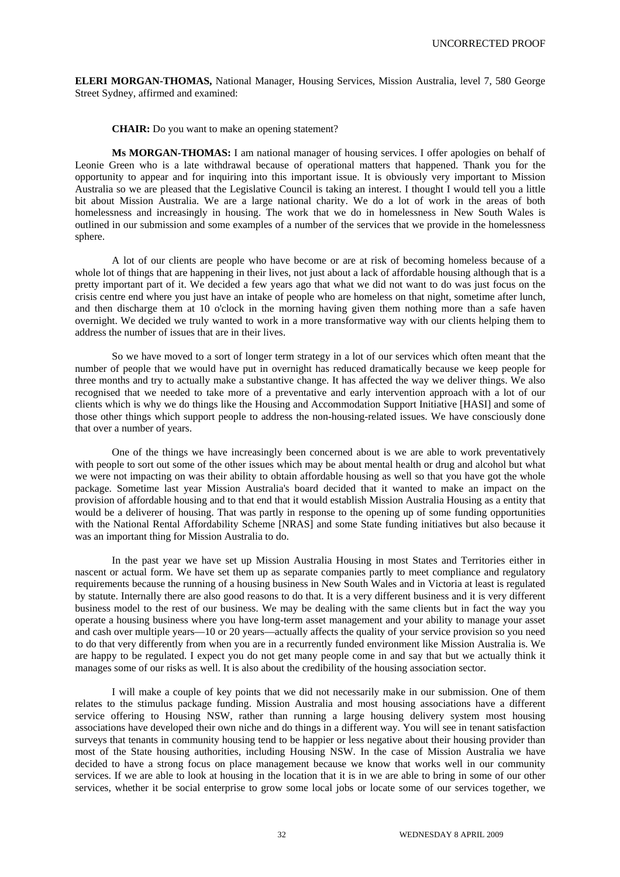**ELERI MORGAN-THOMAS,** National Manager, Housing Services, Mission Australia, level 7, 580 George Street Sydney, affirmed and examined:

**CHAIR:** Do you want to make an opening statement?

**Ms MORGAN-THOMAS:** I am national manager of housing services. I offer apologies on behalf of Leonie Green who is a late withdrawal because of operational matters that happened. Thank you for the opportunity to appear and for inquiring into this important issue. It is obviously very important to Mission Australia so we are pleased that the Legislative Council is taking an interest. I thought I would tell you a little bit about Mission Australia. We are a large national charity. We do a lot of work in the areas of both homelessness and increasingly in housing. The work that we do in homelessness in New South Wales is outlined in our submission and some examples of a number of the services that we provide in the homelessness sphere.

A lot of our clients are people who have become or are at risk of becoming homeless because of a whole lot of things that are happening in their lives, not just about a lack of affordable housing although that is a pretty important part of it. We decided a few years ago that what we did not want to do was just focus on the crisis centre end where you just have an intake of people who are homeless on that night, sometime after lunch, and then discharge them at 10 o'clock in the morning having given them nothing more than a safe haven overnight. We decided we truly wanted to work in a more transformative way with our clients helping them to address the number of issues that are in their lives.

So we have moved to a sort of longer term strategy in a lot of our services which often meant that the number of people that we would have put in overnight has reduced dramatically because we keep people for three months and try to actually make a substantive change. It has affected the way we deliver things. We also recognised that we needed to take more of a preventative and early intervention approach with a lot of our clients which is why we do things like the Housing and Accommodation Support Initiative [HASI] and some of those other things which support people to address the non-housing-related issues. We have consciously done that over a number of years.

One of the things we have increasingly been concerned about is we are able to work preventatively with people to sort out some of the other issues which may be about mental health or drug and alcohol but what we were not impacting on was their ability to obtain affordable housing as well so that you have got the whole package. Sometime last year Mission Australia's board decided that it wanted to make an impact on the provision of affordable housing and to that end that it would establish Mission Australia Housing as a entity that would be a deliverer of housing. That was partly in response to the opening up of some funding opportunities with the National Rental Affordability Scheme [NRAS] and some State funding initiatives but also because it was an important thing for Mission Australia to do.

In the past year we have set up Mission Australia Housing in most States and Territories either in nascent or actual form. We have set them up as separate companies partly to meet compliance and regulatory requirements because the running of a housing business in New South Wales and in Victoria at least is regulated by statute. Internally there are also good reasons to do that. It is a very different business and it is very different business model to the rest of our business. We may be dealing with the same clients but in fact the way you operate a housing business where you have long-term asset management and your ability to manage your asset and cash over multiple years—10 or 20 years—actually affects the quality of your service provision so you need to do that very differently from when you are in a recurrently funded environment like Mission Australia is. We are happy to be regulated. I expect you do not get many people come in and say that but we actually think it manages some of our risks as well. It is also about the credibility of the housing association sector.

I will make a couple of key points that we did not necessarily make in our submission. One of them relates to the stimulus package funding. Mission Australia and most housing associations have a different service offering to Housing NSW, rather than running a large housing delivery system most housing associations have developed their own niche and do things in a different way. You will see in tenant satisfaction surveys that tenants in community housing tend to be happier or less negative about their housing provider than most of the State housing authorities, including Housing NSW. In the case of Mission Australia we have decided to have a strong focus on place management because we know that works well in our community services. If we are able to look at housing in the location that it is in we are able to bring in some of our other services, whether it be social enterprise to grow some local jobs or locate some of our services together, we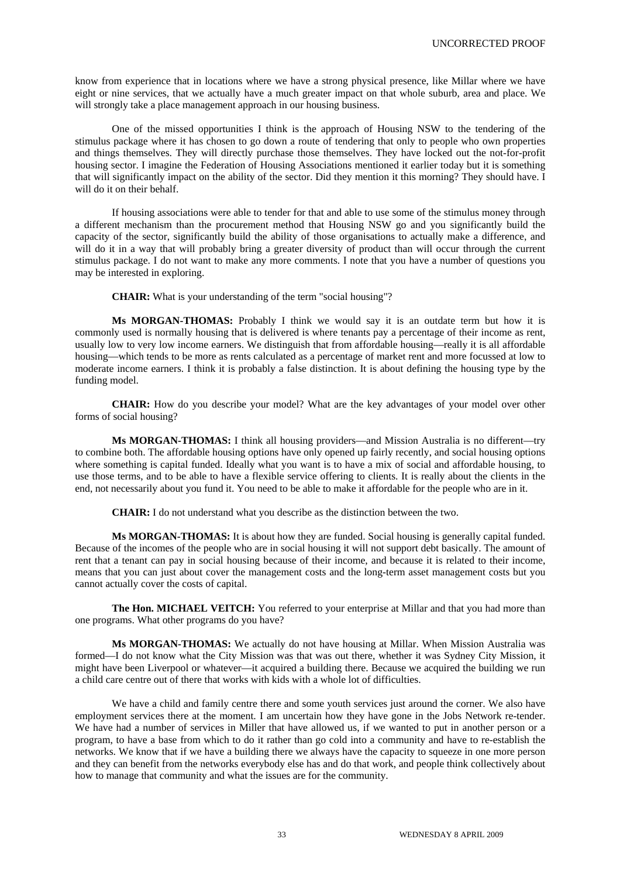know from experience that in locations where we have a strong physical presence, like Millar where we have eight or nine services, that we actually have a much greater impact on that whole suburb, area and place. We will strongly take a place management approach in our housing business.

One of the missed opportunities I think is the approach of Housing NSW to the tendering of the stimulus package where it has chosen to go down a route of tendering that only to people who own properties and things themselves. They will directly purchase those themselves. They have locked out the not-for-profit housing sector. I imagine the Federation of Housing Associations mentioned it earlier today but it is something that will significantly impact on the ability of the sector. Did they mention it this morning? They should have. I will do it on their behalf.

If housing associations were able to tender for that and able to use some of the stimulus money through a different mechanism than the procurement method that Housing NSW go and you significantly build the capacity of the sector, significantly build the ability of those organisations to actually make a difference, and will do it in a way that will probably bring a greater diversity of product than will occur through the current stimulus package. I do not want to make any more comments. I note that you have a number of questions you may be interested in exploring.

**CHAIR:** What is your understanding of the term "social housing"?

**Ms MORGAN-THOMAS:** Probably I think we would say it is an outdate term but how it is commonly used is normally housing that is delivered is where tenants pay a percentage of their income as rent, usually low to very low income earners. We distinguish that from affordable housing—really it is all affordable housing—which tends to be more as rents calculated as a percentage of market rent and more focussed at low to moderate income earners. I think it is probably a false distinction. It is about defining the housing type by the funding model.

**CHAIR:** How do you describe your model? What are the key advantages of your model over other forms of social housing?

**Ms MORGAN-THOMAS:** I think all housing providers—and Mission Australia is no different—try to combine both. The affordable housing options have only opened up fairly recently, and social housing options where something is capital funded. Ideally what you want is to have a mix of social and affordable housing, to use those terms, and to be able to have a flexible service offering to clients. It is really about the clients in the end, not necessarily about you fund it. You need to be able to make it affordable for the people who are in it.

**CHAIR:** I do not understand what you describe as the distinction between the two.

**Ms MORGAN-THOMAS:** It is about how they are funded. Social housing is generally capital funded. Because of the incomes of the people who are in social housing it will not support debt basically. The amount of rent that a tenant can pay in social housing because of their income, and because it is related to their income, means that you can just about cover the management costs and the long-term asset management costs but you cannot actually cover the costs of capital.

**The Hon. MICHAEL VEITCH:** You referred to your enterprise at Millar and that you had more than one programs. What other programs do you have?

**Ms MORGAN-THOMAS:** We actually do not have housing at Millar. When Mission Australia was formed—I do not know what the City Mission was that was out there, whether it was Sydney City Mission, it might have been Liverpool or whatever—it acquired a building there. Because we acquired the building we run a child care centre out of there that works with kids with a whole lot of difficulties.

We have a child and family centre there and some youth services just around the corner. We also have employment services there at the moment. I am uncertain how they have gone in the Jobs Network re-tender. We have had a number of services in Miller that have allowed us, if we wanted to put in another person or a program, to have a base from which to do it rather than go cold into a community and have to re-establish the networks. We know that if we have a building there we always have the capacity to squeeze in one more person and they can benefit from the networks everybody else has and do that work, and people think collectively about how to manage that community and what the issues are for the community.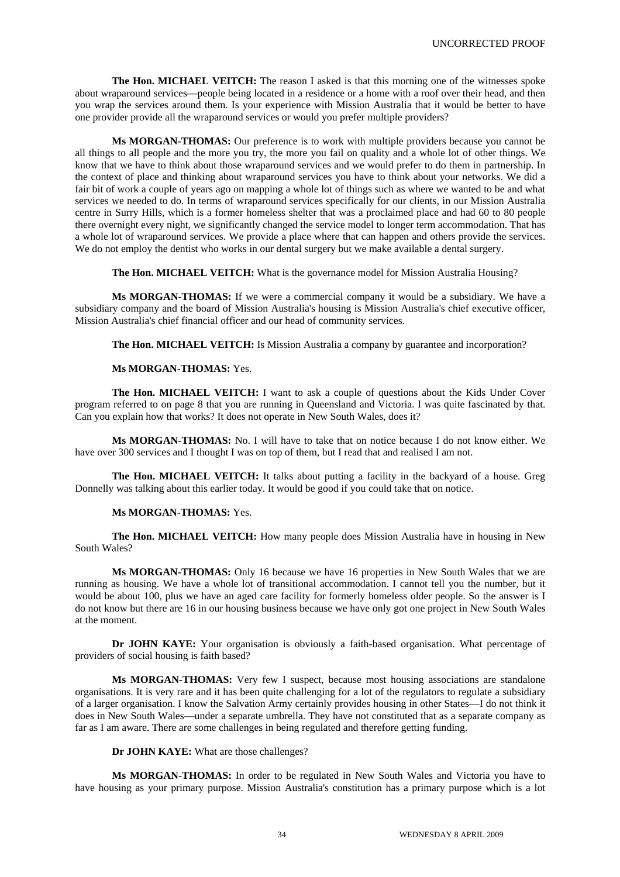**The Hon. MICHAEL VEITCH:** The reason I asked is that this morning one of the witnesses spoke about wraparound services—people being located in a residence or a home with a roof over their head, and then you wrap the services around them. Is your experience with Mission Australia that it would be better to have one provider provide all the wraparound services or would you prefer multiple providers?

**Ms MORGAN-THOMAS:** Our preference is to work with multiple providers because you cannot be all things to all people and the more you try, the more you fail on quality and a whole lot of other things. We know that we have to think about those wraparound services and we would prefer to do them in partnership. In the context of place and thinking about wraparound services you have to think about your networks. We did a fair bit of work a couple of years ago on mapping a whole lot of things such as where we wanted to be and what services we needed to do. In terms of wraparound services specifically for our clients, in our Mission Australia centre in Surry Hills, which is a former homeless shelter that was a proclaimed place and had 60 to 80 people there overnight every night, we significantly changed the service model to longer term accommodation. That has a whole lot of wraparound services. We provide a place where that can happen and others provide the services. We do not employ the dentist who works in our dental surgery but we make available a dental surgery.

## **The Hon. MICHAEL VEITCH:** What is the governance model for Mission Australia Housing?

**Ms MORGAN-THOMAS:** If we were a commercial company it would be a subsidiary. We have a subsidiary company and the board of Mission Australia's housing is Mission Australia's chief executive officer, Mission Australia's chief financial officer and our head of community services.

**The Hon. MICHAEL VEITCH:** Is Mission Australia a company by guarantee and incorporation?

## **Ms MORGAN-THOMAS:** Yes.

**The Hon. MICHAEL VEITCH:** I want to ask a couple of questions about the Kids Under Cover program referred to on page 8 that you are running in Queensland and Victoria. I was quite fascinated by that. Can you explain how that works? It does not operate in New South Wales, does it?

**Ms MORGAN-THOMAS:** No. I will have to take that on notice because I do not know either. We have over 300 services and I thought I was on top of them, but I read that and realised I am not.

**The Hon. MICHAEL VEITCH:** It talks about putting a facility in the backyard of a house. Greg Donnelly was talking about this earlier today. It would be good if you could take that on notice.

# **Ms MORGAN-THOMAS:** Yes.

**The Hon. MICHAEL VEITCH:** How many people does Mission Australia have in housing in New South Wales?

**Ms MORGAN-THOMAS:** Only 16 because we have 16 properties in New South Wales that we are running as housing. We have a whole lot of transitional accommodation. I cannot tell you the number, but it would be about 100, plus we have an aged care facility for formerly homeless older people. So the answer is I do not know but there are 16 in our housing business because we have only got one project in New South Wales at the moment.

**Dr JOHN KAYE:** Your organisation is obviously a faith-based organisation. What percentage of providers of social housing is faith based?

**Ms MORGAN-THOMAS:** Very few I suspect, because most housing associations are standalone organisations. It is very rare and it has been quite challenging for a lot of the regulators to regulate a subsidiary of a larger organisation. I know the Salvation Army certainly provides housing in other States—I do not think it does in New South Wales—under a separate umbrella. They have not constituted that as a separate company as far as I am aware. There are some challenges in being regulated and therefore getting funding.

**Dr JOHN KAYE:** What are those challenges?

**Ms MORGAN-THOMAS:** In order to be regulated in New South Wales and Victoria you have to have housing as your primary purpose. Mission Australia's constitution has a primary purpose which is a lot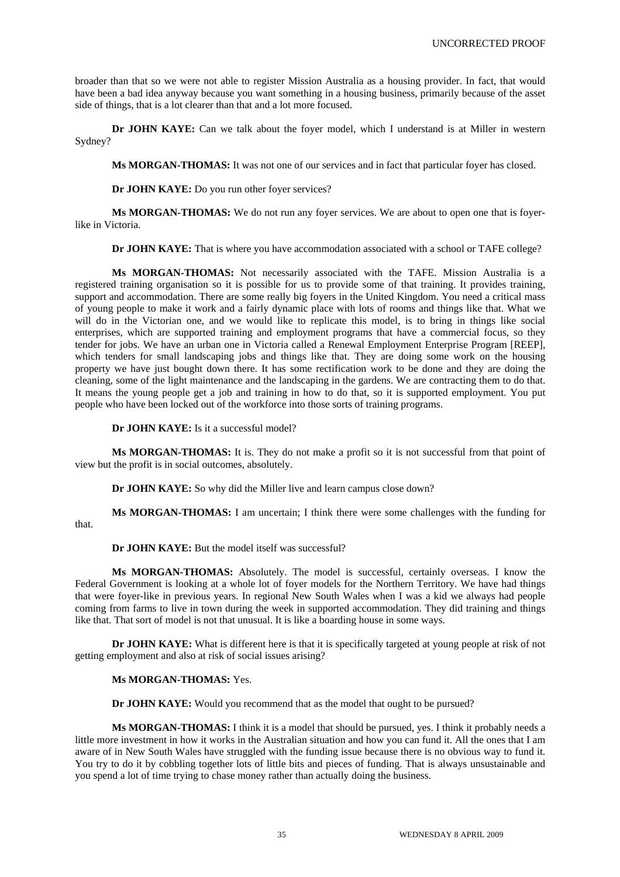broader than that so we were not able to register Mission Australia as a housing provider. In fact, that would have been a bad idea anyway because you want something in a housing business, primarily because of the asset side of things, that is a lot clearer than that and a lot more focused.

**Dr JOHN KAYE:** Can we talk about the foyer model, which I understand is at Miller in western Sydney?

**Ms MORGAN-THOMAS:** It was not one of our services and in fact that particular foyer has closed.

**Dr JOHN KAYE:** Do you run other foyer services?

**Ms MORGAN-THOMAS:** We do not run any foyer services. We are about to open one that is foyerlike in Victoria.

**Dr JOHN KAYE:** That is where you have accommodation associated with a school or TAFE college?

**Ms MORGAN-THOMAS:** Not necessarily associated with the TAFE. Mission Australia is a registered training organisation so it is possible for us to provide some of that training. It provides training, support and accommodation. There are some really big foyers in the United Kingdom. You need a critical mass of young people to make it work and a fairly dynamic place with lots of rooms and things like that. What we will do in the Victorian one, and we would like to replicate this model, is to bring in things like social enterprises, which are supported training and employment programs that have a commercial focus, so they tender for jobs. We have an urban one in Victoria called a Renewal Employment Enterprise Program [REEP], which tenders for small landscaping jobs and things like that. They are doing some work on the housing property we have just bought down there. It has some rectification work to be done and they are doing the cleaning, some of the light maintenance and the landscaping in the gardens. We are contracting them to do that. It means the young people get a job and training in how to do that, so it is supported employment. You put people who have been locked out of the workforce into those sorts of training programs.

**Dr JOHN KAYE:** Is it a successful model?

**Ms MORGAN-THOMAS:** It is. They do not make a profit so it is not successful from that point of view but the profit is in social outcomes, absolutely.

**Dr JOHN KAYE:** So why did the Miller live and learn campus close down?

**Ms MORGAN-THOMAS:** I am uncertain; I think there were some challenges with the funding for that.

**Dr JOHN KAYE:** But the model itself was successful?

**Ms MORGAN-THOMAS:** Absolutely. The model is successful, certainly overseas. I know the Federal Government is looking at a whole lot of foyer models for the Northern Territory. We have had things that were foyer-like in previous years. In regional New South Wales when I was a kid we always had people coming from farms to live in town during the week in supported accommodation. They did training and things like that. That sort of model is not that unusual. It is like a boarding house in some ways.

**Dr JOHN KAYE:** What is different here is that it is specifically targeted at young people at risk of not getting employment and also at risk of social issues arising?

# **Ms MORGAN-THOMAS:** Yes.

**Dr JOHN KAYE:** Would you recommend that as the model that ought to be pursued?

**Ms MORGAN-THOMAS:** I think it is a model that should be pursued, yes. I think it probably needs a little more investment in how it works in the Australian situation and how you can fund it. All the ones that I am aware of in New South Wales have struggled with the funding issue because there is no obvious way to fund it. You try to do it by cobbling together lots of little bits and pieces of funding. That is always unsustainable and you spend a lot of time trying to chase money rather than actually doing the business.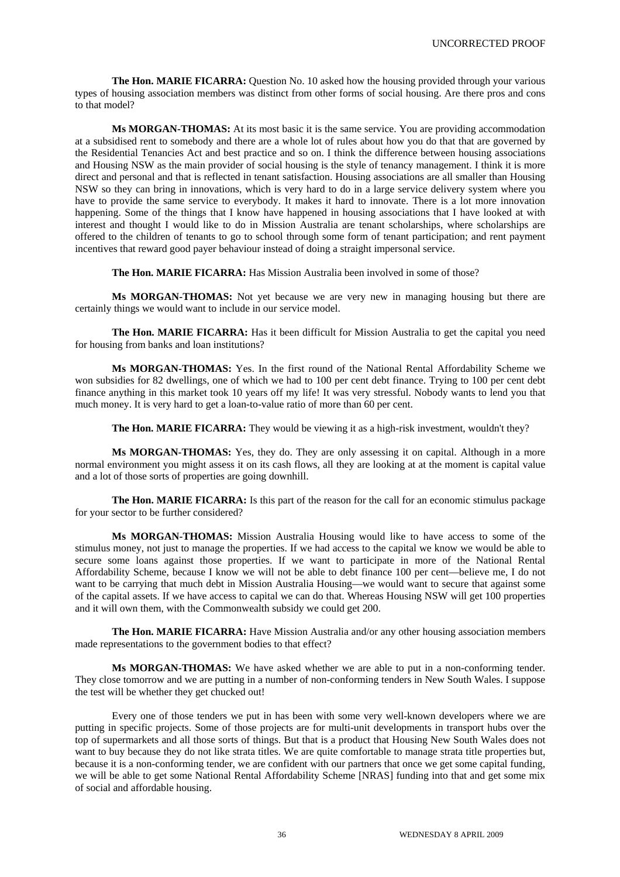**The Hon. MARIE FICARRA:** Question No. 10 asked how the housing provided through your various types of housing association members was distinct from other forms of social housing. Are there pros and cons to that model?

**Ms MORGAN-THOMAS:** At its most basic it is the same service. You are providing accommodation at a subsidised rent to somebody and there are a whole lot of rules about how you do that that are governed by the Residential Tenancies Act and best practice and so on. I think the difference between housing associations and Housing NSW as the main provider of social housing is the style of tenancy management. I think it is more direct and personal and that is reflected in tenant satisfaction. Housing associations are all smaller than Housing NSW so they can bring in innovations, which is very hard to do in a large service delivery system where you have to provide the same service to everybody. It makes it hard to innovate. There is a lot more innovation happening. Some of the things that I know have happened in housing associations that I have looked at with interest and thought I would like to do in Mission Australia are tenant scholarships, where scholarships are offered to the children of tenants to go to school through some form of tenant participation; and rent payment incentives that reward good payer behaviour instead of doing a straight impersonal service.

**The Hon. MARIE FICARRA:** Has Mission Australia been involved in some of those?

**Ms MORGAN-THOMAS:** Not yet because we are very new in managing housing but there are certainly things we would want to include in our service model.

**The Hon. MARIE FICARRA:** Has it been difficult for Mission Australia to get the capital you need for housing from banks and loan institutions?

**Ms MORGAN-THOMAS:** Yes. In the first round of the National Rental Affordability Scheme we won subsidies for 82 dwellings, one of which we had to 100 per cent debt finance. Trying to 100 per cent debt finance anything in this market took 10 years off my life! It was very stressful. Nobody wants to lend you that much money. It is very hard to get a loan-to-value ratio of more than 60 per cent.

**The Hon. MARIE FICARRA:** They would be viewing it as a high-risk investment, wouldn't they?

**Ms MORGAN-THOMAS:** Yes, they do. They are only assessing it on capital. Although in a more normal environment you might assess it on its cash flows, all they are looking at at the moment is capital value and a lot of those sorts of properties are going downhill.

**The Hon. MARIE FICARRA:** Is this part of the reason for the call for an economic stimulus package for your sector to be further considered?

**Ms MORGAN-THOMAS:** Mission Australia Housing would like to have access to some of the stimulus money, not just to manage the properties. If we had access to the capital we know we would be able to secure some loans against those properties. If we want to participate in more of the National Rental Affordability Scheme, because I know we will not be able to debt finance 100 per cent—believe me, I do not want to be carrying that much debt in Mission Australia Housing—we would want to secure that against some of the capital assets. If we have access to capital we can do that. Whereas Housing NSW will get 100 properties and it will own them, with the Commonwealth subsidy we could get 200.

**The Hon. MARIE FICARRA:** Have Mission Australia and/or any other housing association members made representations to the government bodies to that effect?

**Ms MORGAN-THOMAS:** We have asked whether we are able to put in a non-conforming tender. They close tomorrow and we are putting in a number of non-conforming tenders in New South Wales. I suppose the test will be whether they get chucked out!

Every one of those tenders we put in has been with some very well-known developers where we are putting in specific projects. Some of those projects are for multi-unit developments in transport hubs over the top of supermarkets and all those sorts of things. But that is a product that Housing New South Wales does not want to buy because they do not like strata titles. We are quite comfortable to manage strata title properties but, because it is a non-conforming tender, we are confident with our partners that once we get some capital funding, we will be able to get some National Rental Affordability Scheme [NRAS] funding into that and get some mix of social and affordable housing.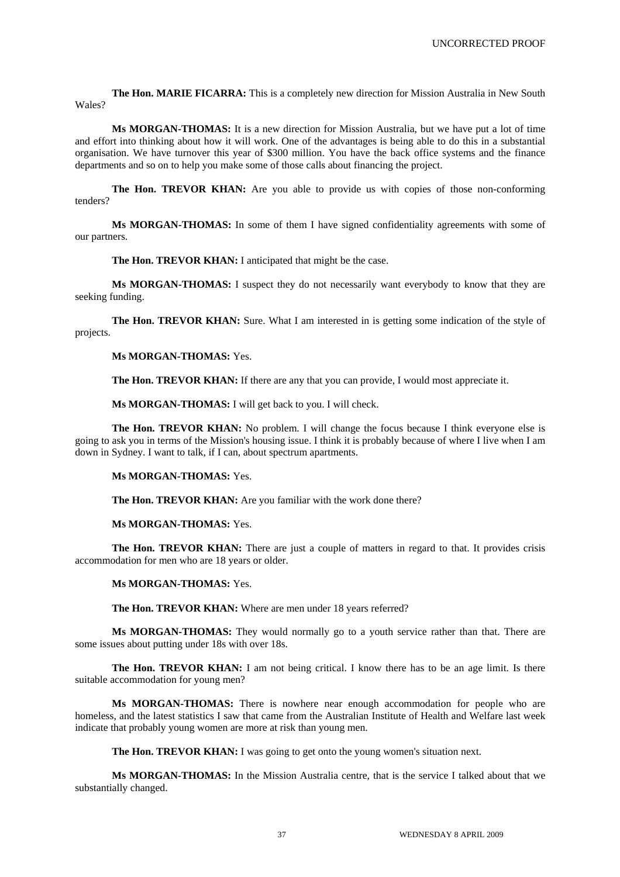**The Hon. MARIE FICARRA:** This is a completely new direction for Mission Australia in New South Wales?

**Ms MORGAN-THOMAS:** It is a new direction for Mission Australia, but we have put a lot of time and effort into thinking about how it will work. One of the advantages is being able to do this in a substantial organisation. We have turnover this year of \$300 million. You have the back office systems and the finance departments and so on to help you make some of those calls about financing the project.

**The Hon. TREVOR KHAN:** Are you able to provide us with copies of those non-conforming tenders?

**Ms MORGAN-THOMAS:** In some of them I have signed confidentiality agreements with some of our partners.

**The Hon. TREVOR KHAN:** I anticipated that might be the case.

**Ms MORGAN-THOMAS:** I suspect they do not necessarily want everybody to know that they are seeking funding.

**The Hon. TREVOR KHAN:** Sure. What I am interested in is getting some indication of the style of projects.

**Ms MORGAN-THOMAS:** Yes.

The Hon. TREVOR KHAN: If there are any that you can provide, I would most appreciate it.

**Ms MORGAN-THOMAS:** I will get back to you. I will check.

**The Hon. TREVOR KHAN:** No problem. I will change the focus because I think everyone else is going to ask you in terms of the Mission's housing issue. I think it is probably because of where I live when I am down in Sydney. I want to talk, if I can, about spectrum apartments.

**Ms MORGAN-THOMAS:** Yes.

**The Hon. TREVOR KHAN:** Are you familiar with the work done there?

**Ms MORGAN-THOMAS:** Yes.

**The Hon. TREVOR KHAN:** There are just a couple of matters in regard to that. It provides crisis accommodation for men who are 18 years or older.

**Ms MORGAN-THOMAS:** Yes.

The Hon. TREVOR KHAN: Where are men under 18 years referred?

**Ms MORGAN-THOMAS:** They would normally go to a youth service rather than that. There are some issues about putting under 18s with over 18s.

**The Hon. TREVOR KHAN:** I am not being critical. I know there has to be an age limit. Is there suitable accommodation for young men?

**Ms MORGAN-THOMAS:** There is nowhere near enough accommodation for people who are homeless, and the latest statistics I saw that came from the Australian Institute of Health and Welfare last week indicate that probably young women are more at risk than young men.

**The Hon. TREVOR KHAN:** I was going to get onto the young women's situation next.

**Ms MORGAN-THOMAS:** In the Mission Australia centre, that is the service I talked about that we substantially changed.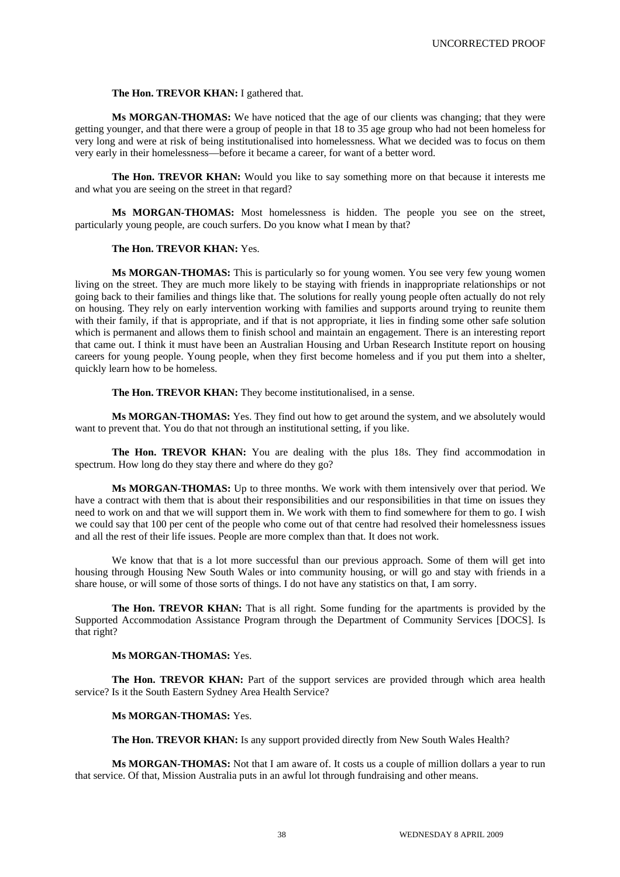## **The Hon. TREVOR KHAN:** I gathered that.

**Ms MORGAN-THOMAS:** We have noticed that the age of our clients was changing; that they were getting younger, and that there were a group of people in that 18 to 35 age group who had not been homeless for very long and were at risk of being institutionalised into homelessness. What we decided was to focus on them very early in their homelessness—before it became a career, for want of a better word.

The Hon. TREVOR KHAN: Would you like to say something more on that because it interests me and what you are seeing on the street in that regard?

**Ms MORGAN-THOMAS:** Most homelessness is hidden. The people you see on the street, particularly young people, are couch surfers. Do you know what I mean by that?

# **The Hon. TREVOR KHAN:** Yes.

**Ms MORGAN-THOMAS:** This is particularly so for young women. You see very few young women living on the street. They are much more likely to be staying with friends in inappropriate relationships or not going back to their families and things like that. The solutions for really young people often actually do not rely on housing. They rely on early intervention working with families and supports around trying to reunite them with their family, if that is appropriate, and if that is not appropriate, it lies in finding some other safe solution which is permanent and allows them to finish school and maintain an engagement. There is an interesting report that came out. I think it must have been an Australian Housing and Urban Research Institute report on housing careers for young people. Young people, when they first become homeless and if you put them into a shelter, quickly learn how to be homeless.

**The Hon. TREVOR KHAN:** They become institutionalised, in a sense.

**Ms MORGAN-THOMAS:** Yes. They find out how to get around the system, and we absolutely would want to prevent that. You do that not through an institutional setting, if you like.

**The Hon. TREVOR KHAN:** You are dealing with the plus 18s. They find accommodation in spectrum. How long do they stay there and where do they go?

**Ms MORGAN-THOMAS:** Up to three months. We work with them intensively over that period. We have a contract with them that is about their responsibilities and our responsibilities in that time on issues they need to work on and that we will support them in. We work with them to find somewhere for them to go. I wish we could say that 100 per cent of the people who come out of that centre had resolved their homelessness issues and all the rest of their life issues. People are more complex than that. It does not work.

We know that that is a lot more successful than our previous approach. Some of them will get into housing through Housing New South Wales or into community housing, or will go and stay with friends in a share house, or will some of those sorts of things. I do not have any statistics on that, I am sorry.

**The Hon. TREVOR KHAN:** That is all right. Some funding for the apartments is provided by the Supported Accommodation Assistance Program through the Department of Community Services [DOCS]. Is that right?

# **Ms MORGAN-THOMAS:** Yes.

**The Hon. TREVOR KHAN:** Part of the support services are provided through which area health service? Is it the South Eastern Sydney Area Health Service?

#### **Ms MORGAN-THOMAS:** Yes.

**The Hon. TREVOR KHAN:** Is any support provided directly from New South Wales Health?

**Ms MORGAN-THOMAS:** Not that I am aware of. It costs us a couple of million dollars a year to run that service. Of that, Mission Australia puts in an awful lot through fundraising and other means.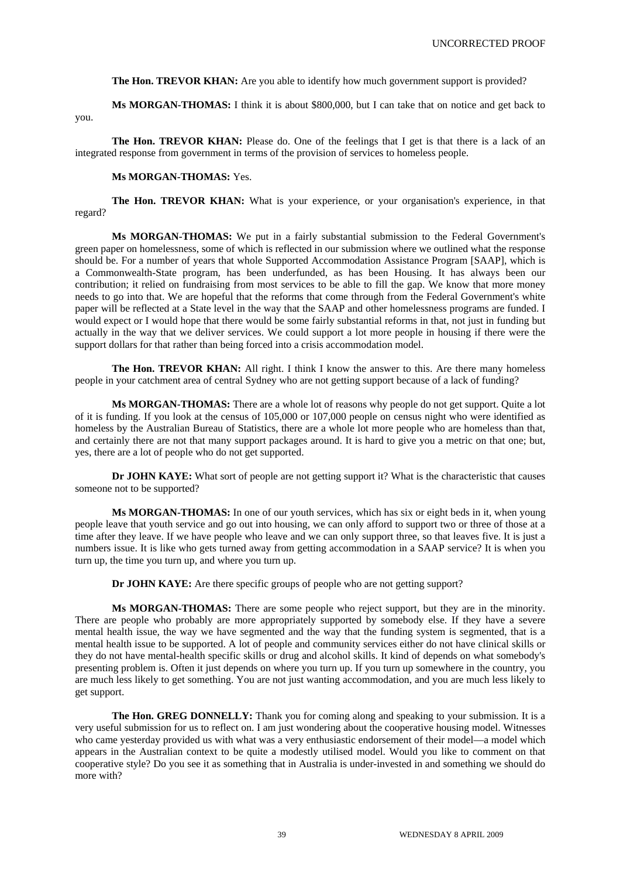**The Hon. TREVOR KHAN:** Are you able to identify how much government support is provided?

**Ms MORGAN-THOMAS:** I think it is about \$800,000, but I can take that on notice and get back to you.

**The Hon. TREVOR KHAN:** Please do. One of the feelings that I get is that there is a lack of an integrated response from government in terms of the provision of services to homeless people.

# **Ms MORGAN-THOMAS:** Yes.

**The Hon. TREVOR KHAN:** What is your experience, or your organisation's experience, in that regard?

**Ms MORGAN-THOMAS:** We put in a fairly substantial submission to the Federal Government's green paper on homelessness, some of which is reflected in our submission where we outlined what the response should be. For a number of years that whole Supported Accommodation Assistance Program [SAAP], which is a Commonwealth-State program, has been underfunded, as has been Housing. It has always been our contribution; it relied on fundraising from most services to be able to fill the gap. We know that more money needs to go into that. We are hopeful that the reforms that come through from the Federal Government's white paper will be reflected at a State level in the way that the SAAP and other homelessness programs are funded. I would expect or I would hope that there would be some fairly substantial reforms in that, not just in funding but actually in the way that we deliver services. We could support a lot more people in housing if there were the support dollars for that rather than being forced into a crisis accommodation model.

**The Hon. TREVOR KHAN:** All right. I think I know the answer to this. Are there many homeless people in your catchment area of central Sydney who are not getting support because of a lack of funding?

**Ms MORGAN-THOMAS:** There are a whole lot of reasons why people do not get support. Quite a lot of it is funding. If you look at the census of 105,000 or 107,000 people on census night who were identified as homeless by the Australian Bureau of Statistics, there are a whole lot more people who are homeless than that, and certainly there are not that many support packages around. It is hard to give you a metric on that one; but, yes, there are a lot of people who do not get supported.

**Dr JOHN KAYE:** What sort of people are not getting support it? What is the characteristic that causes someone not to be supported?

**Ms MORGAN-THOMAS:** In one of our youth services, which has six or eight beds in it, when young people leave that youth service and go out into housing, we can only afford to support two or three of those at a time after they leave. If we have people who leave and we can only support three, so that leaves five. It is just a numbers issue. It is like who gets turned away from getting accommodation in a SAAP service? It is when you turn up, the time you turn up, and where you turn up.

**Dr JOHN KAYE:** Are there specific groups of people who are not getting support?

**Ms MORGAN-THOMAS:** There are some people who reject support, but they are in the minority. There are people who probably are more appropriately supported by somebody else. If they have a severe mental health issue, the way we have segmented and the way that the funding system is segmented, that is a mental health issue to be supported. A lot of people and community services either do not have clinical skills or they do not have mental-health specific skills or drug and alcohol skills. It kind of depends on what somebody's presenting problem is. Often it just depends on where you turn up. If you turn up somewhere in the country, you are much less likely to get something. You are not just wanting accommodation, and you are much less likely to get support.

**The Hon. GREG DONNELLY:** Thank you for coming along and speaking to your submission. It is a very useful submission for us to reflect on. I am just wondering about the cooperative housing model. Witnesses who came yesterday provided us with what was a very enthusiastic endorsement of their model—a model which appears in the Australian context to be quite a modestly utilised model. Would you like to comment on that cooperative style? Do you see it as something that in Australia is under-invested in and something we should do more with?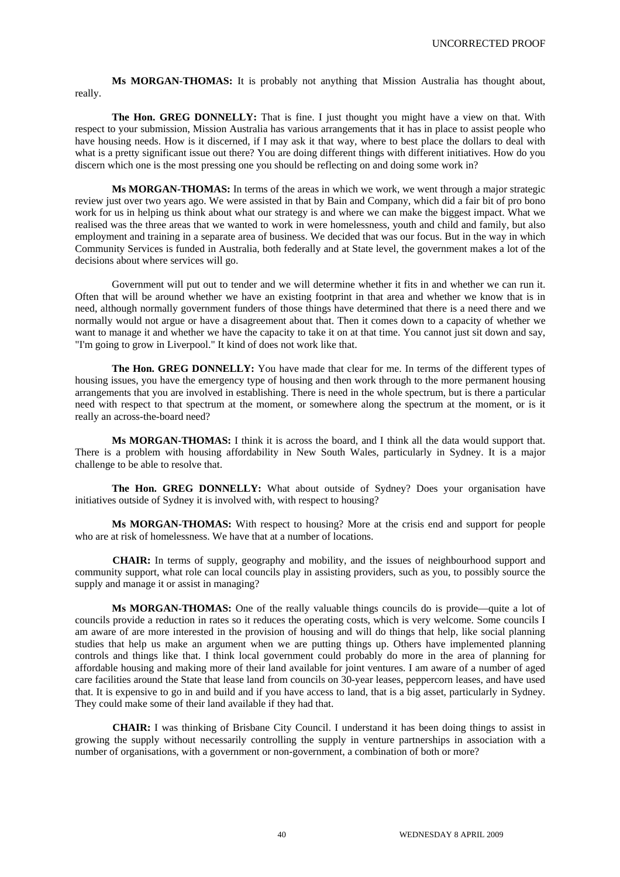**Ms MORGAN-THOMAS:** It is probably not anything that Mission Australia has thought about, really.

**The Hon. GREG DONNELLY:** That is fine. I just thought you might have a view on that. With respect to your submission, Mission Australia has various arrangements that it has in place to assist people who have housing needs. How is it discerned, if I may ask it that way, where to best place the dollars to deal with what is a pretty significant issue out there? You are doing different things with different initiatives. How do you discern which one is the most pressing one you should be reflecting on and doing some work in?

**Ms MORGAN-THOMAS:** In terms of the areas in which we work, we went through a major strategic review just over two years ago. We were assisted in that by Bain and Company, which did a fair bit of pro bono work for us in helping us think about what our strategy is and where we can make the biggest impact. What we realised was the three areas that we wanted to work in were homelessness, youth and child and family, but also employment and training in a separate area of business. We decided that was our focus. But in the way in which Community Services is funded in Australia, both federally and at State level, the government makes a lot of the decisions about where services will go.

Government will put out to tender and we will determine whether it fits in and whether we can run it. Often that will be around whether we have an existing footprint in that area and whether we know that is in need, although normally government funders of those things have determined that there is a need there and we normally would not argue or have a disagreement about that. Then it comes down to a capacity of whether we want to manage it and whether we have the capacity to take it on at that time. You cannot just sit down and say, "I'm going to grow in Liverpool." It kind of does not work like that.

**The Hon. GREG DONNELLY:** You have made that clear for me. In terms of the different types of housing issues, you have the emergency type of housing and then work through to the more permanent housing arrangements that you are involved in establishing. There is need in the whole spectrum, but is there a particular need with respect to that spectrum at the moment, or somewhere along the spectrum at the moment, or is it really an across-the-board need?

**Ms MORGAN-THOMAS:** I think it is across the board, and I think all the data would support that. There is a problem with housing affordability in New South Wales, particularly in Sydney. It is a major challenge to be able to resolve that.

**The Hon. GREG DONNELLY:** What about outside of Sydney? Does your organisation have initiatives outside of Sydney it is involved with, with respect to housing?

**Ms MORGAN-THOMAS:** With respect to housing? More at the crisis end and support for people who are at risk of homelessness. We have that at a number of locations.

**CHAIR:** In terms of supply, geography and mobility, and the issues of neighbourhood support and community support, what role can local councils play in assisting providers, such as you, to possibly source the supply and manage it or assist in managing?

**Ms MORGAN-THOMAS:** One of the really valuable things councils do is provide—quite a lot of councils provide a reduction in rates so it reduces the operating costs, which is very welcome. Some councils I am aware of are more interested in the provision of housing and will do things that help, like social planning studies that help us make an argument when we are putting things up. Others have implemented planning controls and things like that. I think local government could probably do more in the area of planning for affordable housing and making more of their land available for joint ventures. I am aware of a number of aged care facilities around the State that lease land from councils on 30-year leases, peppercorn leases, and have used that. It is expensive to go in and build and if you have access to land, that is a big asset, particularly in Sydney. They could make some of their land available if they had that.

**CHAIR:** I was thinking of Brisbane City Council. I understand it has been doing things to assist in growing the supply without necessarily controlling the supply in venture partnerships in association with a number of organisations, with a government or non-government, a combination of both or more?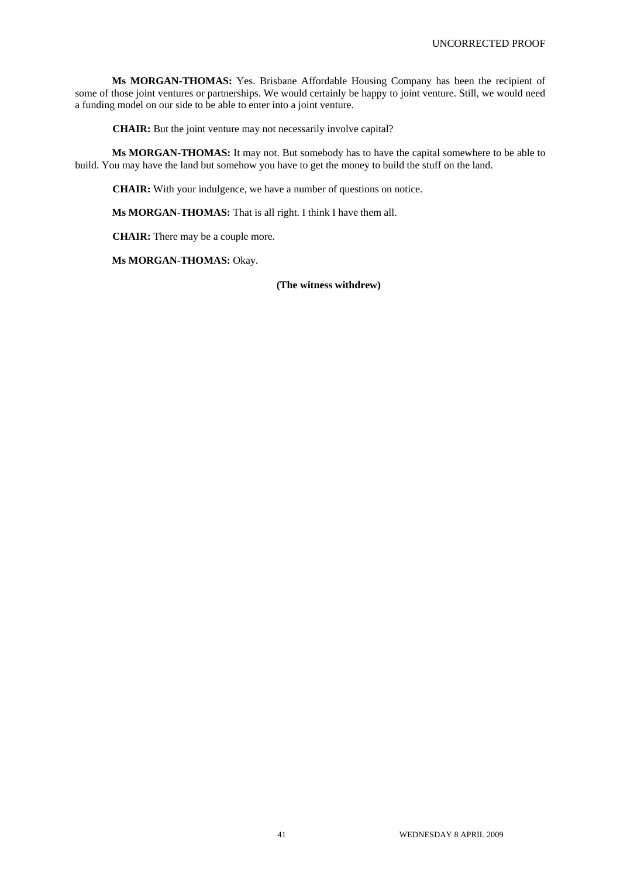**Ms MORGAN-THOMAS:** Yes. Brisbane Affordable Housing Company has been the recipient of some of those joint ventures or partnerships. We would certainly be happy to joint venture. Still, we would need a funding model on our side to be able to enter into a joint venture.

**CHAIR:** But the joint venture may not necessarily involve capital?

**Ms MORGAN-THOMAS:** It may not. But somebody has to have the capital somewhere to be able to build. You may have the land but somehow you have to get the money to build the stuff on the land.

**CHAIR:** With your indulgence, we have a number of questions on notice.

**Ms MORGAN-THOMAS:** That is all right. I think I have them all.

**CHAIR:** There may be a couple more.

**Ms MORGAN-THOMAS: Okay.** 

**(The witness withdrew)**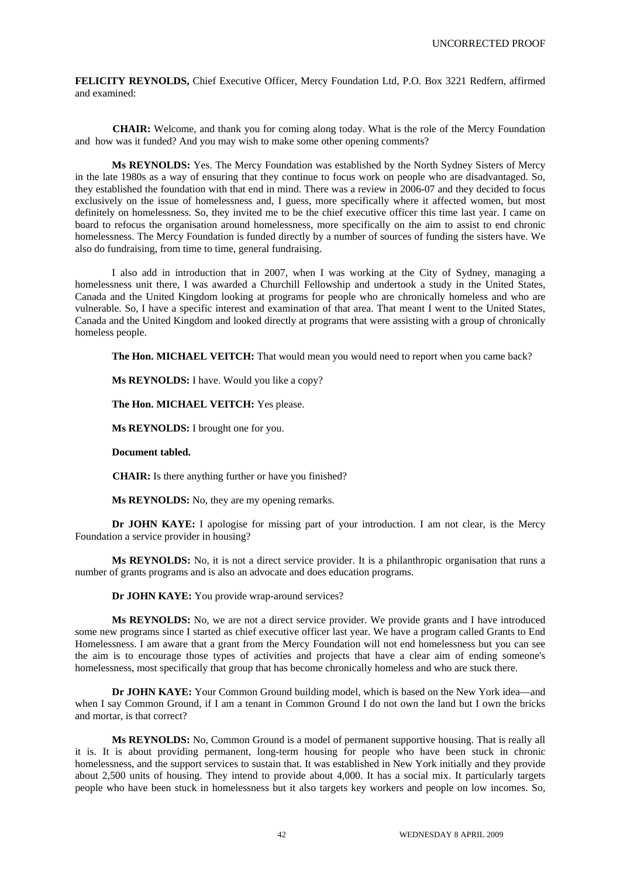**FELICITY REYNOLDS,** Chief Executive Officer, Mercy Foundation Ltd, P.O. Box 3221 Redfern, affirmed and examined:

**CHAIR:** Welcome, and thank you for coming along today. What is the role of the Mercy Foundation and how was it funded? And you may wish to make some other opening comments?

**Ms REYNOLDS:** Yes. The Mercy Foundation was established by the North Sydney Sisters of Mercy in the late 1980s as a way of ensuring that they continue to focus work on people who are disadvantaged. So, they established the foundation with that end in mind. There was a review in 2006-07 and they decided to focus exclusively on the issue of homelessness and, I guess, more specifically where it affected women, but most definitely on homelessness. So, they invited me to be the chief executive officer this time last year. I came on board to refocus the organisation around homelessness, more specifically on the aim to assist to end chronic homelessness. The Mercy Foundation is funded directly by a number of sources of funding the sisters have. We also do fundraising, from time to time, general fundraising.

I also add in introduction that in 2007, when I was working at the City of Sydney, managing a homelessness unit there, I was awarded a Churchill Fellowship and undertook a study in the United States, Canada and the United Kingdom looking at programs for people who are chronically homeless and who are vulnerable. So, I have a specific interest and examination of that area. That meant I went to the United States, Canada and the United Kingdom and looked directly at programs that were assisting with a group of chronically homeless people.

**The Hon. MICHAEL VEITCH:** That would mean you would need to report when you came back?

**Ms REYNOLDS:** I have. Would you like a copy?

**The Hon. MICHAEL VEITCH:** Yes please.

**Ms REYNOLDS:** I brought one for you.

**Document tabled.** 

**CHAIR:** Is there anything further or have you finished?

**Ms REYNOLDS:** No, they are my opening remarks.

**Dr JOHN KAYE:** I apologise for missing part of your introduction. I am not clear, is the Mercy Foundation a service provider in housing?

**Ms REYNOLDS:** No, it is not a direct service provider. It is a philanthropic organisation that runs a number of grants programs and is also an advocate and does education programs.

**Dr JOHN KAYE:** You provide wrap-around services?

**Ms REYNOLDS:** No, we are not a direct service provider. We provide grants and I have introduced some new programs since I started as chief executive officer last year. We have a program called Grants to End Homelessness. I am aware that a grant from the Mercy Foundation will not end homelessness but you can see the aim is to encourage those types of activities and projects that have a clear aim of ending someone's homelessness, most specifically that group that has become chronically homeless and who are stuck there.

**Dr JOHN KAYE:** Your Common Ground building model, which is based on the New York idea—and when I say Common Ground, if I am a tenant in Common Ground I do not own the land but I own the bricks and mortar, is that correct?

**Ms REYNOLDS:** No, Common Ground is a model of permanent supportive housing. That is really all it is. It is about providing permanent, long-term housing for people who have been stuck in chronic homelessness, and the support services to sustain that. It was established in New York initially and they provide about 2,500 units of housing. They intend to provide about 4,000. It has a social mix. It particularly targets people who have been stuck in homelessness but it also targets key workers and people on low incomes. So,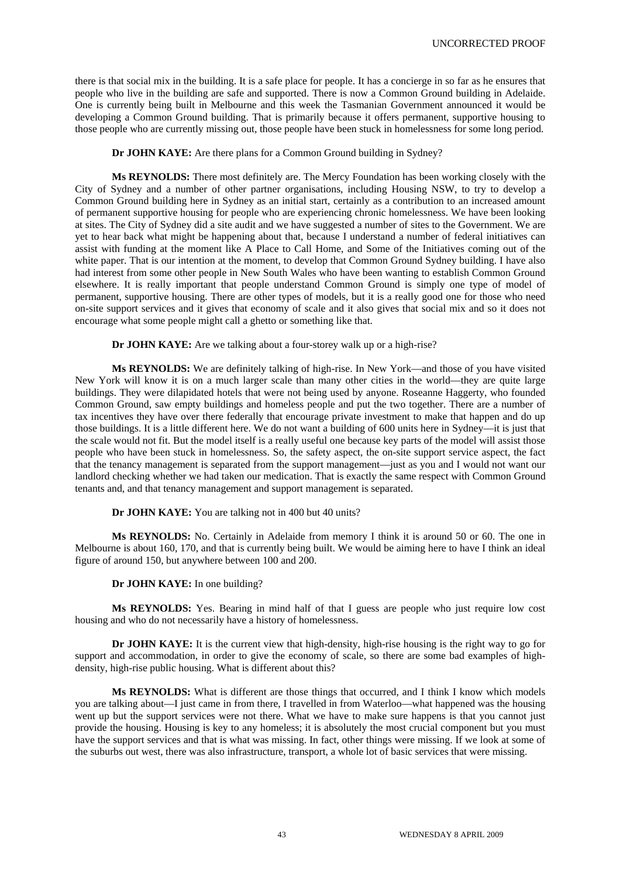there is that social mix in the building. It is a safe place for people. It has a concierge in so far as he ensures that people who live in the building are safe and supported. There is now a Common Ground building in Adelaide. One is currently being built in Melbourne and this week the Tasmanian Government announced it would be developing a Common Ground building. That is primarily because it offers permanent, supportive housing to those people who are currently missing out, those people have been stuck in homelessness for some long period.

**Dr JOHN KAYE:** Are there plans for a Common Ground building in Sydney?

**Ms REYNOLDS:** There most definitely are. The Mercy Foundation has been working closely with the City of Sydney and a number of other partner organisations, including Housing NSW, to try to develop a Common Ground building here in Sydney as an initial start, certainly as a contribution to an increased amount of permanent supportive housing for people who are experiencing chronic homelessness. We have been looking at sites. The City of Sydney did a site audit and we have suggested a number of sites to the Government. We are yet to hear back what might be happening about that, because I understand a number of federal initiatives can assist with funding at the moment like A Place to Call Home, and Some of the Initiatives coming out of the white paper. That is our intention at the moment, to develop that Common Ground Sydney building. I have also had interest from some other people in New South Wales who have been wanting to establish Common Ground elsewhere. It is really important that people understand Common Ground is simply one type of model of permanent, supportive housing. There are other types of models, but it is a really good one for those who need on-site support services and it gives that economy of scale and it also gives that social mix and so it does not encourage what some people might call a ghetto or something like that.

**Dr JOHN KAYE:** Are we talking about a four-storey walk up or a high-rise?

**Ms REYNOLDS:** We are definitely talking of high-rise. In New York—and those of you have visited New York will know it is on a much larger scale than many other cities in the world—they are quite large buildings. They were dilapidated hotels that were not being used by anyone. Roseanne Haggerty, who founded Common Ground, saw empty buildings and homeless people and put the two together. There are a number of tax incentives they have over there federally that encourage private investment to make that happen and do up those buildings. It is a little different here. We do not want a building of 600 units here in Sydney—it is just that the scale would not fit. But the model itself is a really useful one because key parts of the model will assist those people who have been stuck in homelessness. So, the safety aspect, the on-site support service aspect, the fact that the tenancy management is separated from the support management—just as you and I would not want our landlord checking whether we had taken our medication. That is exactly the same respect with Common Ground tenants and, and that tenancy management and support management is separated.

**Dr JOHN KAYE:** You are talking not in 400 but 40 units?

**Ms REYNOLDS:** No. Certainly in Adelaide from memory I think it is around 50 or 60. The one in Melbourne is about 160, 170, and that is currently being built. We would be aiming here to have I think an ideal figure of around 150, but anywhere between 100 and 200.

**Dr JOHN KAYE:** In one building?

**Ms REYNOLDS:** Yes. Bearing in mind half of that I guess are people who just require low cost housing and who do not necessarily have a history of homelessness.

**Dr JOHN KAYE:** It is the current view that high-density, high-rise housing is the right way to go for support and accommodation, in order to give the economy of scale, so there are some bad examples of highdensity, high-rise public housing. What is different about this?

**Ms REYNOLDS:** What is different are those things that occurred, and I think I know which models you are talking about—I just came in from there, I travelled in from Waterloo—what happened was the housing went up but the support services were not there. What we have to make sure happens is that you cannot just provide the housing. Housing is key to any homeless; it is absolutely the most crucial component but you must have the support services and that is what was missing. In fact, other things were missing. If we look at some of the suburbs out west, there was also infrastructure, transport, a whole lot of basic services that were missing.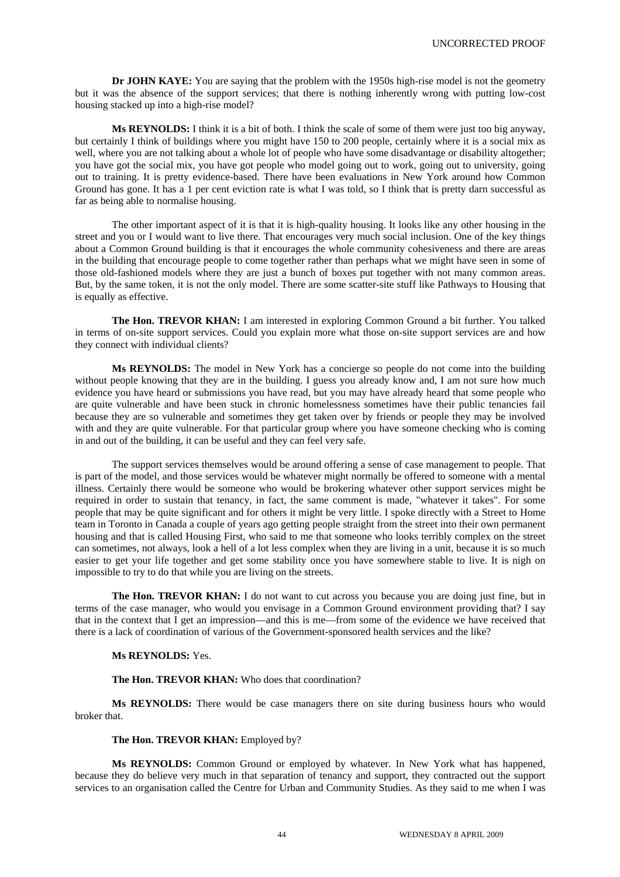**Dr JOHN KAYE:** You are saying that the problem with the 1950s high-rise model is not the geometry but it was the absence of the support services; that there is nothing inherently wrong with putting low-cost housing stacked up into a high-rise model?

**Ms REYNOLDS:** I think it is a bit of both. I think the scale of some of them were just too big anyway, but certainly I think of buildings where you might have 150 to 200 people, certainly where it is a social mix as well, where you are not talking about a whole lot of people who have some disadvantage or disability altogether; you have got the social mix, you have got people who model going out to work, going out to university, going out to training. It is pretty evidence-based. There have been evaluations in New York around how Common Ground has gone. It has a 1 per cent eviction rate is what I was told, so I think that is pretty darn successful as far as being able to normalise housing.

The other important aspect of it is that it is high-quality housing. It looks like any other housing in the street and you or I would want to live there. That encourages very much social inclusion. One of the key things about a Common Ground building is that it encourages the whole community cohesiveness and there are areas in the building that encourage people to come together rather than perhaps what we might have seen in some of those old-fashioned models where they are just a bunch of boxes put together with not many common areas. But, by the same token, it is not the only model. There are some scatter-site stuff like Pathways to Housing that is equally as effective.

**The Hon. TREVOR KHAN:** I am interested in exploring Common Ground a bit further. You talked in terms of on-site support services. Could you explain more what those on-site support services are and how they connect with individual clients?

**Ms REYNOLDS:** The model in New York has a concierge so people do not come into the building without people knowing that they are in the building. I guess you already know and, I am not sure how much evidence you have heard or submissions you have read, but you may have already heard that some people who are quite vulnerable and have been stuck in chronic homelessness sometimes have their public tenancies fail because they are so vulnerable and sometimes they get taken over by friends or people they may be involved with and they are quite vulnerable. For that particular group where you have someone checking who is coming in and out of the building, it can be useful and they can feel very safe.

The support services themselves would be around offering a sense of case management to people. That is part of the model, and those services would be whatever might normally be offered to someone with a mental illness. Certainly there would be someone who would be brokering whatever other support services might be required in order to sustain that tenancy, in fact, the same comment is made, "whatever it takes". For some people that may be quite significant and for others it might be very little. I spoke directly with a Street to Home team in Toronto in Canada a couple of years ago getting people straight from the street into their own permanent housing and that is called Housing First, who said to me that someone who looks terribly complex on the street can sometimes, not always, look a hell of a lot less complex when they are living in a unit, because it is so much easier to get your life together and get some stability once you have somewhere stable to live. It is nigh on impossible to try to do that while you are living on the streets.

**The Hon. TREVOR KHAN:** I do not want to cut across you because you are doing just fine, but in terms of the case manager, who would you envisage in a Common Ground environment providing that? I say that in the context that I get an impression—and this is me—from some of the evidence we have received that there is a lack of coordination of various of the Government-sponsored health services and the like?

# **Ms REYNOLDS:** Yes.

**The Hon. TREVOR KHAN:** Who does that coordination?

**Ms REYNOLDS:** There would be case managers there on site during business hours who would broker that.

# **The Hon. TREVOR KHAN:** Employed by?

**Ms REYNOLDS:** Common Ground or employed by whatever. In New York what has happened, because they do believe very much in that separation of tenancy and support, they contracted out the support services to an organisation called the Centre for Urban and Community Studies. As they said to me when I was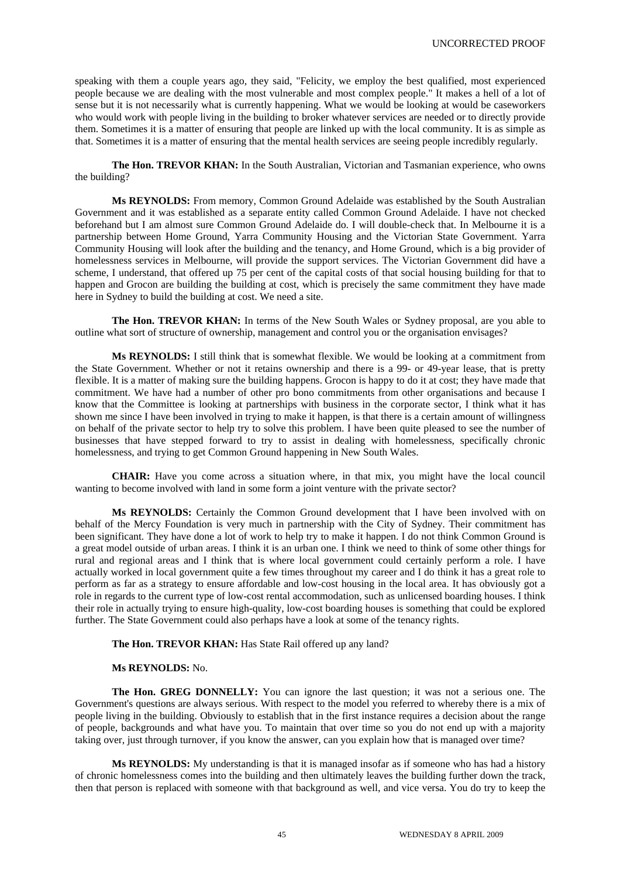speaking with them a couple years ago, they said, "Felicity, we employ the best qualified, most experienced people because we are dealing with the most vulnerable and most complex people." It makes a hell of a lot of sense but it is not necessarily what is currently happening. What we would be looking at would be caseworkers who would work with people living in the building to broker whatever services are needed or to directly provide them. Sometimes it is a matter of ensuring that people are linked up with the local community. It is as simple as that. Sometimes it is a matter of ensuring that the mental health services are seeing people incredibly regularly.

**The Hon. TREVOR KHAN:** In the South Australian, Victorian and Tasmanian experience, who owns the building?

**Ms REYNOLDS:** From memory, Common Ground Adelaide was established by the South Australian Government and it was established as a separate entity called Common Ground Adelaide. I have not checked beforehand but I am almost sure Common Ground Adelaide do. I will double-check that. In Melbourne it is a partnership between Home Ground, Yarra Community Housing and the Victorian State Government. Yarra Community Housing will look after the building and the tenancy, and Home Ground, which is a big provider of homelessness services in Melbourne, will provide the support services. The Victorian Government did have a scheme, I understand, that offered up 75 per cent of the capital costs of that social housing building for that to happen and Grocon are building the building at cost, which is precisely the same commitment they have made here in Sydney to build the building at cost. We need a site.

The Hon. TREVOR KHAN: In terms of the New South Wales or Sydney proposal, are you able to outline what sort of structure of ownership, management and control you or the organisation envisages?

**Ms REYNOLDS:** I still think that is somewhat flexible. We would be looking at a commitment from the State Government. Whether or not it retains ownership and there is a 99- or 49-year lease, that is pretty flexible. It is a matter of making sure the building happens. Grocon is happy to do it at cost; they have made that commitment. We have had a number of other pro bono commitments from other organisations and because I know that the Committee is looking at partnerships with business in the corporate sector, I think what it has shown me since I have been involved in trying to make it happen, is that there is a certain amount of willingness on behalf of the private sector to help try to solve this problem. I have been quite pleased to see the number of businesses that have stepped forward to try to assist in dealing with homelessness, specifically chronic homelessness, and trying to get Common Ground happening in New South Wales.

**CHAIR:** Have you come across a situation where, in that mix, you might have the local council wanting to become involved with land in some form a joint venture with the private sector?

**Ms REYNOLDS:** Certainly the Common Ground development that I have been involved with on behalf of the Mercy Foundation is very much in partnership with the City of Sydney. Their commitment has been significant. They have done a lot of work to help try to make it happen. I do not think Common Ground is a great model outside of urban areas. I think it is an urban one. I think we need to think of some other things for rural and regional areas and I think that is where local government could certainly perform a role. I have actually worked in local government quite a few times throughout my career and I do think it has a great role to perform as far as a strategy to ensure affordable and low-cost housing in the local area. It has obviously got a role in regards to the current type of low-cost rental accommodation, such as unlicensed boarding houses. I think their role in actually trying to ensure high-quality, low-cost boarding houses is something that could be explored further. The State Government could also perhaps have a look at some of the tenancy rights.

**The Hon. TREVOR KHAN:** Has State Rail offered up any land?

#### **Ms REYNOLDS:** No.

**The Hon. GREG DONNELLY:** You can ignore the last question; it was not a serious one. The Government's questions are always serious. With respect to the model you referred to whereby there is a mix of people living in the building. Obviously to establish that in the first instance requires a decision about the range of people, backgrounds and what have you. To maintain that over time so you do not end up with a majority taking over, just through turnover, if you know the answer, can you explain how that is managed over time?

**Ms REYNOLDS:** My understanding is that it is managed insofar as if someone who has had a history of chronic homelessness comes into the building and then ultimately leaves the building further down the track, then that person is replaced with someone with that background as well, and vice versa. You do try to keep the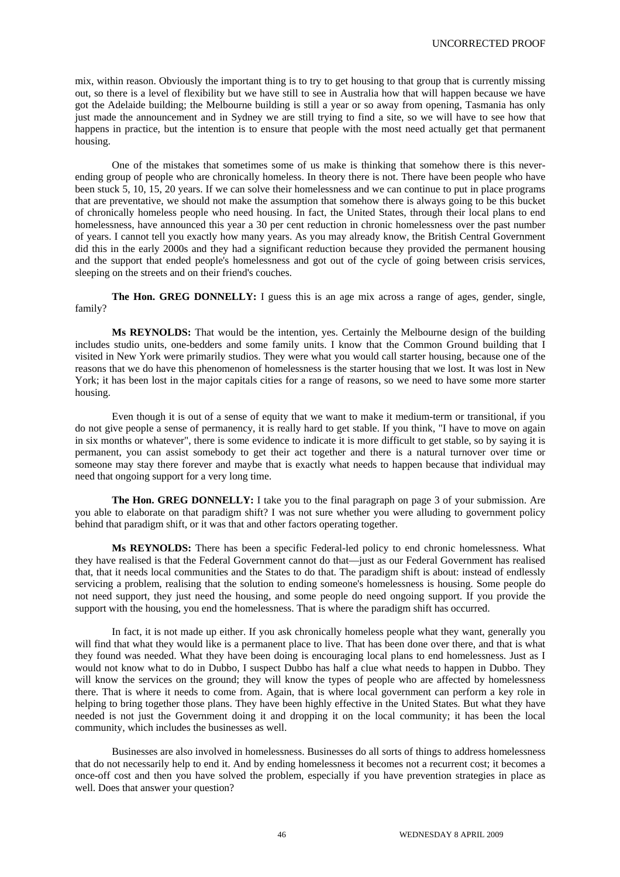mix, within reason. Obviously the important thing is to try to get housing to that group that is currently missing out, so there is a level of flexibility but we have still to see in Australia how that will happen because we have got the Adelaide building; the Melbourne building is still a year or so away from opening, Tasmania has only just made the announcement and in Sydney we are still trying to find a site, so we will have to see how that happens in practice, but the intention is to ensure that people with the most need actually get that permanent housing.

One of the mistakes that sometimes some of us make is thinking that somehow there is this neverending group of people who are chronically homeless. In theory there is not. There have been people who have been stuck 5, 10, 15, 20 years. If we can solve their homelessness and we can continue to put in place programs that are preventative, we should not make the assumption that somehow there is always going to be this bucket of chronically homeless people who need housing. In fact, the United States, through their local plans to end homelessness, have announced this year a 30 per cent reduction in chronic homelessness over the past number of years. I cannot tell you exactly how many years. As you may already know, the British Central Government did this in the early 2000s and they had a significant reduction because they provided the permanent housing and the support that ended people's homelessness and got out of the cycle of going between crisis services, sleeping on the streets and on their friend's couches.

**The Hon. GREG DONNELLY:** I guess this is an age mix across a range of ages, gender, single, family?

**Ms REYNOLDS:** That would be the intention, yes. Certainly the Melbourne design of the building includes studio units, one-bedders and some family units. I know that the Common Ground building that I visited in New York were primarily studios. They were what you would call starter housing, because one of the reasons that we do have this phenomenon of homelessness is the starter housing that we lost. It was lost in New York; it has been lost in the major capitals cities for a range of reasons, so we need to have some more starter housing.

Even though it is out of a sense of equity that we want to make it medium-term or transitional, if you do not give people a sense of permanency, it is really hard to get stable. If you think, "I have to move on again in six months or whatever", there is some evidence to indicate it is more difficult to get stable, so by saying it is permanent, you can assist somebody to get their act together and there is a natural turnover over time or someone may stay there forever and maybe that is exactly what needs to happen because that individual may need that ongoing support for a very long time.

**The Hon. GREG DONNELLY:** I take you to the final paragraph on page 3 of your submission. Are you able to elaborate on that paradigm shift? I was not sure whether you were alluding to government policy behind that paradigm shift, or it was that and other factors operating together.

**Ms REYNOLDS:** There has been a specific Federal-led policy to end chronic homelessness. What they have realised is that the Federal Government cannot do that—just as our Federal Government has realised that, that it needs local communities and the States to do that. The paradigm shift is about: instead of endlessly servicing a problem, realising that the solution to ending someone's homelessness is housing. Some people do not need support, they just need the housing, and some people do need ongoing support. If you provide the support with the housing, you end the homelessness. That is where the paradigm shift has occurred.

In fact, it is not made up either. If you ask chronically homeless people what they want, generally you will find that what they would like is a permanent place to live. That has been done over there, and that is what they found was needed. What they have been doing is encouraging local plans to end homelessness. Just as I would not know what to do in Dubbo, I suspect Dubbo has half a clue what needs to happen in Dubbo. They will know the services on the ground; they will know the types of people who are affected by homelessness there. That is where it needs to come from. Again, that is where local government can perform a key role in helping to bring together those plans. They have been highly effective in the United States. But what they have needed is not just the Government doing it and dropping it on the local community; it has been the local community, which includes the businesses as well.

Businesses are also involved in homelessness. Businesses do all sorts of things to address homelessness that do not necessarily help to end it. And by ending homelessness it becomes not a recurrent cost; it becomes a once-off cost and then you have solved the problem, especially if you have prevention strategies in place as well. Does that answer your question?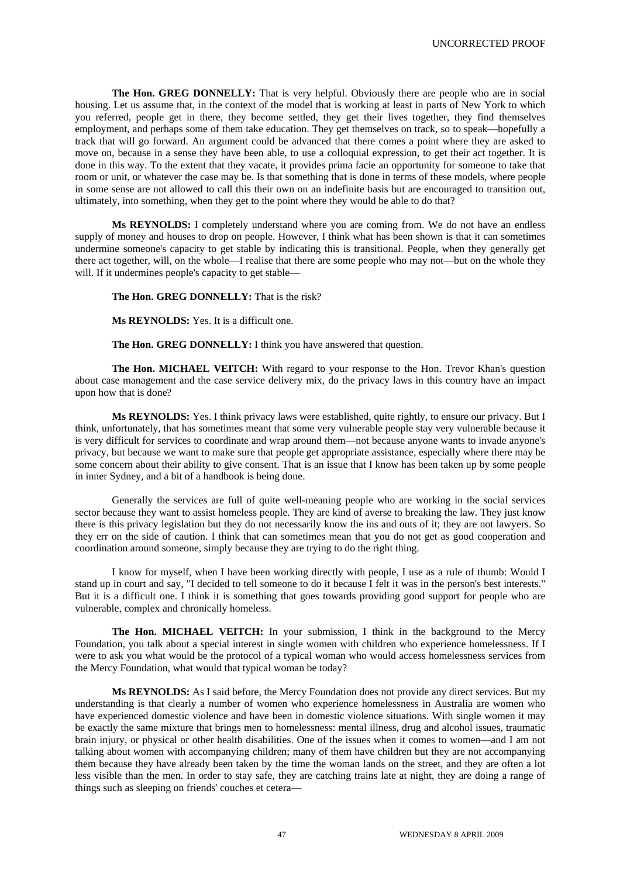**The Hon. GREG DONNELLY:** That is very helpful. Obviously there are people who are in social housing. Let us assume that, in the context of the model that is working at least in parts of New York to which you referred, people get in there, they become settled, they get their lives together, they find themselves employment, and perhaps some of them take education. They get themselves on track, so to speak—hopefully a track that will go forward. An argument could be advanced that there comes a point where they are asked to move on, because in a sense they have been able, to use a colloquial expression, to get their act together. It is done in this way. To the extent that they vacate, it provides prima facie an opportunity for someone to take that room or unit, or whatever the case may be. Is that something that is done in terms of these models, where people in some sense are not allowed to call this their own on an indefinite basis but are encouraged to transition out, ultimately, into something, when they get to the point where they would be able to do that?

**Ms REYNOLDS:** I completely understand where you are coming from. We do not have an endless supply of money and houses to drop on people. However, I think what has been shown is that it can sometimes undermine someone's capacity to get stable by indicating this is transitional. People, when they generally get there act together, will, on the whole—I realise that there are some people who may not—but on the whole they will. If it undermines people's capacity to get stable—

#### **The Hon. GREG DONNELLY:** That is the risk?

**Ms REYNOLDS:** Yes. It is a difficult one.

#### **The Hon. GREG DONNELLY:** I think you have answered that question.

**The Hon. MICHAEL VEITCH:** With regard to your response to the Hon. Trevor Khan's question about case management and the case service delivery mix, do the privacy laws in this country have an impact upon how that is done?

**Ms REYNOLDS:** Yes. I think privacy laws were established, quite rightly, to ensure our privacy. But I think, unfortunately, that has sometimes meant that some very vulnerable people stay very vulnerable because it is very difficult for services to coordinate and wrap around them—not because anyone wants to invade anyone's privacy, but because we want to make sure that people get appropriate assistance, especially where there may be some concern about their ability to give consent. That is an issue that I know has been taken up by some people in inner Sydney, and a bit of a handbook is being done.

Generally the services are full of quite well-meaning people who are working in the social services sector because they want to assist homeless people. They are kind of averse to breaking the law. They just know there is this privacy legislation but they do not necessarily know the ins and outs of it; they are not lawyers. So they err on the side of caution. I think that can sometimes mean that you do not get as good cooperation and coordination around someone, simply because they are trying to do the right thing.

I know for myself, when I have been working directly with people, I use as a rule of thumb: Would I stand up in court and say, "I decided to tell someone to do it because I felt it was in the person's best interests." But it is a difficult one. I think it is something that goes towards providing good support for people who are vulnerable, complex and chronically homeless.

**The Hon. MICHAEL VEITCH:** In your submission, I think in the background to the Mercy Foundation, you talk about a special interest in single women with children who experience homelessness. If I were to ask you what would be the protocol of a typical woman who would access homelessness services from the Mercy Foundation, what would that typical woman be today?

**Ms REYNOLDS:** As I said before, the Mercy Foundation does not provide any direct services. But my understanding is that clearly a number of women who experience homelessness in Australia are women who have experienced domestic violence and have been in domestic violence situations. With single women it may be exactly the same mixture that brings men to homelessness: mental illness, drug and alcohol issues, traumatic brain injury, or physical or other health disabilities. One of the issues when it comes to women—and I am not talking about women with accompanying children; many of them have children but they are not accompanying them because they have already been taken by the time the woman lands on the street, and they are often a lot less visible than the men. In order to stay safe, they are catching trains late at night, they are doing a range of things such as sleeping on friends' couches et cetera—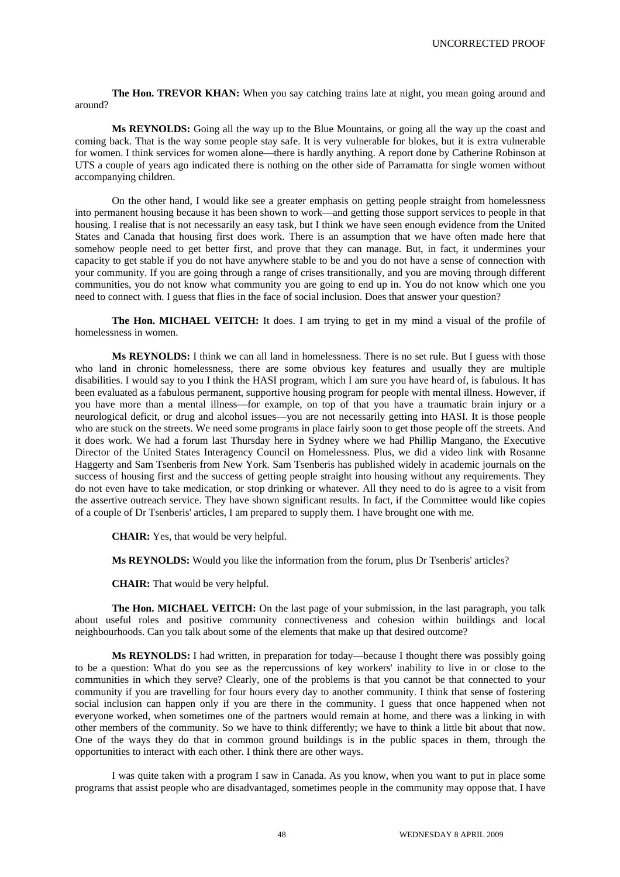**The Hon. TREVOR KHAN:** When you say catching trains late at night, you mean going around and around?

**Ms REYNOLDS:** Going all the way up to the Blue Mountains, or going all the way up the coast and coming back. That is the way some people stay safe. It is very vulnerable for blokes, but it is extra vulnerable for women. I think services for women alone—there is hardly anything. A report done by Catherine Robinson at UTS a couple of years ago indicated there is nothing on the other side of Parramatta for single women without accompanying children.

On the other hand, I would like see a greater emphasis on getting people straight from homelessness into permanent housing because it has been shown to work—and getting those support services to people in that housing. I realise that is not necessarily an easy task, but I think we have seen enough evidence from the United States and Canada that housing first does work. There is an assumption that we have often made here that somehow people need to get better first, and prove that they can manage. But, in fact, it undermines your capacity to get stable if you do not have anywhere stable to be and you do not have a sense of connection with your community. If you are going through a range of crises transitionally, and you are moving through different communities, you do not know what community you are going to end up in. You do not know which one you need to connect with. I guess that flies in the face of social inclusion. Does that answer your question?

The Hon. MICHAEL VEITCH: It does. I am trying to get in my mind a visual of the profile of homelessness in women.

**Ms REYNOLDS:** I think we can all land in homelessness. There is no set rule. But I guess with those who land in chronic homelessness, there are some obvious key features and usually they are multiple disabilities. I would say to you I think the HASI program, which I am sure you have heard of, is fabulous. It has been evaluated as a fabulous permanent, supportive housing program for people with mental illness. However, if you have more than a mental illness—for example, on top of that you have a traumatic brain injury or a neurological deficit, or drug and alcohol issues—you are not necessarily getting into HASI. It is those people who are stuck on the streets. We need some programs in place fairly soon to get those people off the streets. And it does work. We had a forum last Thursday here in Sydney where we had Phillip Mangano, the Executive Director of the United States Interagency Council on Homelessness. Plus, we did a video link with Rosanne Haggerty and Sam Tsenberis from New York. Sam Tsenberis has published widely in academic journals on the success of housing first and the success of getting people straight into housing without any requirements. They do not even have to take medication, or stop drinking or whatever. All they need to do is agree to a visit from the assertive outreach service. They have shown significant results. In fact, if the Committee would like copies of a couple of Dr Tsenberis' articles, I am prepared to supply them. I have brought one with me.

**CHAIR:** Yes, that would be very helpful.

**Ms REYNOLDS:** Would you like the information from the forum, plus Dr Tsenberis' articles?

**CHAIR:** That would be very helpful.

**The Hon. MICHAEL VEITCH:** On the last page of your submission, in the last paragraph, you talk about useful roles and positive community connectiveness and cohesion within buildings and local neighbourhoods. Can you talk about some of the elements that make up that desired outcome?

**Ms REYNOLDS:** I had written, in preparation for today—because I thought there was possibly going to be a question: What do you see as the repercussions of key workers' inability to live in or close to the communities in which they serve? Clearly, one of the problems is that you cannot be that connected to your community if you are travelling for four hours every day to another community. I think that sense of fostering social inclusion can happen only if you are there in the community. I guess that once happened when not everyone worked, when sometimes one of the partners would remain at home, and there was a linking in with other members of the community. So we have to think differently; we have to think a little bit about that now. One of the ways they do that in common ground buildings is in the public spaces in them, through the opportunities to interact with each other. I think there are other ways.

I was quite taken with a program I saw in Canada. As you know, when you want to put in place some programs that assist people who are disadvantaged, sometimes people in the community may oppose that. I have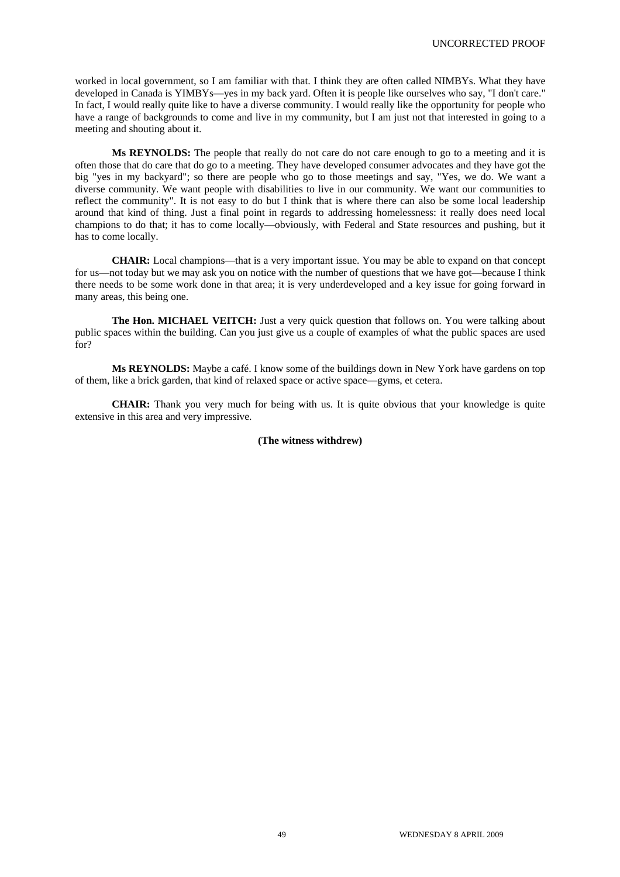worked in local government, so I am familiar with that. I think they are often called NIMBYs. What they have developed in Canada is YIMBYs—yes in my back yard. Often it is people like ourselves who say, "I don't care." In fact, I would really quite like to have a diverse community. I would really like the opportunity for people who have a range of backgrounds to come and live in my community, but I am just not that interested in going to a meeting and shouting about it.

**Ms REYNOLDS:** The people that really do not care do not care enough to go to a meeting and it is often those that do care that do go to a meeting. They have developed consumer advocates and they have got the big "yes in my backyard"; so there are people who go to those meetings and say, "Yes, we do. We want a diverse community. We want people with disabilities to live in our community. We want our communities to reflect the community". It is not easy to do but I think that is where there can also be some local leadership around that kind of thing. Just a final point in regards to addressing homelessness: it really does need local champions to do that; it has to come locally—obviously, with Federal and State resources and pushing, but it has to come locally.

**CHAIR:** Local champions—that is a very important issue. You may be able to expand on that concept for us—not today but we may ask you on notice with the number of questions that we have got—because I think there needs to be some work done in that area; it is very underdeveloped and a key issue for going forward in many areas, this being one.

**The Hon. MICHAEL VEITCH:** Just a very quick question that follows on. You were talking about public spaces within the building. Can you just give us a couple of examples of what the public spaces are used for?

**Ms REYNOLDS:** Maybe a café. I know some of the buildings down in New York have gardens on top of them, like a brick garden, that kind of relaxed space or active space—gyms, et cetera.

**CHAIR:** Thank you very much for being with us. It is quite obvious that your knowledge is quite extensive in this area and very impressive.

#### **(The witness withdrew)**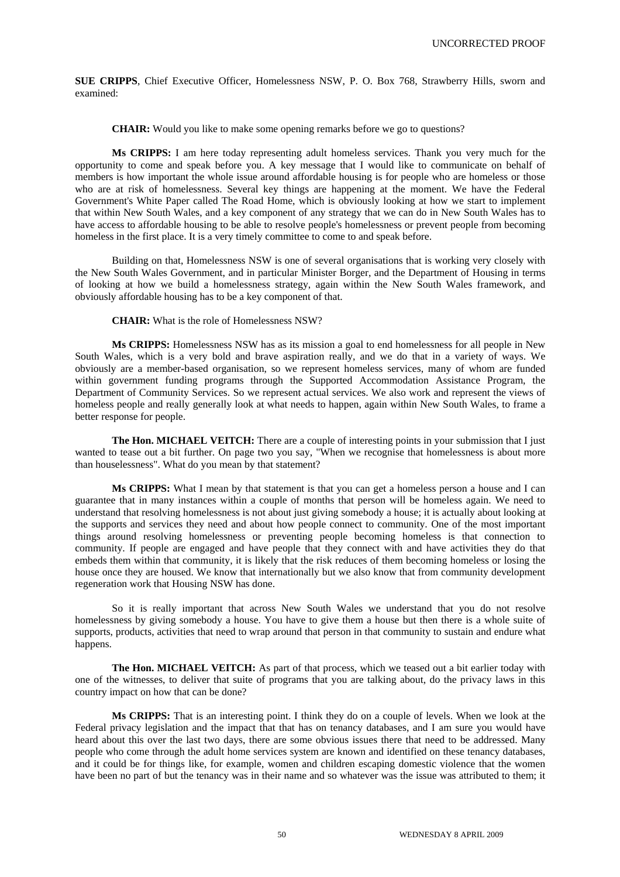**SUE CRIPPS**, Chief Executive Officer, Homelessness NSW, P. O. Box 768, Strawberry Hills, sworn and examined:

**CHAIR:** Would you like to make some opening remarks before we go to questions?

**Ms CRIPPS:** I am here today representing adult homeless services. Thank you very much for the opportunity to come and speak before you. A key message that I would like to communicate on behalf of members is how important the whole issue around affordable housing is for people who are homeless or those who are at risk of homelessness. Several key things are happening at the moment. We have the Federal Government's White Paper called The Road Home, which is obviously looking at how we start to implement that within New South Wales, and a key component of any strategy that we can do in New South Wales has to have access to affordable housing to be able to resolve people's homelessness or prevent people from becoming homeless in the first place. It is a very timely committee to come to and speak before.

Building on that, Homelessness NSW is one of several organisations that is working very closely with the New South Wales Government, and in particular Minister Borger, and the Department of Housing in terms of looking at how we build a homelessness strategy, again within the New South Wales framework, and obviously affordable housing has to be a key component of that.

**CHAIR:** What is the role of Homelessness NSW?

**Ms CRIPPS:** Homelessness NSW has as its mission a goal to end homelessness for all people in New South Wales, which is a very bold and brave aspiration really, and we do that in a variety of ways. We obviously are a member-based organisation, so we represent homeless services, many of whom are funded within government funding programs through the Supported Accommodation Assistance Program, the Department of Community Services. So we represent actual services. We also work and represent the views of homeless people and really generally look at what needs to happen, again within New South Wales, to frame a better response for people.

**The Hon. MICHAEL VEITCH:** There are a couple of interesting points in your submission that I just wanted to tease out a bit further. On page two you say, "When we recognise that homelessness is about more than houselessness". What do you mean by that statement?

**Ms CRIPPS:** What I mean by that statement is that you can get a homeless person a house and I can guarantee that in many instances within a couple of months that person will be homeless again. We need to understand that resolving homelessness is not about just giving somebody a house; it is actually about looking at the supports and services they need and about how people connect to community. One of the most important things around resolving homelessness or preventing people becoming homeless is that connection to community. If people are engaged and have people that they connect with and have activities they do that embeds them within that community, it is likely that the risk reduces of them becoming homeless or losing the house once they are housed. We know that internationally but we also know that from community development regeneration work that Housing NSW has done.

So it is really important that across New South Wales we understand that you do not resolve homelessness by giving somebody a house. You have to give them a house but then there is a whole suite of supports, products, activities that need to wrap around that person in that community to sustain and endure what happens.

**The Hon. MICHAEL VEITCH:** As part of that process, which we teased out a bit earlier today with one of the witnesses, to deliver that suite of programs that you are talking about, do the privacy laws in this country impact on how that can be done?

**Ms CRIPPS:** That is an interesting point. I think they do on a couple of levels. When we look at the Federal privacy legislation and the impact that that has on tenancy databases, and I am sure you would have heard about this over the last two days, there are some obvious issues there that need to be addressed. Many people who come through the adult home services system are known and identified on these tenancy databases, and it could be for things like, for example, women and children escaping domestic violence that the women have been no part of but the tenancy was in their name and so whatever was the issue was attributed to them; it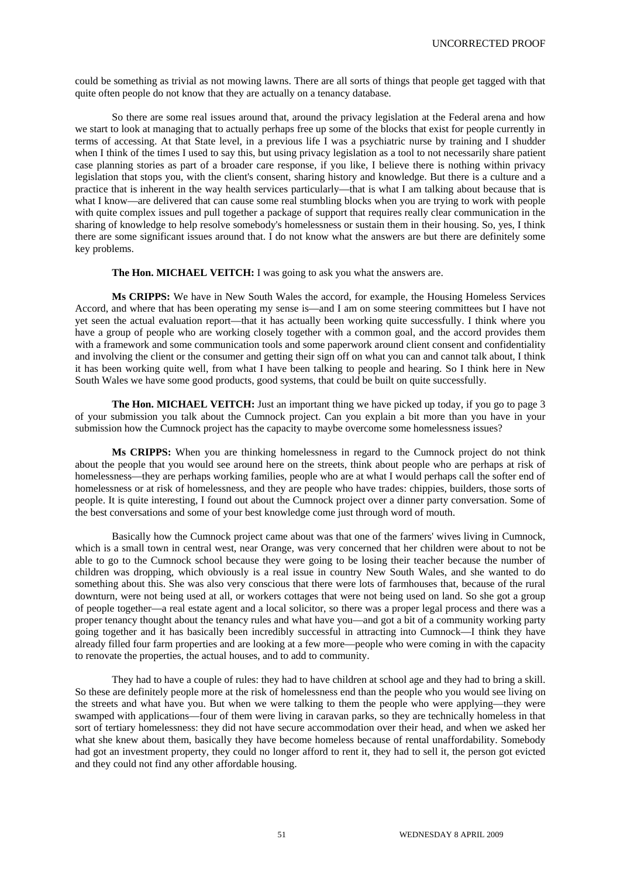could be something as trivial as not mowing lawns. There are all sorts of things that people get tagged with that quite often people do not know that they are actually on a tenancy database.

So there are some real issues around that, around the privacy legislation at the Federal arena and how we start to look at managing that to actually perhaps free up some of the blocks that exist for people currently in terms of accessing. At that State level, in a previous life I was a psychiatric nurse by training and I shudder when I think of the times I used to say this, but using privacy legislation as a tool to not necessarily share patient case planning stories as part of a broader care response, if you like, I believe there is nothing within privacy legislation that stops you, with the client's consent, sharing history and knowledge. But there is a culture and a practice that is inherent in the way health services particularly—that is what I am talking about because that is what I know—are delivered that can cause some real stumbling blocks when you are trying to work with people with quite complex issues and pull together a package of support that requires really clear communication in the sharing of knowledge to help resolve somebody's homelessness or sustain them in their housing. So, yes, I think there are some significant issues around that. I do not know what the answers are but there are definitely some key problems.

# **The Hon. MICHAEL VEITCH:** I was going to ask you what the answers are.

**Ms CRIPPS:** We have in New South Wales the accord, for example, the Housing Homeless Services Accord, and where that has been operating my sense is—and I am on some steering committees but I have not yet seen the actual evaluation report—that it has actually been working quite successfully. I think where you have a group of people who are working closely together with a common goal, and the accord provides them with a framework and some communication tools and some paperwork around client consent and confidentiality and involving the client or the consumer and getting their sign off on what you can and cannot talk about, I think it has been working quite well, from what I have been talking to people and hearing. So I think here in New South Wales we have some good products, good systems, that could be built on quite successfully.

The Hon. MICHAEL VEITCH: Just an important thing we have picked up today, if you go to page 3 of your submission you talk about the Cumnock project. Can you explain a bit more than you have in your submission how the Cumnock project has the capacity to maybe overcome some homelessness issues?

**Ms CRIPPS:** When you are thinking homelessness in regard to the Cumnock project do not think about the people that you would see around here on the streets, think about people who are perhaps at risk of homelessness—they are perhaps working families, people who are at what I would perhaps call the softer end of homelessness or at risk of homelessness, and they are people who have trades: chippies, builders, those sorts of people. It is quite interesting, I found out about the Cumnock project over a dinner party conversation. Some of the best conversations and some of your best knowledge come just through word of mouth.

Basically how the Cumnock project came about was that one of the farmers' wives living in Cumnock, which is a small town in central west, near Orange, was very concerned that her children were about to not be able to go to the Cumnock school because they were going to be losing their teacher because the number of children was dropping, which obviously is a real issue in country New South Wales, and she wanted to do something about this. She was also very conscious that there were lots of farmhouses that, because of the rural downturn, were not being used at all, or workers cottages that were not being used on land. So she got a group of people together—a real estate agent and a local solicitor, so there was a proper legal process and there was a proper tenancy thought about the tenancy rules and what have you—and got a bit of a community working party going together and it has basically been incredibly successful in attracting into Cumnock—I think they have already filled four farm properties and are looking at a few more—people who were coming in with the capacity to renovate the properties, the actual houses, and to add to community.

They had to have a couple of rules: they had to have children at school age and they had to bring a skill. So these are definitely people more at the risk of homelessness end than the people who you would see living on the streets and what have you. But when we were talking to them the people who were applying—they were swamped with applications—four of them were living in caravan parks, so they are technically homeless in that sort of tertiary homelessness: they did not have secure accommodation over their head, and when we asked her what she knew about them, basically they have become homeless because of rental unaffordability. Somebody had got an investment property, they could no longer afford to rent it, they had to sell it, the person got evicted and they could not find any other affordable housing.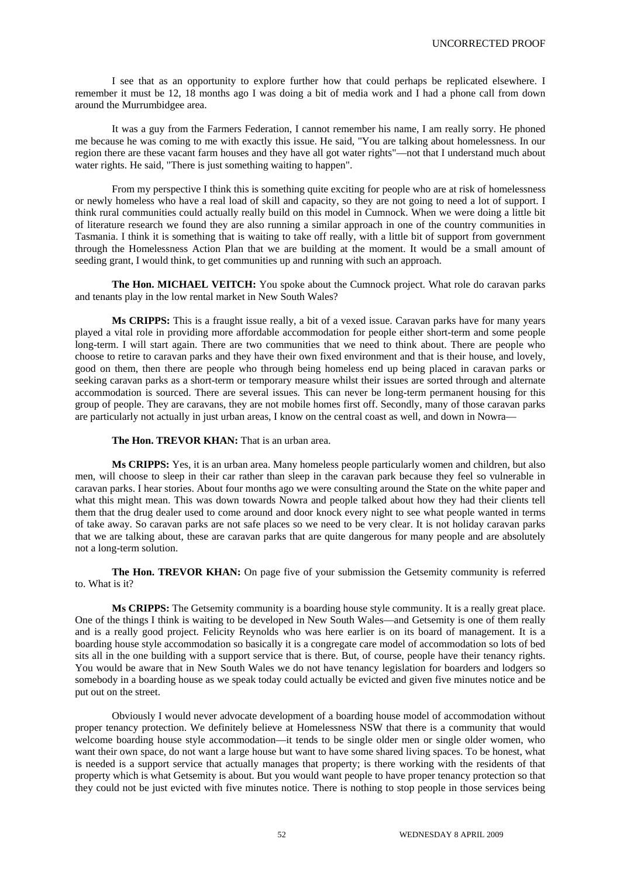I see that as an opportunity to explore further how that could perhaps be replicated elsewhere. I remember it must be 12, 18 months ago I was doing a bit of media work and I had a phone call from down around the Murrumbidgee area.

It was a guy from the Farmers Federation, I cannot remember his name, I am really sorry. He phoned me because he was coming to me with exactly this issue. He said, "You are talking about homelessness. In our region there are these vacant farm houses and they have all got water rights"—not that I understand much about water rights. He said, "There is just something waiting to happen".

From my perspective I think this is something quite exciting for people who are at risk of homelessness or newly homeless who have a real load of skill and capacity, so they are not going to need a lot of support. I think rural communities could actually really build on this model in Cumnock. When we were doing a little bit of literature research we found they are also running a similar approach in one of the country communities in Tasmania. I think it is something that is waiting to take off really, with a little bit of support from government through the Homelessness Action Plan that we are building at the moment. It would be a small amount of seeding grant, I would think, to get communities up and running with such an approach.

**The Hon. MICHAEL VEITCH:** You spoke about the Cumnock project. What role do caravan parks and tenants play in the low rental market in New South Wales?

**Ms CRIPPS:** This is a fraught issue really, a bit of a vexed issue. Caravan parks have for many years played a vital role in providing more affordable accommodation for people either short-term and some people long-term. I will start again. There are two communities that we need to think about. There are people who choose to retire to caravan parks and they have their own fixed environment and that is their house, and lovely, good on them, then there are people who through being homeless end up being placed in caravan parks or seeking caravan parks as a short-term or temporary measure whilst their issues are sorted through and alternate accommodation is sourced. There are several issues. This can never be long-term permanent housing for this group of people. They are caravans, they are not mobile homes first off. Secondly, many of those caravan parks are particularly not actually in just urban areas, I know on the central coast as well, and down in Nowra—

**The Hon. TREVOR KHAN:** That is an urban area.

**Ms CRIPPS:** Yes, it is an urban area. Many homeless people particularly women and children, but also men, will choose to sleep in their car rather than sleep in the caravan park because they feel so vulnerable in caravan parks. I hear stories. About four months ago we were consulting around the State on the white paper and what this might mean. This was down towards Nowra and people talked about how they had their clients tell them that the drug dealer used to come around and door knock every night to see what people wanted in terms of take away. So caravan parks are not safe places so we need to be very clear. It is not holiday caravan parks that we are talking about, these are caravan parks that are quite dangerous for many people and are absolutely not a long-term solution.

**The Hon. TREVOR KHAN:** On page five of your submission the Getsemity community is referred to. What is it?

**Ms CRIPPS:** The Getsemity community is a boarding house style community. It is a really great place. One of the things I think is waiting to be developed in New South Wales—and Getsemity is one of them really and is a really good project. Felicity Reynolds who was here earlier is on its board of management. It is a boarding house style accommodation so basically it is a congregate care model of accommodation so lots of bed sits all in the one building with a support service that is there. But, of course, people have their tenancy rights. You would be aware that in New South Wales we do not have tenancy legislation for boarders and lodgers so somebody in a boarding house as we speak today could actually be evicted and given five minutes notice and be put out on the street.

Obviously I would never advocate development of a boarding house model of accommodation without proper tenancy protection. We definitely believe at Homelessness NSW that there is a community that would welcome boarding house style accommodation—it tends to be single older men or single older women, who want their own space, do not want a large house but want to have some shared living spaces. To be honest, what is needed is a support service that actually manages that property; is there working with the residents of that property which is what Getsemity is about. But you would want people to have proper tenancy protection so that they could not be just evicted with five minutes notice. There is nothing to stop people in those services being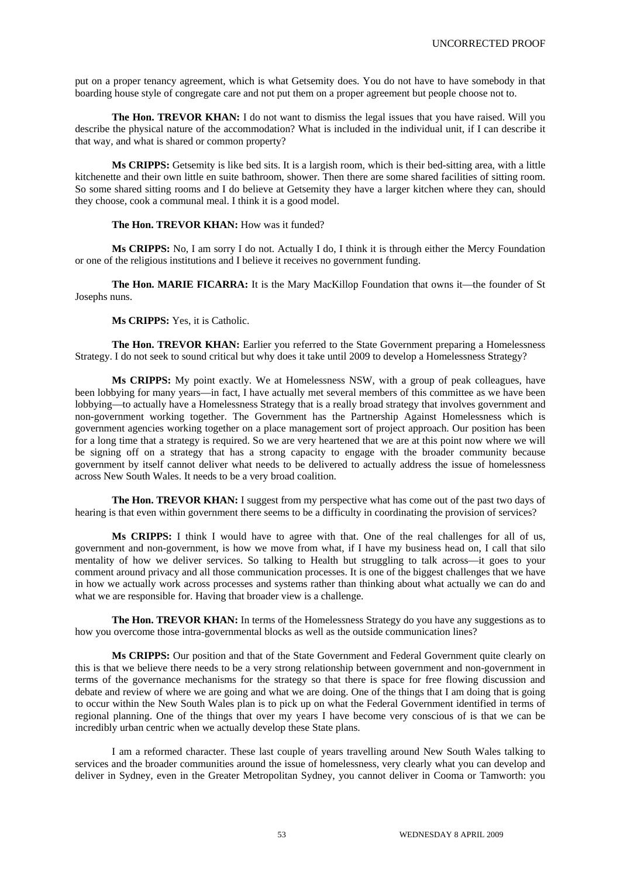put on a proper tenancy agreement, which is what Getsemity does. You do not have to have somebody in that boarding house style of congregate care and not put them on a proper agreement but people choose not to.

**The Hon. TREVOR KHAN:** I do not want to dismiss the legal issues that you have raised. Will you describe the physical nature of the accommodation? What is included in the individual unit, if I can describe it that way, and what is shared or common property?

**Ms CRIPPS:** Getsemity is like bed sits. It is a largish room, which is their bed-sitting area, with a little kitchenette and their own little en suite bathroom, shower. Then there are some shared facilities of sitting room. So some shared sitting rooms and I do believe at Getsemity they have a larger kitchen where they can, should they choose, cook a communal meal. I think it is a good model.

**The Hon. TREVOR KHAN:** How was it funded?

**Ms CRIPPS:** No, I am sorry I do not. Actually I do, I think it is through either the Mercy Foundation or one of the religious institutions and I believe it receives no government funding.

**The Hon. MARIE FICARRA:** It is the Mary MacKillop Foundation that owns it—the founder of St Josephs nuns.

**Ms CRIPPS:** Yes, it is Catholic.

**The Hon. TREVOR KHAN:** Earlier you referred to the State Government preparing a Homelessness Strategy. I do not seek to sound critical but why does it take until 2009 to develop a Homelessness Strategy?

**Ms CRIPPS:** My point exactly. We at Homelessness NSW, with a group of peak colleagues, have been lobbying for many years—in fact, I have actually met several members of this committee as we have been lobbying—to actually have a Homelessness Strategy that is a really broad strategy that involves government and non-government working together. The Government has the Partnership Against Homelessness which is government agencies working together on a place management sort of project approach. Our position has been for a long time that a strategy is required. So we are very heartened that we are at this point now where we will be signing off on a strategy that has a strong capacity to engage with the broader community because government by itself cannot deliver what needs to be delivered to actually address the issue of homelessness across New South Wales. It needs to be a very broad coalition.

**The Hon. TREVOR KHAN:** I suggest from my perspective what has come out of the past two days of hearing is that even within government there seems to be a difficulty in coordinating the provision of services?

**Ms CRIPPS:** I think I would have to agree with that. One of the real challenges for all of us, government and non-government, is how we move from what, if I have my business head on, I call that silo mentality of how we deliver services. So talking to Health but struggling to talk across—it goes to your comment around privacy and all those communication processes. It is one of the biggest challenges that we have in how we actually work across processes and systems rather than thinking about what actually we can do and what we are responsible for. Having that broader view is a challenge.

**The Hon. TREVOR KHAN:** In terms of the Homelessness Strategy do you have any suggestions as to how you overcome those intra-governmental blocks as well as the outside communication lines?

**Ms CRIPPS:** Our position and that of the State Government and Federal Government quite clearly on this is that we believe there needs to be a very strong relationship between government and non-government in terms of the governance mechanisms for the strategy so that there is space for free flowing discussion and debate and review of where we are going and what we are doing. One of the things that I am doing that is going to occur within the New South Wales plan is to pick up on what the Federal Government identified in terms of regional planning. One of the things that over my years I have become very conscious of is that we can be incredibly urban centric when we actually develop these State plans.

I am a reformed character. These last couple of years travelling around New South Wales talking to services and the broader communities around the issue of homelessness, very clearly what you can develop and deliver in Sydney, even in the Greater Metropolitan Sydney, you cannot deliver in Cooma or Tamworth: you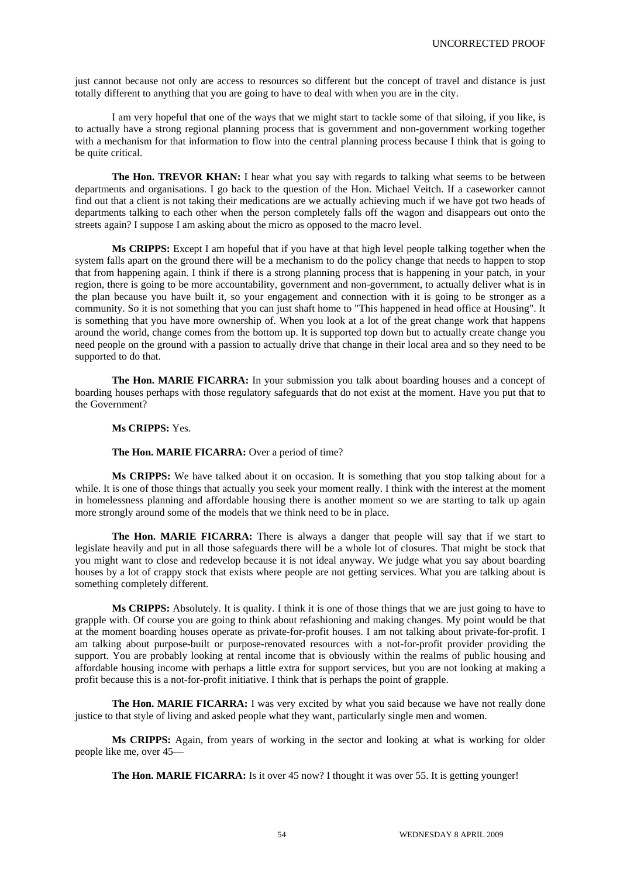just cannot because not only are access to resources so different but the concept of travel and distance is just totally different to anything that you are going to have to deal with when you are in the city.

I am very hopeful that one of the ways that we might start to tackle some of that siloing, if you like, is to actually have a strong regional planning process that is government and non-government working together with a mechanism for that information to flow into the central planning process because I think that is going to be quite critical.

**The Hon. TREVOR KHAN:** I hear what you say with regards to talking what seems to be between departments and organisations. I go back to the question of the Hon. Michael Veitch. If a caseworker cannot find out that a client is not taking their medications are we actually achieving much if we have got two heads of departments talking to each other when the person completely falls off the wagon and disappears out onto the streets again? I suppose I am asking about the micro as opposed to the macro level.

**Ms CRIPPS:** Except I am hopeful that if you have at that high level people talking together when the system falls apart on the ground there will be a mechanism to do the policy change that needs to happen to stop that from happening again. I think if there is a strong planning process that is happening in your patch, in your region, there is going to be more accountability, government and non-government, to actually deliver what is in the plan because you have built it, so your engagement and connection with it is going to be stronger as a community. So it is not something that you can just shaft home to "This happened in head office at Housing". It is something that you have more ownership of. When you look at a lot of the great change work that happens around the world, change comes from the bottom up. It is supported top down but to actually create change you need people on the ground with a passion to actually drive that change in their local area and so they need to be supported to do that.

**The Hon. MARIE FICARRA:** In your submission you talk about boarding houses and a concept of boarding houses perhaps with those regulatory safeguards that do not exist at the moment. Have you put that to the Government?

# **Ms CRIPPS:** Yes.

# **The Hon. MARIE FICARRA:** Over a period of time?

**Ms CRIPPS:** We have talked about it on occasion. It is something that you stop talking about for a while. It is one of those things that actually you seek your moment really. I think with the interest at the moment in homelessness planning and affordable housing there is another moment so we are starting to talk up again more strongly around some of the models that we think need to be in place.

**The Hon. MARIE FICARRA:** There is always a danger that people will say that if we start to legislate heavily and put in all those safeguards there will be a whole lot of closures. That might be stock that you might want to close and redevelop because it is not ideal anyway. We judge what you say about boarding houses by a lot of crappy stock that exists where people are not getting services. What you are talking about is something completely different.

**Ms CRIPPS:** Absolutely. It is quality. I think it is one of those things that we are just going to have to grapple with. Of course you are going to think about refashioning and making changes. My point would be that at the moment boarding houses operate as private-for-profit houses. I am not talking about private-for-profit. I am talking about purpose-built or purpose-renovated resources with a not-for-profit provider providing the support. You are probably looking at rental income that is obviously within the realms of public housing and affordable housing income with perhaps a little extra for support services, but you are not looking at making a profit because this is a not-for-profit initiative. I think that is perhaps the point of grapple.

**The Hon. MARIE FICARRA:** I was very excited by what you said because we have not really done justice to that style of living and asked people what they want, particularly single men and women.

**Ms CRIPPS:** Again, from years of working in the sector and looking at what is working for older people like me, over 45—

**The Hon. MARIE FICARRA:** Is it over 45 now? I thought it was over 55. It is getting younger!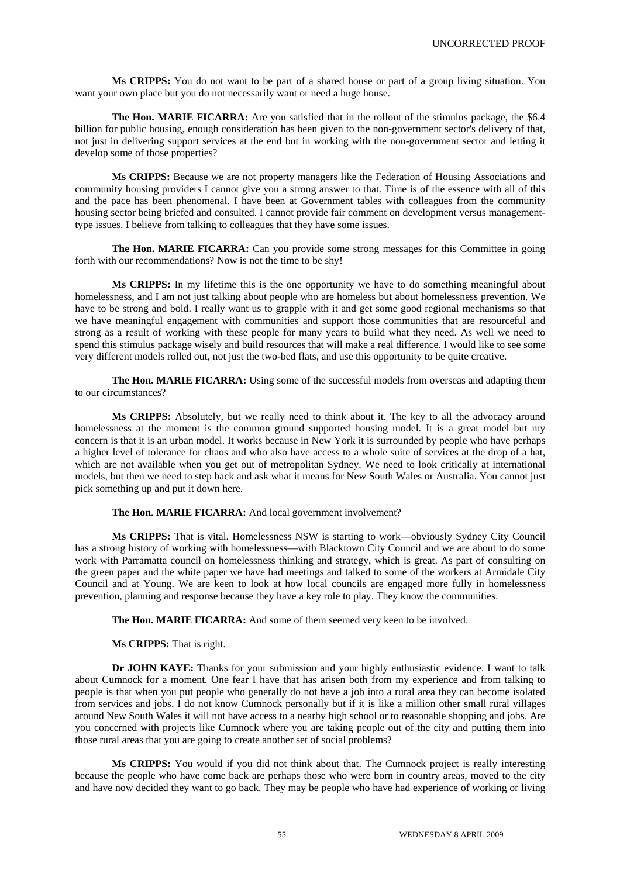**Ms CRIPPS:** You do not want to be part of a shared house or part of a group living situation. You want your own place but you do not necessarily want or need a huge house.

**The Hon. MARIE FICARRA:** Are you satisfied that in the rollout of the stimulus package, the \$6.4 billion for public housing, enough consideration has been given to the non-government sector's delivery of that, not just in delivering support services at the end but in working with the non-government sector and letting it develop some of those properties?

**Ms CRIPPS:** Because we are not property managers like the Federation of Housing Associations and community housing providers I cannot give you a strong answer to that. Time is of the essence with all of this and the pace has been phenomenal. I have been at Government tables with colleagues from the community housing sector being briefed and consulted. I cannot provide fair comment on development versus managementtype issues. I believe from talking to colleagues that they have some issues.

**The Hon. MARIE FICARRA:** Can you provide some strong messages for this Committee in going forth with our recommendations? Now is not the time to be shy!

**Ms CRIPPS:** In my lifetime this is the one opportunity we have to do something meaningful about homelessness, and I am not just talking about people who are homeless but about homelessness prevention. We have to be strong and bold. I really want us to grapple with it and get some good regional mechanisms so that we have meaningful engagement with communities and support those communities that are resourceful and strong as a result of working with these people for many years to build what they need. As well we need to spend this stimulus package wisely and build resources that will make a real difference. I would like to see some very different models rolled out, not just the two-bed flats, and use this opportunity to be quite creative.

**The Hon. MARIE FICARRA:** Using some of the successful models from overseas and adapting them to our circumstances?

**Ms CRIPPS:** Absolutely, but we really need to think about it. The key to all the advocacy around homelessness at the moment is the common ground supported housing model. It is a great model but my concern is that it is an urban model. It works because in New York it is surrounded by people who have perhaps a higher level of tolerance for chaos and who also have access to a whole suite of services at the drop of a hat, which are not available when you get out of metropolitan Sydney. We need to look critically at international models, but then we need to step back and ask what it means for New South Wales or Australia. You cannot just pick something up and put it down here.

## **The Hon. MARIE FICARRA:** And local government involvement?

**Ms CRIPPS:** That is vital. Homelessness NSW is starting to work—obviously Sydney City Council has a strong history of working with homelessness—with Blacktown City Council and we are about to do some work with Parramatta council on homelessness thinking and strategy, which is great. As part of consulting on the green paper and the white paper we have had meetings and talked to some of the workers at Armidale City Council and at Young. We are keen to look at how local councils are engaged more fully in homelessness prevention, planning and response because they have a key role to play. They know the communities.

**The Hon. MARIE FICARRA:** And some of them seemed very keen to be involved.

**Ms CRIPPS:** That is right.

**Dr JOHN KAYE:** Thanks for your submission and your highly enthusiastic evidence. I want to talk about Cumnock for a moment. One fear I have that has arisen both from my experience and from talking to people is that when you put people who generally do not have a job into a rural area they can become isolated from services and jobs. I do not know Cumnock personally but if it is like a million other small rural villages around New South Wales it will not have access to a nearby high school or to reasonable shopping and jobs. Are you concerned with projects like Cumnock where you are taking people out of the city and putting them into those rural areas that you are going to create another set of social problems?

**Ms CRIPPS:** You would if you did not think about that. The Cumnock project is really interesting because the people who have come back are perhaps those who were born in country areas, moved to the city and have now decided they want to go back. They may be people who have had experience of working or living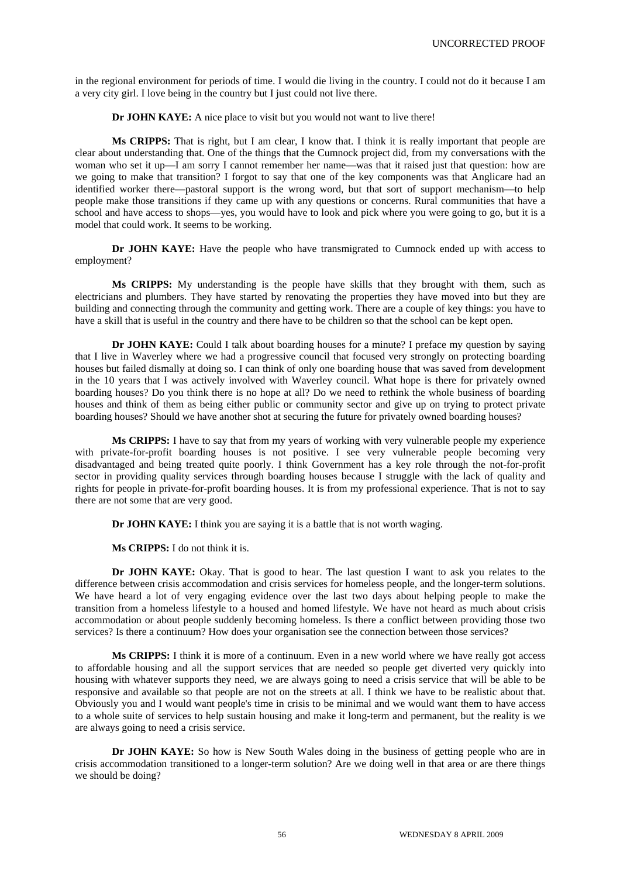in the regional environment for periods of time. I would die living in the country. I could not do it because I am a very city girl. I love being in the country but I just could not live there.

**Dr JOHN KAYE:** A nice place to visit but you would not want to live there!

**Ms CRIPPS:** That is right, but I am clear, I know that. I think it is really important that people are clear about understanding that. One of the things that the Cumnock project did, from my conversations with the woman who set it up—I am sorry I cannot remember her name—was that it raised just that question: how are we going to make that transition? I forgot to say that one of the key components was that Anglicare had an identified worker there—pastoral support is the wrong word, but that sort of support mechanism—to help people make those transitions if they came up with any questions or concerns. Rural communities that have a school and have access to shops—yes, you would have to look and pick where you were going to go, but it is a model that could work. It seems to be working.

**Dr JOHN KAYE:** Have the people who have transmigrated to Cumnock ended up with access to employment?

**Ms CRIPPS:** My understanding is the people have skills that they brought with them, such as electricians and plumbers. They have started by renovating the properties they have moved into but they are building and connecting through the community and getting work. There are a couple of key things: you have to have a skill that is useful in the country and there have to be children so that the school can be kept open.

**Dr JOHN KAYE:** Could I talk about boarding houses for a minute? I preface my question by saying that I live in Waverley where we had a progressive council that focused very strongly on protecting boarding houses but failed dismally at doing so. I can think of only one boarding house that was saved from development in the 10 years that I was actively involved with Waverley council. What hope is there for privately owned boarding houses? Do you think there is no hope at all? Do we need to rethink the whole business of boarding houses and think of them as being either public or community sector and give up on trying to protect private boarding houses? Should we have another shot at securing the future for privately owned boarding houses?

**Ms CRIPPS:** I have to say that from my years of working with very vulnerable people my experience with private-for-profit boarding houses is not positive. I see very vulnerable people becoming very disadvantaged and being treated quite poorly. I think Government has a key role through the not-for-profit sector in providing quality services through boarding houses because I struggle with the lack of quality and rights for people in private-for-profit boarding houses. It is from my professional experience. That is not to say there are not some that are very good.

**Dr JOHN KAYE:** I think you are saying it is a battle that is not worth waging.

**Ms CRIPPS:** I do not think it is.

**Dr JOHN KAYE:** Okay. That is good to hear. The last question I want to ask you relates to the difference between crisis accommodation and crisis services for homeless people, and the longer-term solutions. We have heard a lot of very engaging evidence over the last two days about helping people to make the transition from a homeless lifestyle to a housed and homed lifestyle. We have not heard as much about crisis accommodation or about people suddenly becoming homeless. Is there a conflict between providing those two services? Is there a continuum? How does your organisation see the connection between those services?

**Ms CRIPPS:** I think it is more of a continuum. Even in a new world where we have really got access to affordable housing and all the support services that are needed so people get diverted very quickly into housing with whatever supports they need, we are always going to need a crisis service that will be able to be responsive and available so that people are not on the streets at all. I think we have to be realistic about that. Obviously you and I would want people's time in crisis to be minimal and we would want them to have access to a whole suite of services to help sustain housing and make it long-term and permanent, but the reality is we are always going to need a crisis service.

**Dr JOHN KAYE:** So how is New South Wales doing in the business of getting people who are in crisis accommodation transitioned to a longer-term solution? Are we doing well in that area or are there things we should be doing?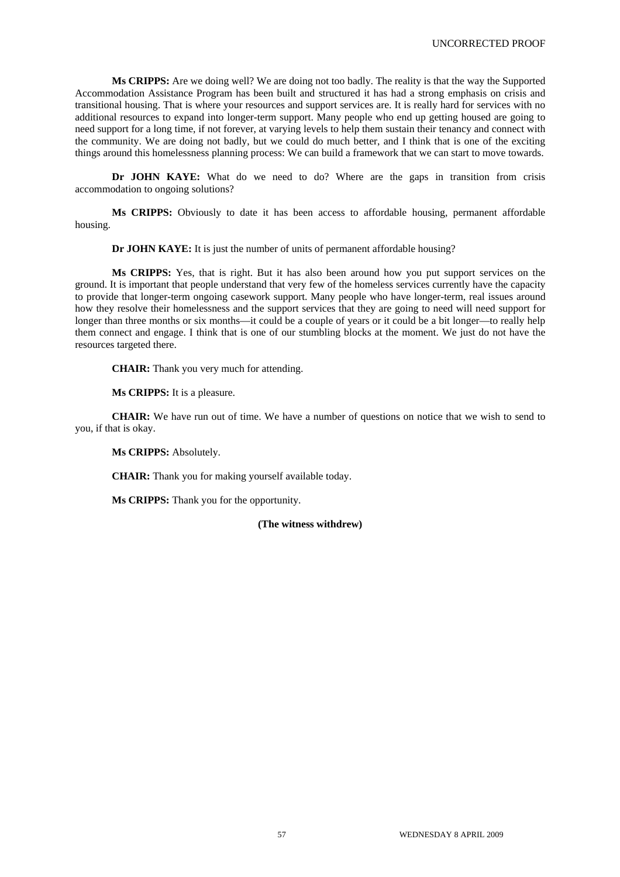**Ms CRIPPS:** Are we doing well? We are doing not too badly. The reality is that the way the Supported Accommodation Assistance Program has been built and structured it has had a strong emphasis on crisis and transitional housing. That is where your resources and support services are. It is really hard for services with no additional resources to expand into longer-term support. Many people who end up getting housed are going to need support for a long time, if not forever, at varying levels to help them sustain their tenancy and connect with the community. We are doing not badly, but we could do much better, and I think that is one of the exciting things around this homelessness planning process: We can build a framework that we can start to move towards.

**Dr JOHN KAYE:** What do we need to do? Where are the gaps in transition from crisis accommodation to ongoing solutions?

**Ms CRIPPS:** Obviously to date it has been access to affordable housing, permanent affordable housing.

**Dr JOHN KAYE:** It is just the number of units of permanent affordable housing?

**Ms CRIPPS:** Yes, that is right. But it has also been around how you put support services on the ground. It is important that people understand that very few of the homeless services currently have the capacity to provide that longer-term ongoing casework support. Many people who have longer-term, real issues around how they resolve their homelessness and the support services that they are going to need will need support for longer than three months or six months—it could be a couple of years or it could be a bit longer—to really help them connect and engage. I think that is one of our stumbling blocks at the moment. We just do not have the resources targeted there.

**CHAIR:** Thank you very much for attending.

**Ms CRIPPS:** It is a pleasure.

**CHAIR:** We have run out of time. We have a number of questions on notice that we wish to send to you, if that is okay.

**Ms CRIPPS:** Absolutely.

**CHAIR:** Thank you for making yourself available today.

**Ms CRIPPS:** Thank you for the opportunity.

## **(The witness withdrew)**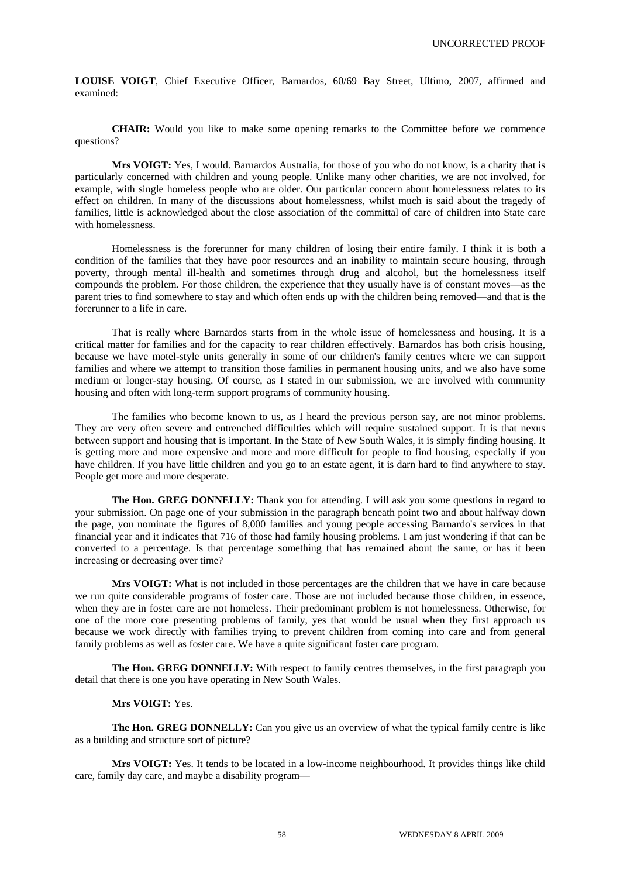**LOUISE VOIGT**, Chief Executive Officer, Barnardos, 60/69 Bay Street, Ultimo, 2007, affirmed and examined:

**CHAIR:** Would you like to make some opening remarks to the Committee before we commence questions?

**Mrs VOIGT:** Yes, I would. Barnardos Australia, for those of you who do not know, is a charity that is particularly concerned with children and young people. Unlike many other charities, we are not involved, for example, with single homeless people who are older. Our particular concern about homelessness relates to its effect on children. In many of the discussions about homelessness, whilst much is said about the tragedy of families, little is acknowledged about the close association of the committal of care of children into State care with homelessness.

Homelessness is the forerunner for many children of losing their entire family. I think it is both a condition of the families that they have poor resources and an inability to maintain secure housing, through poverty, through mental ill-health and sometimes through drug and alcohol, but the homelessness itself compounds the problem. For those children, the experience that they usually have is of constant moves—as the parent tries to find somewhere to stay and which often ends up with the children being removed—and that is the forerunner to a life in care.

That is really where Barnardos starts from in the whole issue of homelessness and housing. It is a critical matter for families and for the capacity to rear children effectively. Barnardos has both crisis housing, because we have motel-style units generally in some of our children's family centres where we can support families and where we attempt to transition those families in permanent housing units, and we also have some medium or longer-stay housing. Of course, as I stated in our submission, we are involved with community housing and often with long-term support programs of community housing.

The families who become known to us, as I heard the previous person say, are not minor problems. They are very often severe and entrenched difficulties which will require sustained support. It is that nexus between support and housing that is important. In the State of New South Wales, it is simply finding housing. It is getting more and more expensive and more and more difficult for people to find housing, especially if you have children. If you have little children and you go to an estate agent, it is darn hard to find anywhere to stay. People get more and more desperate.

**The Hon. GREG DONNELLY:** Thank you for attending. I will ask you some questions in regard to your submission. On page one of your submission in the paragraph beneath point two and about halfway down the page, you nominate the figures of 8,000 families and young people accessing Barnardo's services in that financial year and it indicates that 716 of those had family housing problems. I am just wondering if that can be converted to a percentage. Is that percentage something that has remained about the same, or has it been increasing or decreasing over time?

**Mrs VOIGT:** What is not included in those percentages are the children that we have in care because we run quite considerable programs of foster care. Those are not included because those children, in essence, when they are in foster care are not homeless. Their predominant problem is not homelessness. Otherwise, for one of the more core presenting problems of family, yes that would be usual when they first approach us because we work directly with families trying to prevent children from coming into care and from general family problems as well as foster care. We have a quite significant foster care program.

**The Hon. GREG DONNELLY:** With respect to family centres themselves, in the first paragraph you detail that there is one you have operating in New South Wales.

# **Mrs VOIGT:** Yes.

**The Hon. GREG DONNELLY:** Can you give us an overview of what the typical family centre is like as a building and structure sort of picture?

**Mrs VOIGT:** Yes. It tends to be located in a low-income neighbourhood. It provides things like child care, family day care, and maybe a disability program—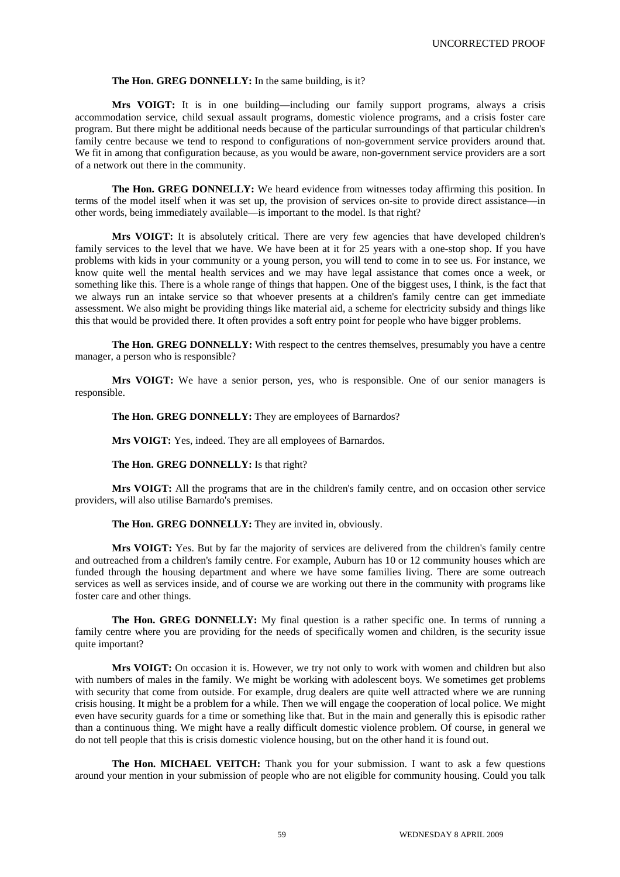#### **The Hon. GREG DONNELLY:** In the same building, is it?

**Mrs VOIGT:** It is in one building—including our family support programs, always a crisis accommodation service, child sexual assault programs, domestic violence programs, and a crisis foster care program. But there might be additional needs because of the particular surroundings of that particular children's family centre because we tend to respond to configurations of non-government service providers around that. We fit in among that configuration because, as you would be aware, non-government service providers are a sort of a network out there in the community.

**The Hon. GREG DONNELLY:** We heard evidence from witnesses today affirming this position. In terms of the model itself when it was set up, the provision of services on-site to provide direct assistance—in other words, being immediately available—is important to the model. Is that right?

**Mrs VOIGT:** It is absolutely critical. There are very few agencies that have developed children's family services to the level that we have. We have been at it for 25 years with a one-stop shop. If you have problems with kids in your community or a young person, you will tend to come in to see us. For instance, we know quite well the mental health services and we may have legal assistance that comes once a week, or something like this. There is a whole range of things that happen. One of the biggest uses, I think, is the fact that we always run an intake service so that whoever presents at a children's family centre can get immediate assessment. We also might be providing things like material aid, a scheme for electricity subsidy and things like this that would be provided there. It often provides a soft entry point for people who have bigger problems.

**The Hon. GREG DONNELLY:** With respect to the centres themselves, presumably you have a centre manager, a person who is responsible?

Mrs VOIGT: We have a senior person, yes, who is responsible. One of our senior managers is responsible.

**The Hon. GREG DONNELLY:** They are employees of Barnardos?

**Mrs VOIGT:** Yes, indeed. They are all employees of Barnardos.

# **The Hon. GREG DONNELLY:** Is that right?

**Mrs VOIGT:** All the programs that are in the children's family centre, and on occasion other service providers, will also utilise Barnardo's premises.

## **The Hon. GREG DONNELLY:** They are invited in, obviously.

**Mrs VOIGT:** Yes. But by far the majority of services are delivered from the children's family centre and outreached from a children's family centre. For example, Auburn has 10 or 12 community houses which are funded through the housing department and where we have some families living. There are some outreach services as well as services inside, and of course we are working out there in the community with programs like foster care and other things.

**The Hon. GREG DONNELLY:** My final question is a rather specific one. In terms of running a family centre where you are providing for the needs of specifically women and children, is the security issue quite important?

**Mrs VOIGT:** On occasion it is. However, we try not only to work with women and children but also with numbers of males in the family. We might be working with adolescent boys. We sometimes get problems with security that come from outside. For example, drug dealers are quite well attracted where we are running crisis housing. It might be a problem for a while. Then we will engage the cooperation of local police. We might even have security guards for a time or something like that. But in the main and generally this is episodic rather than a continuous thing. We might have a really difficult domestic violence problem. Of course, in general we do not tell people that this is crisis domestic violence housing, but on the other hand it is found out.

**The Hon. MICHAEL VEITCH:** Thank you for your submission. I want to ask a few questions around your mention in your submission of people who are not eligible for community housing. Could you talk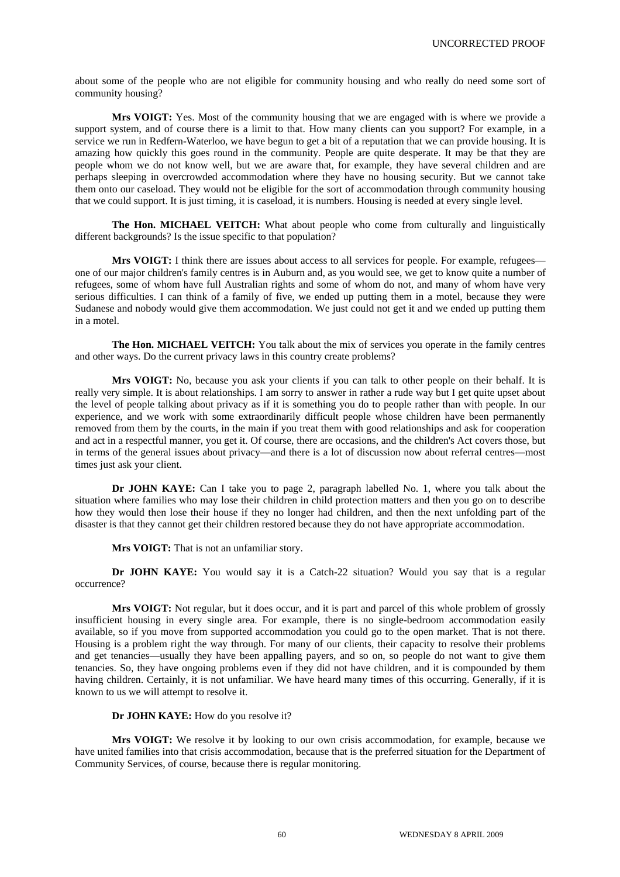about some of the people who are not eligible for community housing and who really do need some sort of community housing?

**Mrs VOIGT:** Yes. Most of the community housing that we are engaged with is where we provide a support system, and of course there is a limit to that. How many clients can you support? For example, in a service we run in Redfern-Waterloo, we have begun to get a bit of a reputation that we can provide housing. It is amazing how quickly this goes round in the community. People are quite desperate. It may be that they are people whom we do not know well, but we are aware that, for example, they have several children and are perhaps sleeping in overcrowded accommodation where they have no housing security. But we cannot take them onto our caseload. They would not be eligible for the sort of accommodation through community housing that we could support. It is just timing, it is caseload, it is numbers. Housing is needed at every single level.

**The Hon. MICHAEL VEITCH:** What about people who come from culturally and linguistically different backgrounds? Is the issue specific to that population?

**Mrs VOIGT:** I think there are issues about access to all services for people. For example, refugees one of our major children's family centres is in Auburn and, as you would see, we get to know quite a number of refugees, some of whom have full Australian rights and some of whom do not, and many of whom have very serious difficulties. I can think of a family of five, we ended up putting them in a motel, because they were Sudanese and nobody would give them accommodation. We just could not get it and we ended up putting them in a motel.

**The Hon. MICHAEL VEITCH:** You talk about the mix of services you operate in the family centres and other ways. Do the current privacy laws in this country create problems?

**Mrs VOIGT:** No, because you ask your clients if you can talk to other people on their behalf. It is really very simple. It is about relationships. I am sorry to answer in rather a rude way but I get quite upset about the level of people talking about privacy as if it is something you do to people rather than with people. In our experience, and we work with some extraordinarily difficult people whose children have been permanently removed from them by the courts, in the main if you treat them with good relationships and ask for cooperation and act in a respectful manner, you get it. Of course, there are occasions, and the children's Act covers those, but in terms of the general issues about privacy—and there is a lot of discussion now about referral centres—most times just ask your client.

**Dr JOHN KAYE:** Can I take you to page 2, paragraph labelled No. 1, where you talk about the situation where families who may lose their children in child protection matters and then you go on to describe how they would then lose their house if they no longer had children, and then the next unfolding part of the disaster is that they cannot get their children restored because they do not have appropriate accommodation.

**Mrs VOIGT:** That is not an unfamiliar story.

**Dr JOHN KAYE:** You would say it is a Catch-22 situation? Would you say that is a regular occurrence?

**Mrs VOIGT:** Not regular, but it does occur, and it is part and parcel of this whole problem of grossly insufficient housing in every single area. For example, there is no single-bedroom accommodation easily available, so if you move from supported accommodation you could go to the open market. That is not there. Housing is a problem right the way through. For many of our clients, their capacity to resolve their problems and get tenancies—usually they have been appalling payers, and so on, so people do not want to give them tenancies. So, they have ongoing problems even if they did not have children, and it is compounded by them having children. Certainly, it is not unfamiliar. We have heard many times of this occurring. Generally, if it is known to us we will attempt to resolve it.

#### **Dr JOHN KAYE:** How do you resolve it?

**Mrs VOIGT:** We resolve it by looking to our own crisis accommodation, for example, because we have united families into that crisis accommodation, because that is the preferred situation for the Department of Community Services, of course, because there is regular monitoring.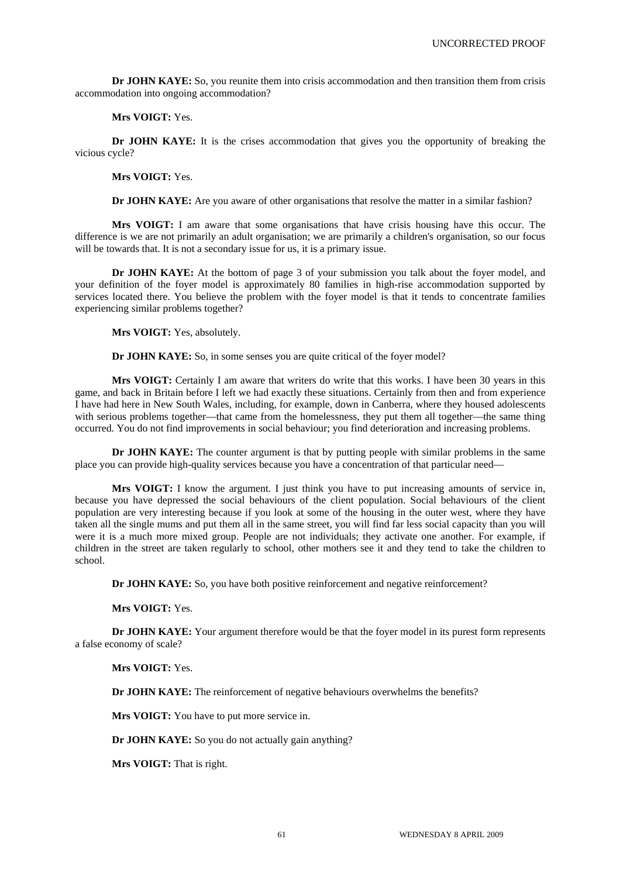**Dr JOHN KAYE:** So, you reunite them into crisis accommodation and then transition them from crisis accommodation into ongoing accommodation?

**Mrs VOIGT:** Yes.

**Dr JOHN KAYE:** It is the crises accommodation that gives you the opportunity of breaking the vicious cycle?

**Mrs VOIGT:** Yes.

**Dr JOHN KAYE:** Are you aware of other organisations that resolve the matter in a similar fashion?

**Mrs VOIGT:** I am aware that some organisations that have crisis housing have this occur. The difference is we are not primarily an adult organisation; we are primarily a children's organisation, so our focus will be towards that. It is not a secondary issue for us, it is a primary issue.

**Dr JOHN KAYE:** At the bottom of page 3 of your submission you talk about the foyer model, and your definition of the foyer model is approximately 80 families in high-rise accommodation supported by services located there. You believe the problem with the foyer model is that it tends to concentrate families experiencing similar problems together?

**Mrs VOIGT:** Yes, absolutely.

**Dr JOHN KAYE:** So, in some senses you are quite critical of the foyer model?

Mrs VOIGT: Certainly I am aware that writers do write that this works. I have been 30 years in this game, and back in Britain before I left we had exactly these situations. Certainly from then and from experience I have had here in New South Wales, including, for example, down in Canberra, where they housed adolescents with serious problems together—that came from the homelessness, they put them all together—the same thing occurred. You do not find improvements in social behaviour; you find deterioration and increasing problems.

**Dr JOHN KAYE:** The counter argument is that by putting people with similar problems in the same place you can provide high-quality services because you have a concentration of that particular need—

**Mrs VOIGT:** I know the argument. I just think you have to put increasing amounts of service in, because you have depressed the social behaviours of the client population. Social behaviours of the client population are very interesting because if you look at some of the housing in the outer west, where they have taken all the single mums and put them all in the same street, you will find far less social capacity than you will were it is a much more mixed group. People are not individuals; they activate one another. For example, if children in the street are taken regularly to school, other mothers see it and they tend to take the children to school.

**Dr JOHN KAYE:** So, you have both positive reinforcement and negative reinforcement?

**Mrs VOIGT:** Yes.

**Dr JOHN KAYE:** Your argument therefore would be that the foyer model in its purest form represents a false economy of scale?

**Mrs VOIGT:** Yes.

**Dr JOHN KAYE:** The reinforcement of negative behaviours overwhelms the benefits?

**Mrs VOIGT:** You have to put more service in.

**Dr JOHN KAYE:** So you do not actually gain anything?

**Mrs VOIGT:** That is right.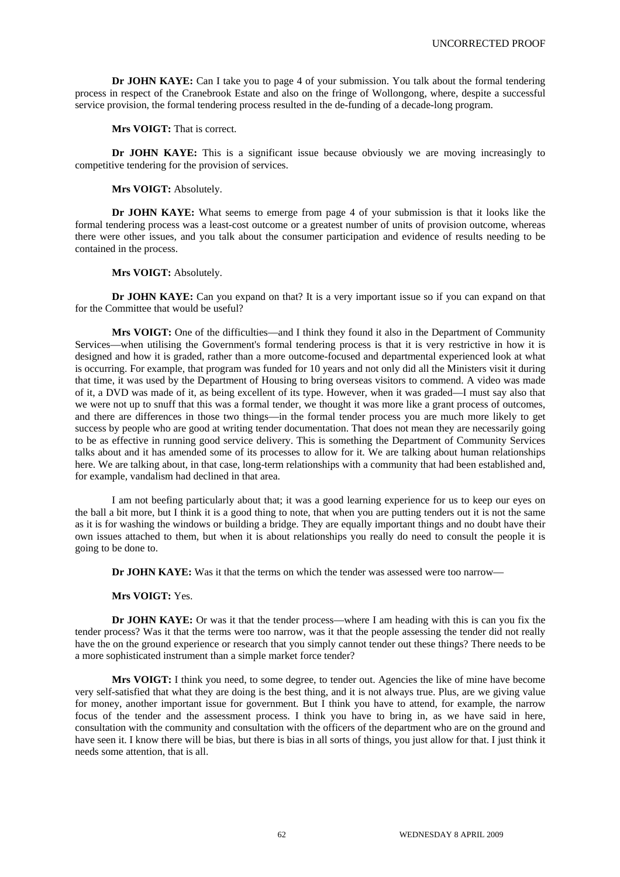**Dr JOHN KAYE:** Can I take you to page 4 of your submission. You talk about the formal tendering process in respect of the Cranebrook Estate and also on the fringe of Wollongong, where, despite a successful service provision, the formal tendering process resulted in the de-funding of a decade-long program.

**Mrs VOIGT:** That is correct.

**Dr JOHN KAYE:** This is a significant issue because obviously we are moving increasingly to competitive tendering for the provision of services.

**Mrs VOIGT:** Absolutely.

**Dr JOHN KAYE:** What seems to emerge from page 4 of your submission is that it looks like the formal tendering process was a least-cost outcome or a greatest number of units of provision outcome, whereas there were other issues, and you talk about the consumer participation and evidence of results needing to be contained in the process.

**Mrs VOIGT:** Absolutely.

**Dr JOHN KAYE:** Can you expand on that? It is a very important issue so if you can expand on that for the Committee that would be useful?

**Mrs VOIGT:** One of the difficulties—and I think they found it also in the Department of Community Services—when utilising the Government's formal tendering process is that it is very restrictive in how it is designed and how it is graded, rather than a more outcome-focused and departmental experienced look at what is occurring. For example, that program was funded for 10 years and not only did all the Ministers visit it during that time, it was used by the Department of Housing to bring overseas visitors to commend. A video was made of it, a DVD was made of it, as being excellent of its type. However, when it was graded—I must say also that we were not up to snuff that this was a formal tender, we thought it was more like a grant process of outcomes, and there are differences in those two things—in the formal tender process you are much more likely to get success by people who are good at writing tender documentation. That does not mean they are necessarily going to be as effective in running good service delivery. This is something the Department of Community Services talks about and it has amended some of its processes to allow for it. We are talking about human relationships here. We are talking about, in that case, long-term relationships with a community that had been established and, for example, vandalism had declined in that area.

I am not beefing particularly about that; it was a good learning experience for us to keep our eyes on the ball a bit more, but I think it is a good thing to note, that when you are putting tenders out it is not the same as it is for washing the windows or building a bridge. They are equally important things and no doubt have their own issues attached to them, but when it is about relationships you really do need to consult the people it is going to be done to.

**Dr JOHN KAYE:** Was it that the terms on which the tender was assessed were too narrow—

**Mrs VOIGT:** Yes.

**Dr JOHN KAYE:** Or was it that the tender process—where I am heading with this is can you fix the tender process? Was it that the terms were too narrow, was it that the people assessing the tender did not really have the on the ground experience or research that you simply cannot tender out these things? There needs to be a more sophisticated instrument than a simple market force tender?

Mrs VOIGT: I think you need, to some degree, to tender out. Agencies the like of mine have become very self-satisfied that what they are doing is the best thing, and it is not always true. Plus, are we giving value for money, another important issue for government. But I think you have to attend, for example, the narrow focus of the tender and the assessment process. I think you have to bring in, as we have said in here, consultation with the community and consultation with the officers of the department who are on the ground and have seen it. I know there will be bias, but there is bias in all sorts of things, you just allow for that. I just think it needs some attention, that is all.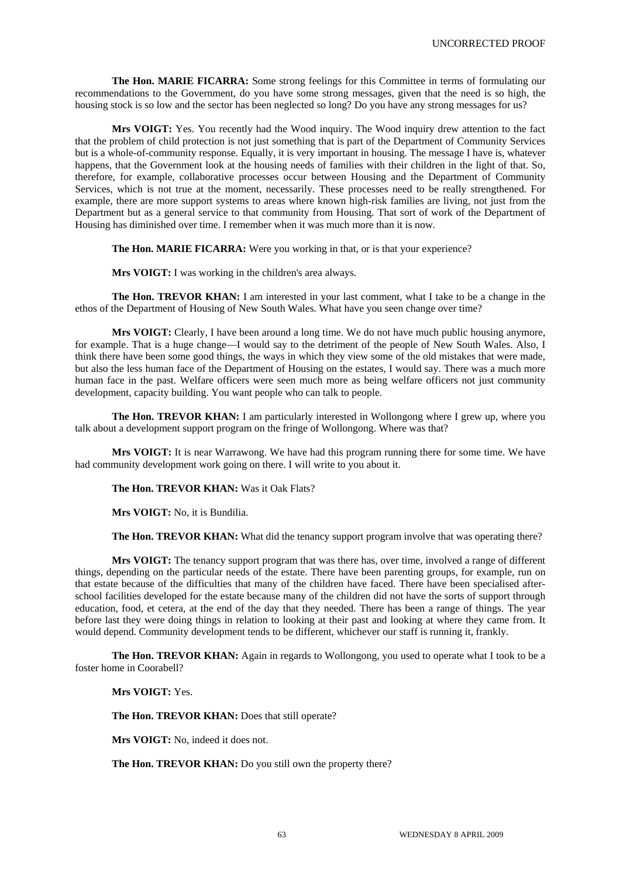**The Hon. MARIE FICARRA:** Some strong feelings for this Committee in terms of formulating our recommendations to the Government, do you have some strong messages, given that the need is so high, the housing stock is so low and the sector has been neglected so long? Do you have any strong messages for us?

**Mrs VOIGT:** Yes. You recently had the Wood inquiry. The Wood inquiry drew attention to the fact that the problem of child protection is not just something that is part of the Department of Community Services but is a whole-of-community response. Equally, it is very important in housing. The message I have is, whatever happens, that the Government look at the housing needs of families with their children in the light of that. So, therefore, for example, collaborative processes occur between Housing and the Department of Community Services, which is not true at the moment, necessarily. These processes need to be really strengthened. For example, there are more support systems to areas where known high-risk families are living, not just from the Department but as a general service to that community from Housing. That sort of work of the Department of Housing has diminished over time. I remember when it was much more than it is now.

**The Hon. MARIE FICARRA:** Were you working in that, or is that your experience?

**Mrs VOIGT:** I was working in the children's area always.

**The Hon. TREVOR KHAN:** I am interested in your last comment, what I take to be a change in the ethos of the Department of Housing of New South Wales. What have you seen change over time?

**Mrs VOIGT:** Clearly, I have been around a long time. We do not have much public housing anymore, for example. That is a huge change—I would say to the detriment of the people of New South Wales. Also, I think there have been some good things, the ways in which they view some of the old mistakes that were made, but also the less human face of the Department of Housing on the estates, I would say. There was a much more human face in the past. Welfare officers were seen much more as being welfare officers not just community development, capacity building. You want people who can talk to people.

**The Hon. TREVOR KHAN:** I am particularly interested in Wollongong where I grew up, where you talk about a development support program on the fringe of Wollongong. Where was that?

**Mrs VOIGT:** It is near Warrawong. We have had this program running there for some time. We have had community development work going on there. I will write to you about it.

**The Hon. TREVOR KHAN:** Was it Oak Flats?

**Mrs VOIGT:** No, it is Bundilia.

**The Hon. TREVOR KHAN:** What did the tenancy support program involve that was operating there?

**Mrs VOIGT:** The tenancy support program that was there has, over time, involved a range of different things, depending on the particular needs of the estate. There have been parenting groups, for example, run on that estate because of the difficulties that many of the children have faced. There have been specialised afterschool facilities developed for the estate because many of the children did not have the sorts of support through education, food, et cetera, at the end of the day that they needed. There has been a range of things. The year before last they were doing things in relation to looking at their past and looking at where they came from. It would depend. Community development tends to be different, whichever our staff is running it, frankly.

**The Hon. TREVOR KHAN:** Again in regards to Wollongong, you used to operate what I took to be a foster home in Coorabell?

**Mrs VOIGT:** Yes.

**The Hon. TREVOR KHAN:** Does that still operate?

**Mrs VOIGT:** No, indeed it does not.

**The Hon. TREVOR KHAN:** Do you still own the property there?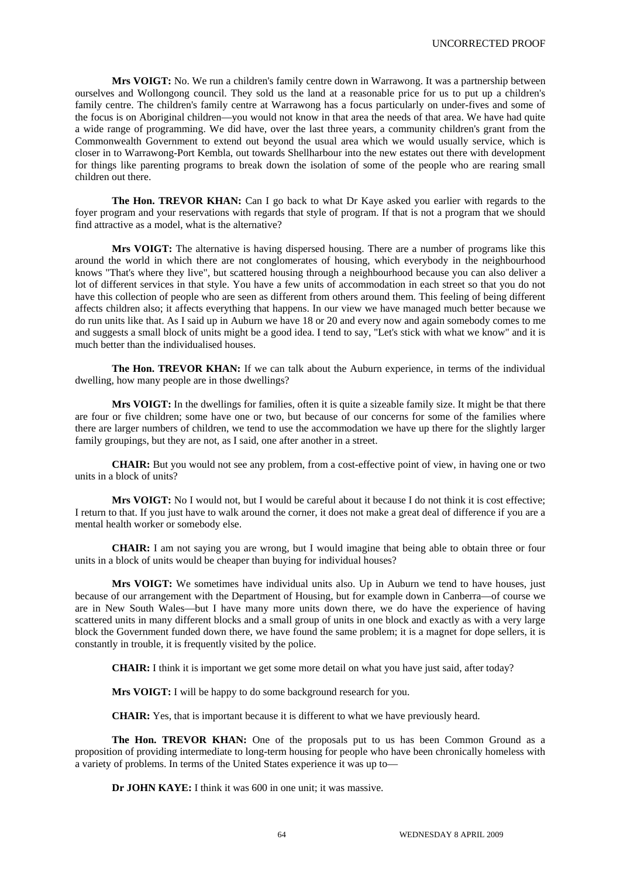**Mrs VOIGT:** No. We run a children's family centre down in Warrawong. It was a partnership between ourselves and Wollongong council. They sold us the land at a reasonable price for us to put up a children's family centre. The children's family centre at Warrawong has a focus particularly on under-fives and some of the focus is on Aboriginal children—you would not know in that area the needs of that area. We have had quite a wide range of programming. We did have, over the last three years, a community children's grant from the Commonwealth Government to extend out beyond the usual area which we would usually service, which is closer in to Warrawong-Port Kembla, out towards Shellharbour into the new estates out there with development for things like parenting programs to break down the isolation of some of the people who are rearing small children out there.

**The Hon. TREVOR KHAN:** Can I go back to what Dr Kaye asked you earlier with regards to the foyer program and your reservations with regards that style of program. If that is not a program that we should find attractive as a model, what is the alternative?

**Mrs VOIGT:** The alternative is having dispersed housing. There are a number of programs like this around the world in which there are not conglomerates of housing, which everybody in the neighbourhood knows "That's where they live", but scattered housing through a neighbourhood because you can also deliver a lot of different services in that style. You have a few units of accommodation in each street so that you do not have this collection of people who are seen as different from others around them. This feeling of being different affects children also; it affects everything that happens. In our view we have managed much better because we do run units like that. As I said up in Auburn we have 18 or 20 and every now and again somebody comes to me and suggests a small block of units might be a good idea. I tend to say, "Let's stick with what we know" and it is much better than the individualised houses.

**The Hon. TREVOR KHAN:** If we can talk about the Auburn experience, in terms of the individual dwelling, how many people are in those dwellings?

**Mrs VOIGT:** In the dwellings for families, often it is quite a sizeable family size. It might be that there are four or five children; some have one or two, but because of our concerns for some of the families where there are larger numbers of children, we tend to use the accommodation we have up there for the slightly larger family groupings, but they are not, as I said, one after another in a street.

**CHAIR:** But you would not see any problem, from a cost-effective point of view, in having one or two units in a block of units?

**Mrs VOIGT:** No I would not, but I would be careful about it because I do not think it is cost effective; I return to that. If you just have to walk around the corner, it does not make a great deal of difference if you are a mental health worker or somebody else.

**CHAIR:** I am not saying you are wrong, but I would imagine that being able to obtain three or four units in a block of units would be cheaper than buying for individual houses?

**Mrs VOIGT:** We sometimes have individual units also. Up in Auburn we tend to have houses, just because of our arrangement with the Department of Housing, but for example down in Canberra—of course we are in New South Wales—but I have many more units down there, we do have the experience of having scattered units in many different blocks and a small group of units in one block and exactly as with a very large block the Government funded down there, we have found the same problem; it is a magnet for dope sellers, it is constantly in trouble, it is frequently visited by the police.

**CHAIR:** I think it is important we get some more detail on what you have just said, after today?

**Mrs VOIGT:** I will be happy to do some background research for you.

**CHAIR:** Yes, that is important because it is different to what we have previously heard.

**The Hon. TREVOR KHAN:** One of the proposals put to us has been Common Ground as a proposition of providing intermediate to long-term housing for people who have been chronically homeless with a variety of problems. In terms of the United States experience it was up to—

**Dr JOHN KAYE:** I think it was 600 in one unit; it was massive.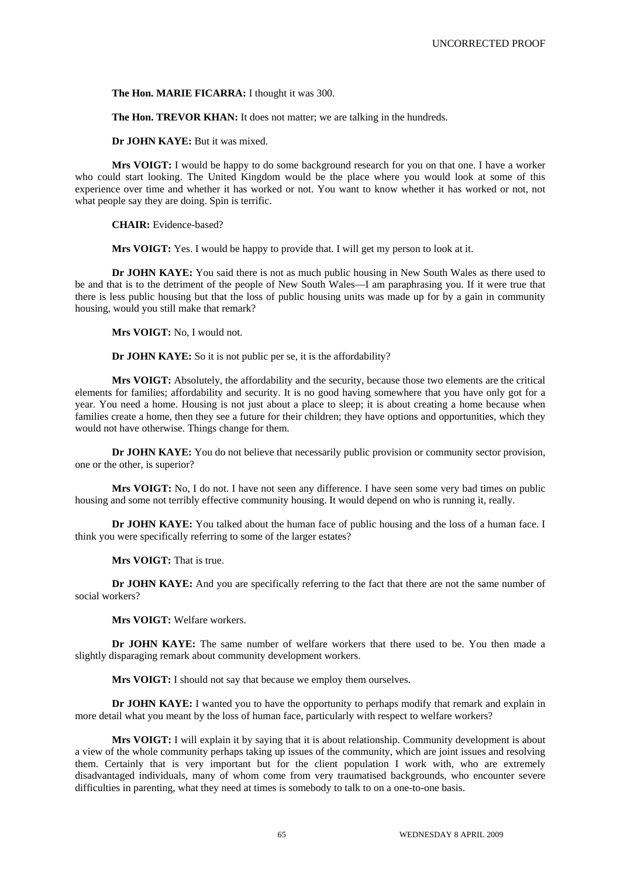**The Hon. MARIE FICARRA:** I thought it was 300.

**The Hon. TREVOR KHAN:** It does not matter; we are talking in the hundreds.

**Dr JOHN KAYE:** But it was mixed.

**Mrs VOIGT:** I would be happy to do some background research for you on that one. I have a worker who could start looking. The United Kingdom would be the place where you would look at some of this experience over time and whether it has worked or not. You want to know whether it has worked or not, not what people say they are doing. Spin is terrific.

**CHAIR:** Evidence-based?

**Mrs VOIGT:** Yes. I would be happy to provide that. I will get my person to look at it.

**Dr JOHN KAYE:** You said there is not as much public housing in New South Wales as there used to be and that is to the detriment of the people of New South Wales—I am paraphrasing you. If it were true that there is less public housing but that the loss of public housing units was made up for by a gain in community housing, would you still make that remark?

**Mrs VOIGT:** No, I would not.

**Dr JOHN KAYE:** So it is not public per se, it is the affordability?

**Mrs VOIGT:** Absolutely, the affordability and the security, because those two elements are the critical elements for families; affordability and security. It is no good having somewhere that you have only got for a year. You need a home. Housing is not just about a place to sleep; it is about creating a home because when families create a home, then they see a future for their children; they have options and opportunities, which they would not have otherwise. Things change for them.

**Dr JOHN KAYE:** You do not believe that necessarily public provision or community sector provision, one or the other, is superior?

**Mrs VOIGT:** No, I do not. I have not seen any difference. I have seen some very bad times on public housing and some not terribly effective community housing. It would depend on who is running it, really.

**Dr JOHN KAYE:** You talked about the human face of public housing and the loss of a human face. I think you were specifically referring to some of the larger estates?

**Mrs VOIGT:** That is true.

**Dr JOHN KAYE:** And you are specifically referring to the fact that there are not the same number of social workers?

**Mrs VOIGT:** Welfare workers.

**Dr JOHN KAYE:** The same number of welfare workers that there used to be. You then made a slightly disparaging remark about community development workers.

**Mrs VOIGT:** I should not say that because we employ them ourselves.

**Dr JOHN KAYE:** I wanted you to have the opportunity to perhaps modify that remark and explain in more detail what you meant by the loss of human face, particularly with respect to welfare workers?

**Mrs VOIGT:** I will explain it by saying that it is about relationship. Community development is about a view of the whole community perhaps taking up issues of the community, which are joint issues and resolving them. Certainly that is very important but for the client population I work with, who are extremely disadvantaged individuals, many of whom come from very traumatised backgrounds, who encounter severe difficulties in parenting, what they need at times is somebody to talk to on a one-to-one basis.